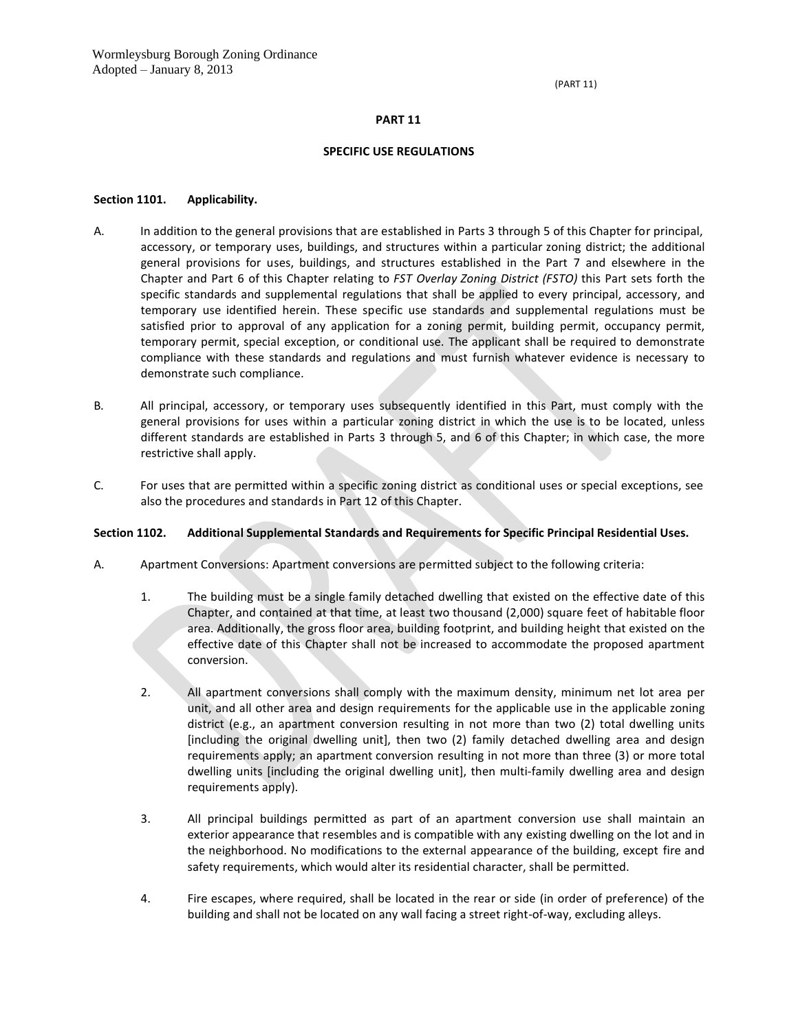## **PART 11**

## **SPECIFIC USE REGULATIONS**

#### **Section 1101. Applicability.**

- A. In addition to the general provisions that are established in Parts 3 through 5 of this Chapter for principal, accessory, or temporary uses, buildings, and structures within a particular zoning district; the additional general provisions for uses, buildings, and structures established in the Part 7 and elsewhere in the Chapter and Part 6 of this Chapter relating to *FST Overlay Zoning District (FSTO)* this Part sets forth the specific standards and supplemental regulations that shall be applied to every principal, accessory, and temporary use identified herein. These specific use standards and supplemental regulations must be satisfied prior to approval of any application for a zoning permit, building permit, occupancy permit, temporary permit, special exception, or conditional use. The applicant shall be required to demonstrate compliance with these standards and regulations and must furnish whatever evidence is necessary to demonstrate such compliance.
- B. All principal, accessory, or temporary uses subsequently identified in this Part, must comply with the general provisions for uses within a particular zoning district in which the use is to be located, unless different standards are established in Parts 3 through 5, and 6 of this Chapter; in which case, the more restrictive shall apply.
- C. For uses that are permitted within a specific zoning district as conditional uses or special exceptions, see also the procedures and standards in Part 12 of this Chapter.

## **Section 1102. Additional Supplemental Standards and Requirements for Specific Principal Residential Uses.**

- A. Apartment Conversions: Apartment conversions are permitted subject to the following criteria:
	- 1. The building must be a single family detached dwelling that existed on the effective date of this Chapter, and contained at that time, at least two thousand (2,000) square feet of habitable floor area. Additionally, the gross floor area, building footprint, and building height that existed on the effective date of this Chapter shall not be increased to accommodate the proposed apartment conversion.
	- 2. All apartment conversions shall comply with the maximum density, minimum net lot area per unit, and all other area and design requirements for the applicable use in the applicable zoning district (e.g., an apartment conversion resulting in not more than two (2) total dwelling units [including the original dwelling unit], then two (2) family detached dwelling area and design requirements apply; an apartment conversion resulting in not more than three (3) or more total dwelling units [including the original dwelling unit], then multi-family dwelling area and design requirements apply).
	- 3. All principal buildings permitted as part of an apartment conversion use shall maintain an exterior appearance that resembles and is compatible with any existing dwelling on the lot and in the neighborhood. No modifications to the external appearance of the building, except fire and safety requirements, which would alter its residential character, shall be permitted.
	- 4. Fire escapes, where required, shall be located in the rear or side (in order of preference) of the building and shall not be located on any wall facing a street right-of-way, excluding alleys.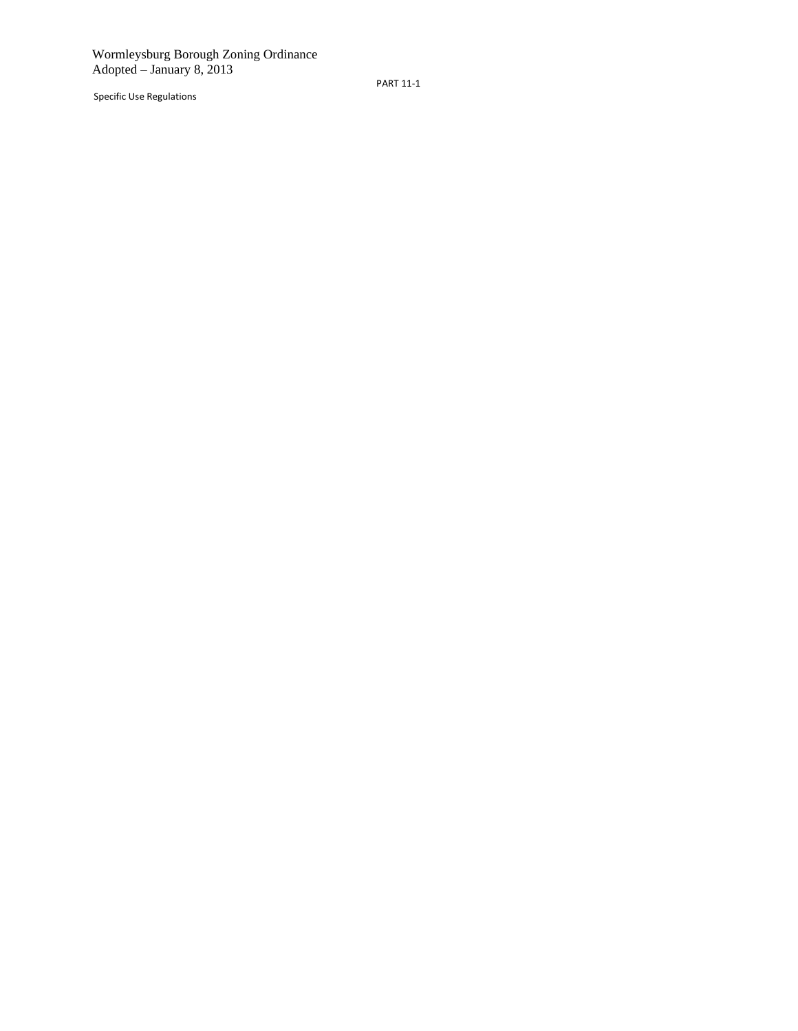Specific Use Regulations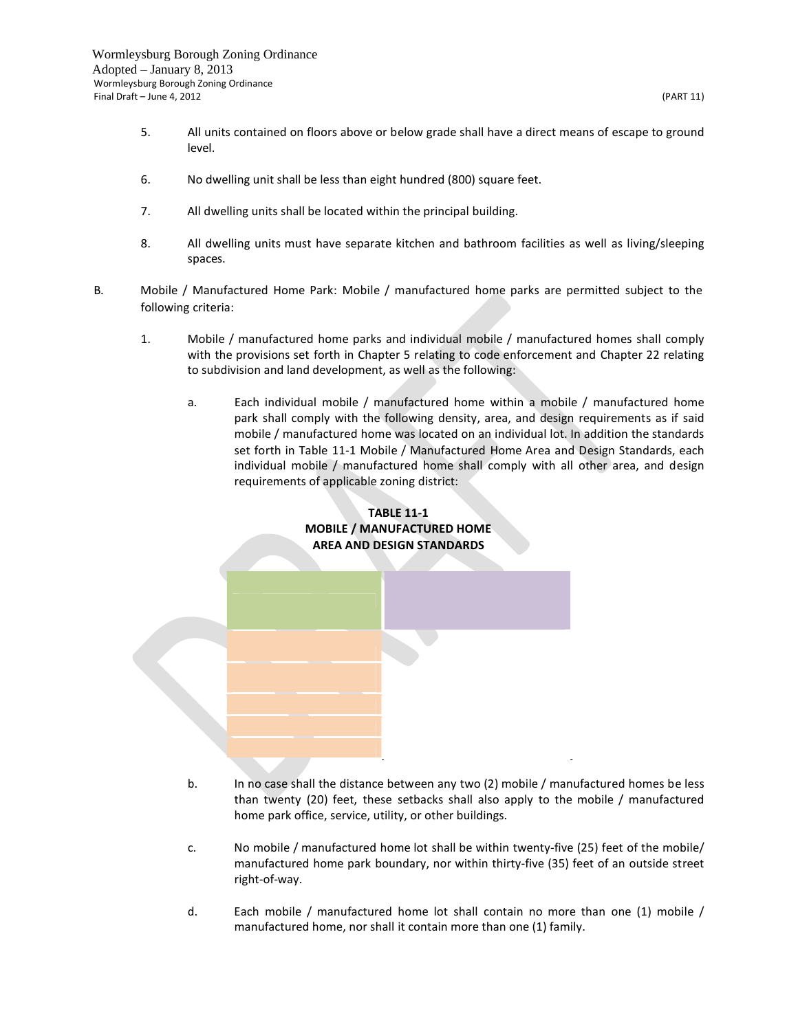- 5. All units contained on floors above or below grade shall have a direct means of escape to ground level.
- 6. No dwelling unit shall be less than eight hundred (800) square feet.
- 7. All dwelling units shall be located within the principal building.
- 8. All dwelling units must have separate kitchen and bathroom facilities as well as living/sleeping spaces.
- B. Mobile / Manufactured Home Park: Mobile / manufactured home parks are permitted subject to the following criteria:
	- 1. Mobile / manufactured home parks and individual mobile / manufactured homes shall comply with the provisions set forth in Chapter 5 relating to code enforcement and Chapter 22 relating to subdivision and land development, as well as the following:
		- a. Each individual mobile / manufactured home within a mobile / manufactured home park shall comply with the following density, area, and design requirements as if said mobile / manufactured home was located on an individual lot. In addition the standards set forth in Table 11-1 Mobile / Manufactured Home Area and Design Standards, each individual mobile / manufactured home shall comply with all other area, and design requirements of applicable zoning district:





- b. In no case shall the distance between any two (2) mobile / manufactured homes be less than twenty (20) feet, these setbacks shall also apply to the mobile / manufactured home park office, service, utility, or other buildings.
- c. No mobile / manufactured home lot shall be within twenty-five (25) feet of the mobile/ manufactured home park boundary, nor within thirty-five (35) feet of an outside street right-of-way.
- d. Each mobile / manufactured home lot shall contain no more than one (1) mobile / manufactured home, nor shall it contain more than one (1) family.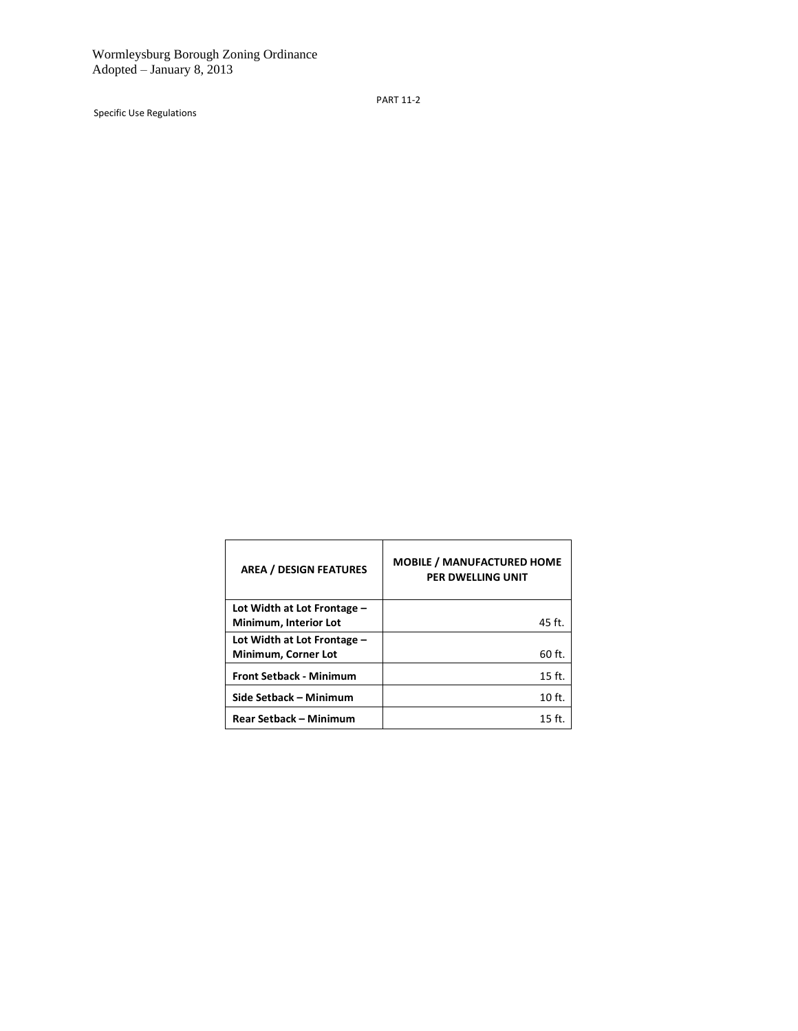Specific Use Regulations

| <b>AREA / DESIGN FEATURES</b>  | <b>MOBILE / MANUFACTURED HOME</b><br><b>PER DWELLING UNIT</b> |
|--------------------------------|---------------------------------------------------------------|
| Lot Width at Lot Frontage -    |                                                               |
| Minimum, Interior Lot          | 45 ft.                                                        |
| Lot Width at Lot Frontage -    |                                                               |
| Minimum, Corner Lot            | 60 ft.                                                        |
| <b>Front Setback - Minimum</b> | 15 ft.                                                        |
| Side Setback - Minimum         | $10$ ft.                                                      |
| <b>Rear Setback - Minimum</b>  | 15 ft.                                                        |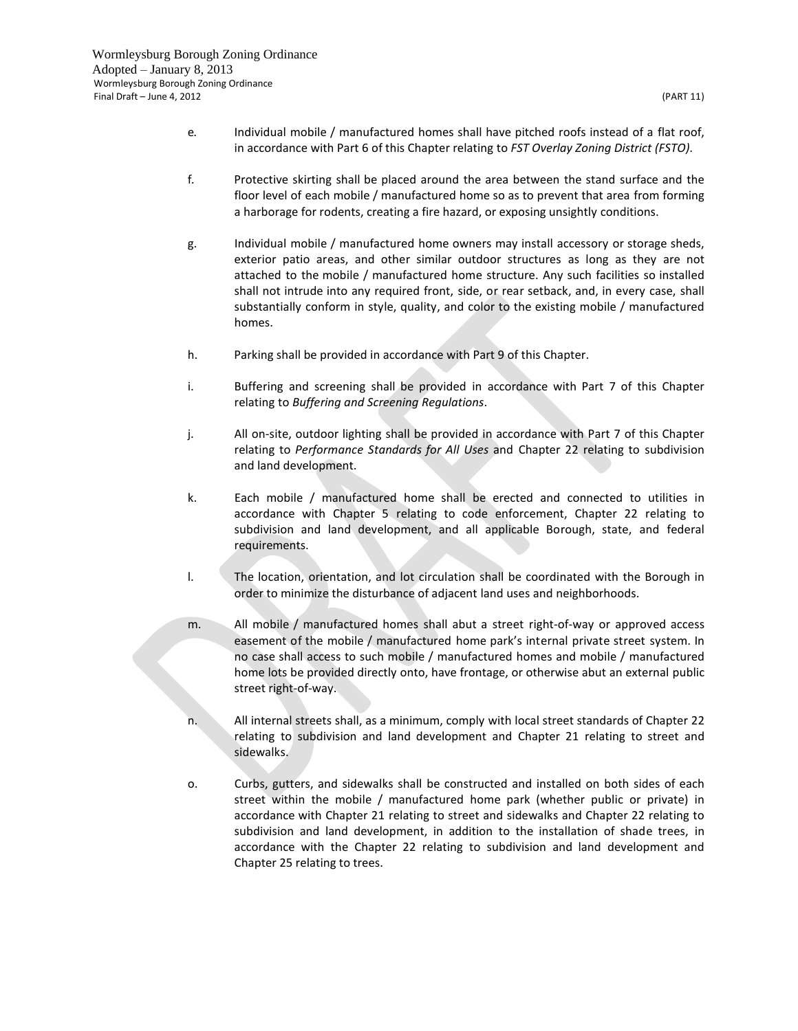- e. Individual mobile / manufactured homes shall have pitched roofs instead of a flat roof, in accordance with Part 6 of this Chapter relating to *FST Overlay Zoning District (FSTO)*.
- f. Protective skirting shall be placed around the area between the stand surface and the floor level of each mobile / manufactured home so as to prevent that area from forming a harborage for rodents, creating a fire hazard, or exposing unsightly conditions.
- g. Individual mobile / manufactured home owners may install accessory or storage sheds, exterior patio areas, and other similar outdoor structures as long as they are not attached to the mobile / manufactured home structure. Any such facilities so installed shall not intrude into any required front, side, or rear setback, and, in every case, shall substantially conform in style, quality, and color to the existing mobile / manufactured homes.
- h. Parking shall be provided in accordance with Part 9 of this Chapter.
- i. Buffering and screening shall be provided in accordance with Part 7 of this Chapter relating to *Buffering and Screening Regulations*.
- j. All on-site, outdoor lighting shall be provided in accordance with Part 7 of this Chapter relating to *Performance Standards for All Uses* and Chapter 22 relating to subdivision and land development.
- k. Each mobile / manufactured home shall be erected and connected to utilities in accordance with Chapter 5 relating to code enforcement, Chapter 22 relating to subdivision and land development, and all applicable Borough, state, and federal requirements.
- l. The location, orientation, and lot circulation shall be coordinated with the Borough in order to minimize the disturbance of adjacent land uses and neighborhoods.
- m. All mobile / manufactured homes shall abut a street right-of-way or approved access easement of the mobile / manufactured home park's internal private street system. In no case shall access to such mobile / manufactured homes and mobile / manufactured home lots be provided directly onto, have frontage, or otherwise abut an external public street right-of-way.
- n. All internal streets shall, as a minimum, comply with local street standards of Chapter 22 relating to subdivision and land development and Chapter 21 relating to street and sidewalks.
- o. Curbs, gutters, and sidewalks shall be constructed and installed on both sides of each street within the mobile / manufactured home park (whether public or private) in accordance with Chapter 21 relating to street and sidewalks and Chapter 22 relating to subdivision and land development, in addition to the installation of shade trees, in accordance with the Chapter 22 relating to subdivision and land development and Chapter 25 relating to trees.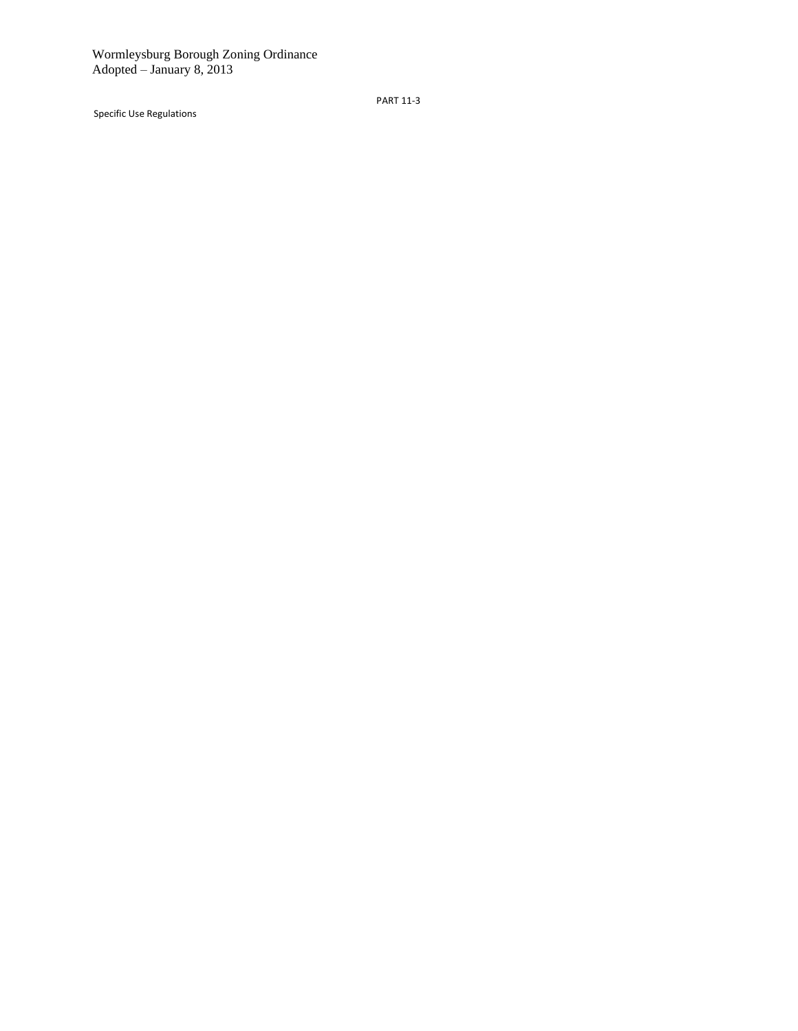Specific Use Regulations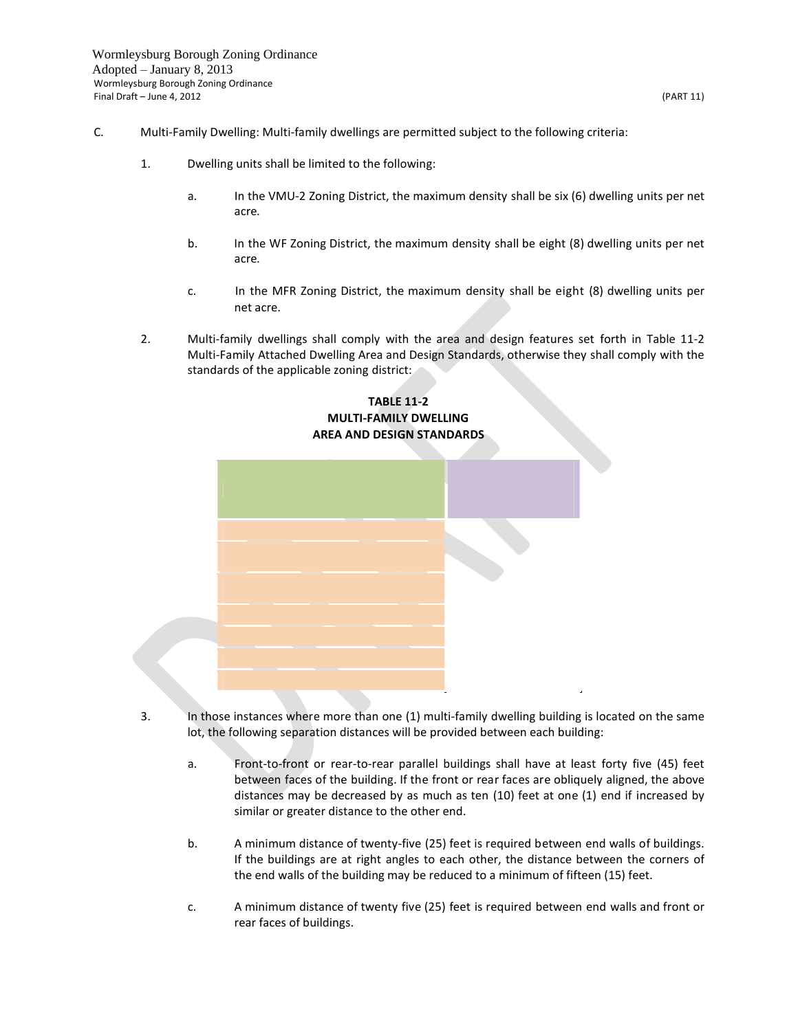- C. Multi-Family Dwelling: Multi-family dwellings are permitted subject to the following criteria:
	- 1. Dwelling units shall be limited to the following:
		- a. In the VMU-2 Zoning District, the maximum density shall be six (6) dwelling units per net acre.
		- b. In the WF Zoning District, the maximum density shall be eight (8) dwelling units per net acre.
		- c. In the MFR Zoning District, the maximum density shall be eight (8) dwelling units per net acre.
	- 2. Multi-family dwellings shall comply with the area and design features set forth in Table 11-2 Multi-Family Attached Dwelling Area and Design Standards, otherwise they shall comply with the standards of the applicable zoning district:



**TABLE 11-2 MULTI-FAMILY DWELLING AREA AND DESIGN STANDARDS**

- 3. In those instances where more than one (1) multi-family dwelling building is located on the same lot, the following separation distances will be provided between each building:
	- a. Front-to-front or rear-to-rear parallel buildings shall have at least forty five (45) feet between faces of the building. If the front or rear faces are obliquely aligned, the above distances may be decreased by as much as ten (10) feet at one (1) end if increased by similar or greater distance to the other end.
	- b. A minimum distance of twenty-five (25) feet is required between end walls of buildings. If the buildings are at right angles to each other, the distance between the corners of the end walls of the building may be reduced to a minimum of fifteen (15) feet.
	- c. A minimum distance of twenty five (25) feet is required between end walls and front or rear faces of buildings.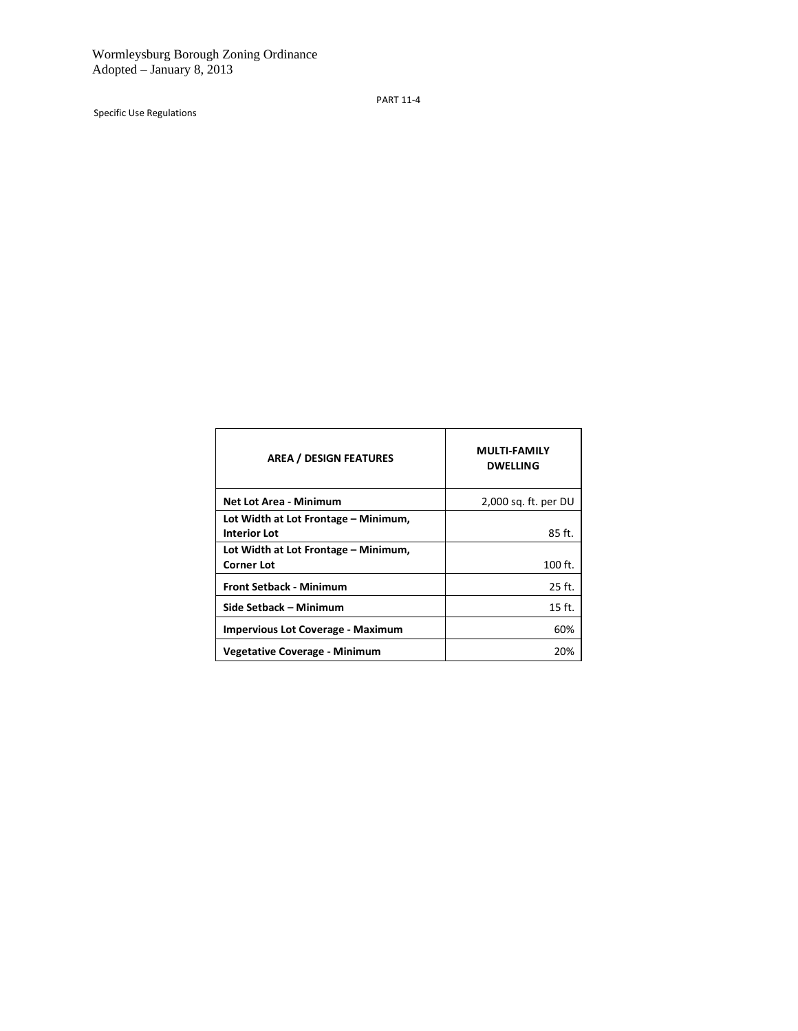Specific Use Regulations

| <b>AREA / DESIGN FEATURES</b>                               | <b>MULTI-FAMILY</b><br><b>DWELLING</b> |
|-------------------------------------------------------------|----------------------------------------|
| <b>Net Lot Area - Minimum</b>                               | $2,000$ sq. ft. per DU                 |
| Lot Width at Lot Frontage – Minimum,<br><b>Interior Lot</b> | $85$ ft.                               |
| Lot Width at Lot Frontage - Minimum,                        |                                        |
| <b>Corner Lot</b>                                           | $100$ ft.                              |
| <b>Front Setback - Minimum</b>                              | $25$ ft.                               |
| Side Setback - Minimum                                      | 15 ft.                                 |
| <b>Impervious Lot Coverage - Maximum</b>                    | 60%                                    |
| Vegetative Coverage - Minimum                               | 20%                                    |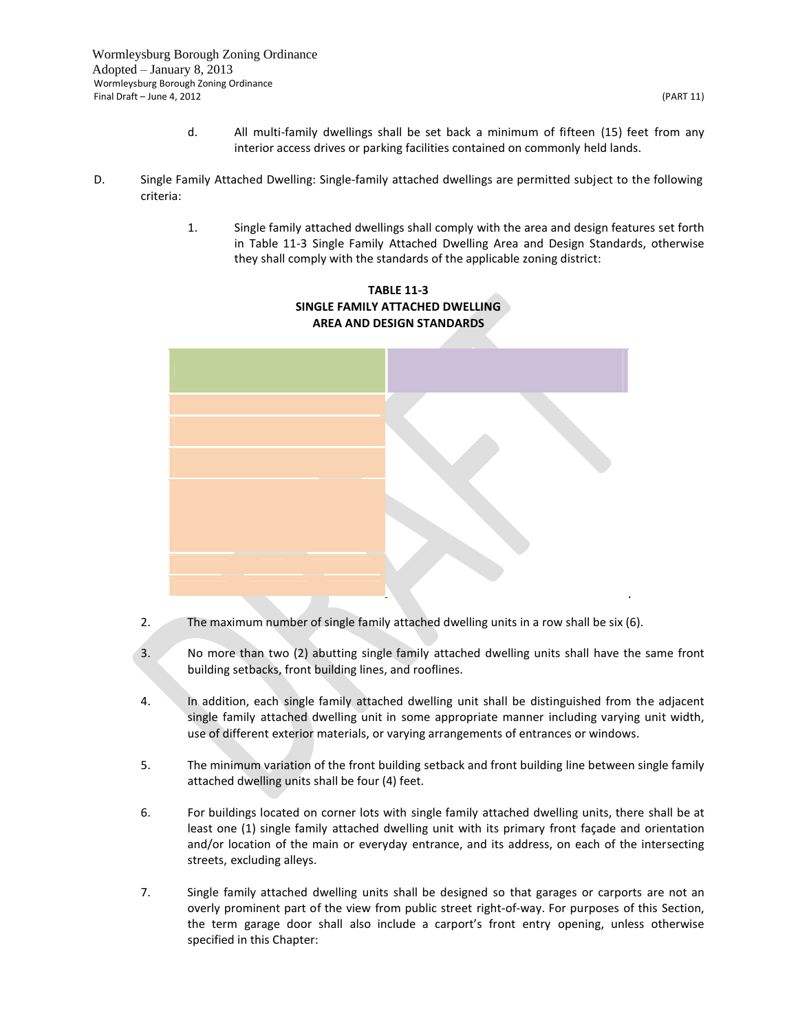- d. All multi-family dwellings shall be set back a minimum of fifteen (15) feet from any interior access drives or parking facilities contained on commonly held lands.
- D. Single Family Attached Dwelling: Single-family attached dwellings are permitted subject to the following criteria:
	- 1. Single family attached dwellings shall comply with the area and design features set forth in Table 11-3 Single Family Attached Dwelling Area and Design Standards, otherwise they shall comply with the standards of the applicable zoning district:



# **TABLE 11-3 SINGLE FAMILY ATTACHED DWELLING AREA AND DESIGN STANDARDS**

- 2. The maximum number of single family attached dwelling units in a row shall be six (6).
- 3. No more than two (2) abutting single family attached dwelling units shall have the same front building setbacks, front building lines, and rooflines.
- 4. In addition, each single family attached dwelling unit shall be distinguished from the adjacent single family attached dwelling unit in some appropriate manner including varying unit width, use of different exterior materials, or varying arrangements of entrances or windows.
- 5. The minimum variation of the front building setback and front building line between single family attached dwelling units shall be four (4) feet.
- 6. For buildings located on corner lots with single family attached dwelling units, there shall be at least one (1) single family attached dwelling unit with its primary front façade and orientation and/or location of the main or everyday entrance, and its address, on each of the intersecting streets, excluding alleys.
- 7. Single family attached dwelling units shall be designed so that garages or carports are not an overly prominent part of the view from public street right-of-way. For purposes of this Section, the term garage door shall also include a carport's front entry opening, unless otherwise specified in this Chapter: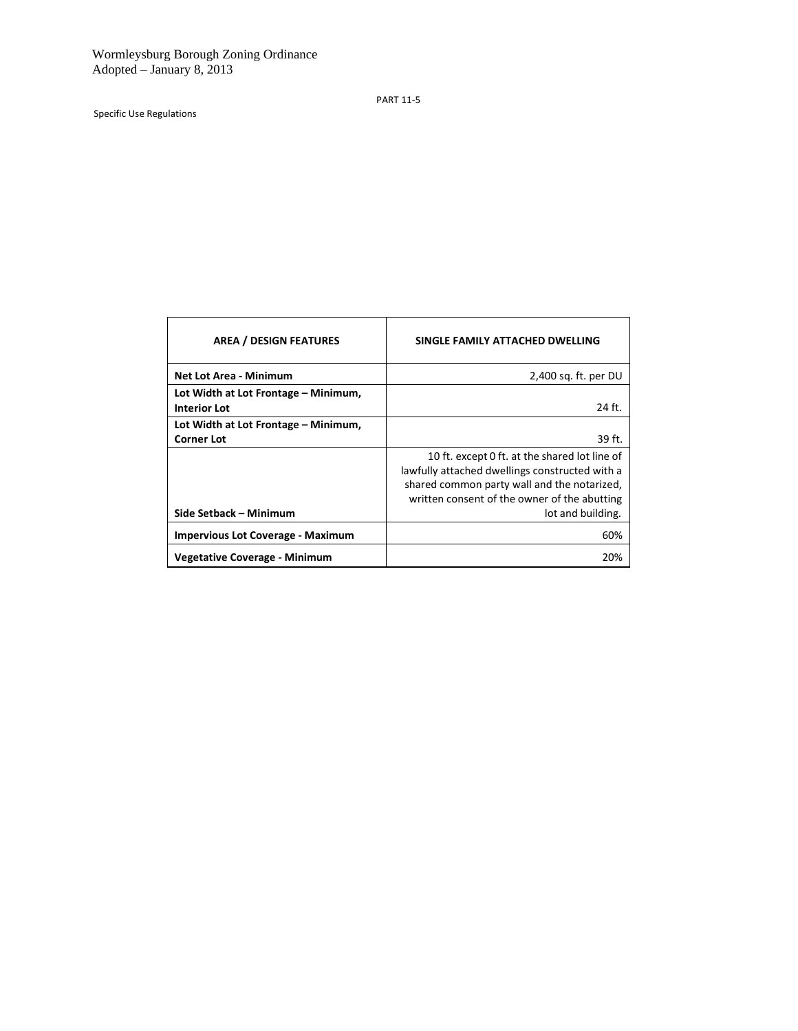Specific Use Regulations

| <b>AREA / DESIGN FEATURES</b>                               | SINGLE FAMILY ATTACHED DWELLING                                                                                                                                                                                     |
|-------------------------------------------------------------|---------------------------------------------------------------------------------------------------------------------------------------------------------------------------------------------------------------------|
| <b>Net Lot Area - Minimum</b>                               | $2,400$ sq. ft. per DU                                                                                                                                                                                              |
| Lot Width at Lot Frontage – Minimum,<br><b>Interior Lot</b> | 24 ft.                                                                                                                                                                                                              |
| Lot Width at Lot Frontage - Minimum,<br><b>Corner Lot</b>   | 39 ft.                                                                                                                                                                                                              |
| Side Setback - Minimum                                      | 10 ft. except 0 ft. at the shared lot line of<br>lawfully attached dwellings constructed with a<br>shared common party wall and the notarized,<br>written consent of the owner of the abutting<br>lot and building. |
| <b>Impervious Lot Coverage - Maximum</b>                    | 60%                                                                                                                                                                                                                 |

**Vegetative Coverage - Minimum** 20%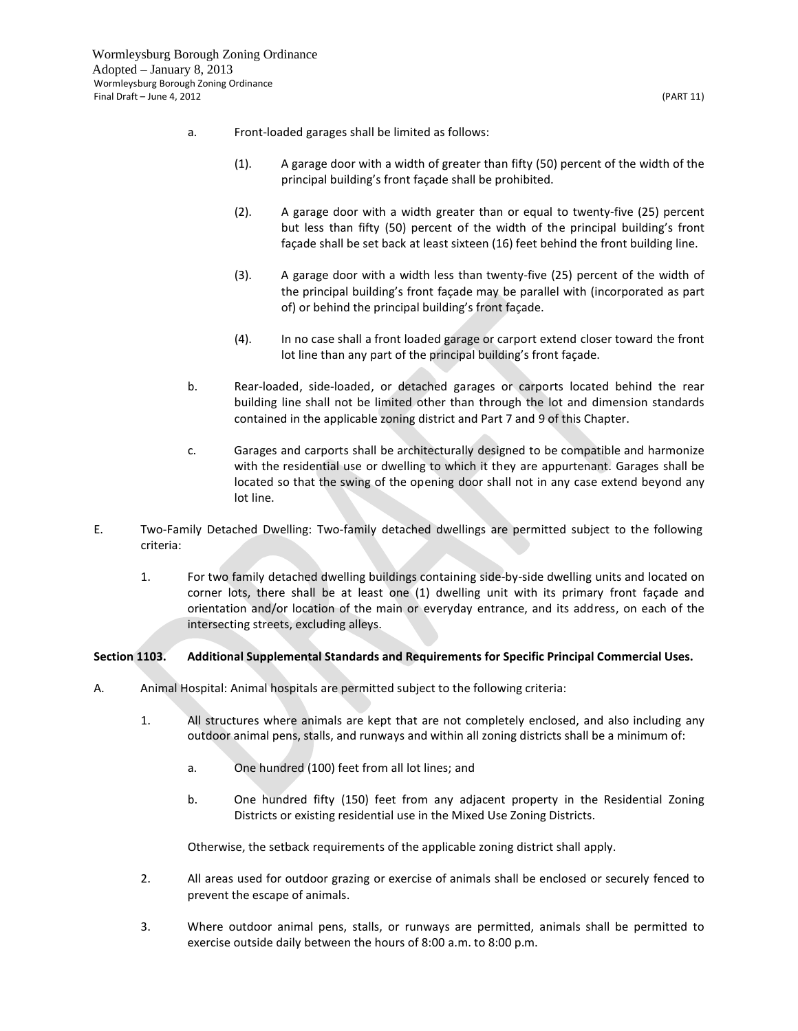- a. Front-loaded garages shall be limited as follows:
	- (1). A garage door with a width of greater than fifty (50) percent of the width of the principal building's front façade shall be prohibited.
	- (2). A garage door with a width greater than or equal to twenty-five (25) percent but less than fifty (50) percent of the width of the principal building's front façade shall be set back at least sixteen (16) feet behind the front building line.
	- (3). A garage door with a width less than twenty-five (25) percent of the width of the principal building's front façade may be parallel with (incorporated as part of) or behind the principal building's front façade.
	- (4). In no case shall a front loaded garage or carport extend closer toward the front lot line than any part of the principal building's front façade.
- b. Rear-loaded, side-loaded, or detached garages or carports located behind the rear building line shall not be limited other than through the lot and dimension standards contained in the applicable zoning district and Part 7 and 9 of this Chapter.
- c. Garages and carports shall be architecturally designed to be compatible and harmonize with the residential use or dwelling to which it they are appurtenant. Garages shall be located so that the swing of the opening door shall not in any case extend beyond any lot line.
- E. Two-Family Detached Dwelling: Two-family detached dwellings are permitted subject to the following criteria:
	- 1. For two family detached dwelling buildings containing side-by-side dwelling units and located on corner lots, there shall be at least one (1) dwelling unit with its primary front façade and orientation and/or location of the main or everyday entrance, and its address, on each of the intersecting streets, excluding alleys.

## **Section 1103. Additional Supplemental Standards and Requirements for Specific Principal Commercial Uses.**

- A. Animal Hospital: Animal hospitals are permitted subject to the following criteria:
	- 1. All structures where animals are kept that are not completely enclosed, and also including any outdoor animal pens, stalls, and runways and within all zoning districts shall be a minimum of:
		- a. One hundred (100) feet from all lot lines; and
		- b. One hundred fifty (150) feet from any adjacent property in the Residential Zoning Districts or existing residential use in the Mixed Use Zoning Districts.

Otherwise, the setback requirements of the applicable zoning district shall apply.

- 2. All areas used for outdoor grazing or exercise of animals shall be enclosed or securely fenced to prevent the escape of animals.
- 3. Where outdoor animal pens, stalls, or runways are permitted, animals shall be permitted to exercise outside daily between the hours of 8:00 a.m. to 8:00 p.m.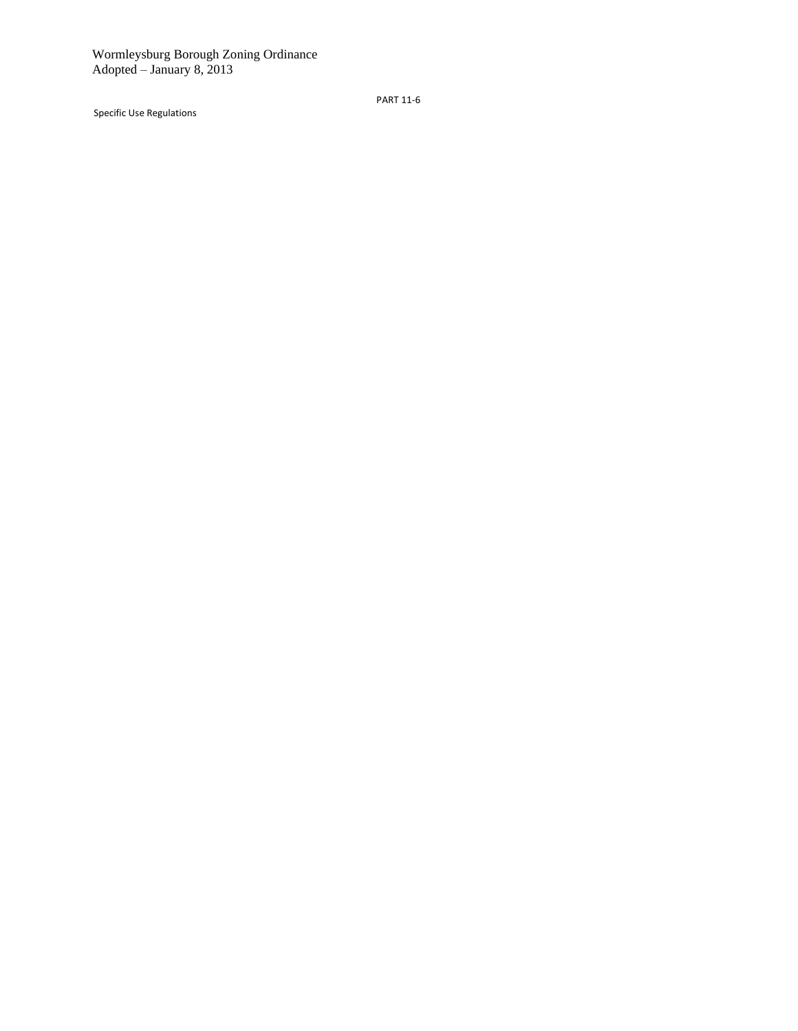Specific Use Regulations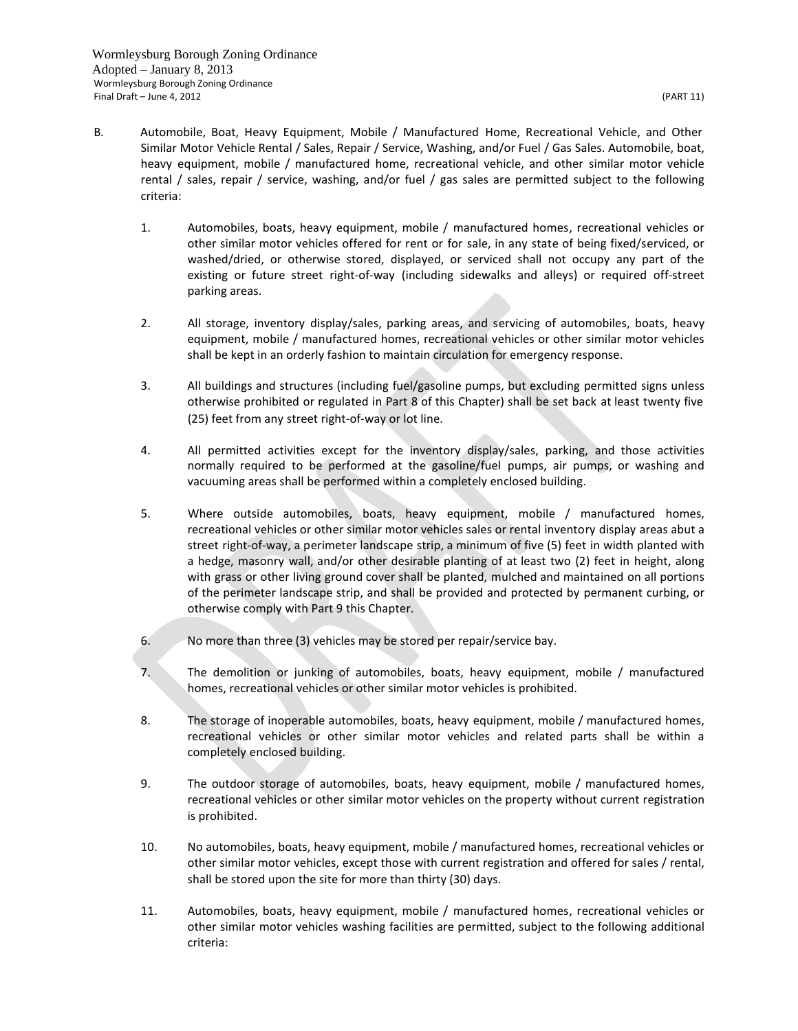- B. Automobile, Boat, Heavy Equipment, Mobile / Manufactured Home, Recreational Vehicle, and Other
	- Similar Motor Vehicle Rental / Sales, Repair / Service, Washing, and/or Fuel / Gas Sales. Automobile, boat, heavy equipment, mobile / manufactured home, recreational vehicle, and other similar motor vehicle rental / sales, repair / service, washing, and/or fuel / gas sales are permitted subject to the following criteria:
		- 1. Automobiles, boats, heavy equipment, mobile / manufactured homes, recreational vehicles or other similar motor vehicles offered for rent or for sale, in any state of being fixed/serviced, or washed/dried, or otherwise stored, displayed, or serviced shall not occupy any part of the existing or future street right-of-way (including sidewalks and alleys) or required off-street parking areas.
		- 2. All storage, inventory display/sales, parking areas, and servicing of automobiles, boats, heavy equipment, mobile / manufactured homes, recreational vehicles or other similar motor vehicles shall be kept in an orderly fashion to maintain circulation for emergency response.
		- 3. All buildings and structures (including fuel/gasoline pumps, but excluding permitted signs unless otherwise prohibited or regulated in Part 8 of this Chapter) shall be set back at least twenty five (25) feet from any street right-of-way or lot line.
		- 4. All permitted activities except for the inventory display/sales, parking, and those activities normally required to be performed at the gasoline/fuel pumps, air pumps, or washing and vacuuming areas shall be performed within a completely enclosed building.
		- 5. Where outside automobiles, boats, heavy equipment, mobile / manufactured homes, recreational vehicles or other similar motor vehicles sales or rental inventory display areas abut a street right-of-way, a perimeter landscape strip, a minimum of five (5) feet in width planted with a hedge, masonry wall, and/or other desirable planting of at least two (2) feet in height, along with grass or other living ground cover shall be planted, mulched and maintained on all portions of the perimeter landscape strip, and shall be provided and protected by permanent curbing, or otherwise comply with Part 9 this Chapter.
		- 6. No more than three (3) vehicles may be stored per repair/service bay.
		- 7. The demolition or junking of automobiles, boats, heavy equipment, mobile / manufactured homes, recreational vehicles or other similar motor vehicles is prohibited.
		- 8. The storage of inoperable automobiles, boats, heavy equipment, mobile / manufactured homes, recreational vehicles or other similar motor vehicles and related parts shall be within a completely enclosed building.
		- 9. The outdoor storage of automobiles, boats, heavy equipment, mobile / manufactured homes, recreational vehicles or other similar motor vehicles on the property without current registration is prohibited.
		- 10. No automobiles, boats, heavy equipment, mobile / manufactured homes, recreational vehicles or other similar motor vehicles, except those with current registration and offered for sales / rental, shall be stored upon the site for more than thirty (30) days.
		- 11. Automobiles, boats, heavy equipment, mobile / manufactured homes, recreational vehicles or other similar motor vehicles washing facilities are permitted, subject to the following additional criteria: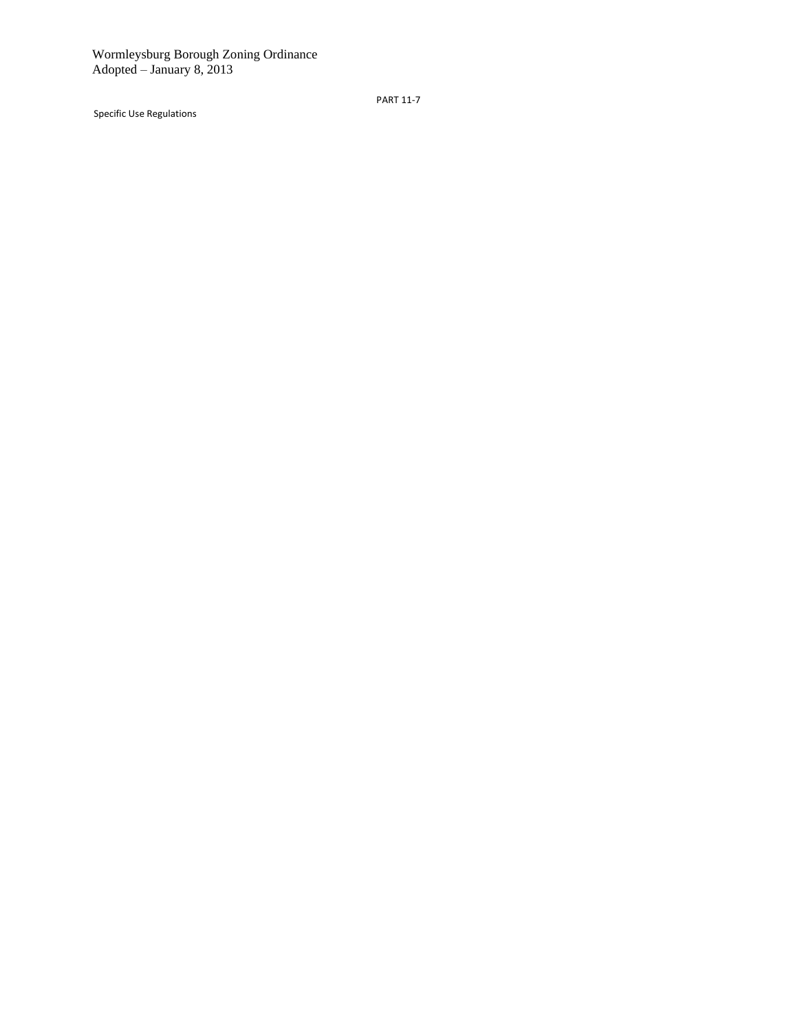Specific Use Regulations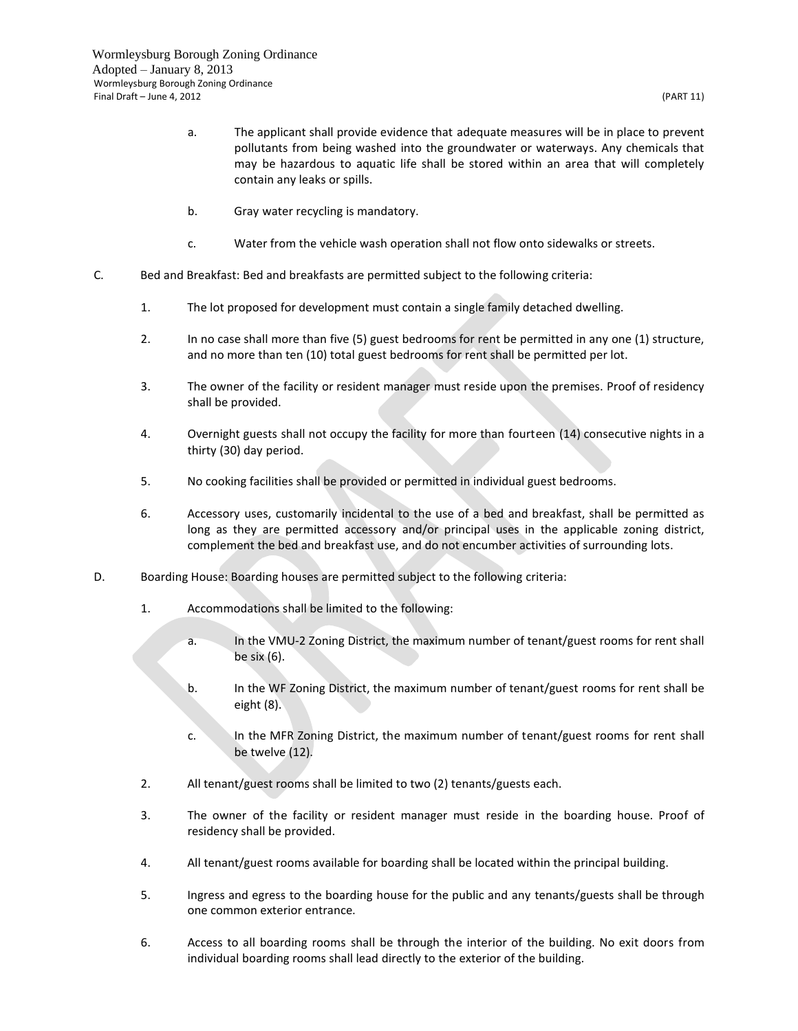- a. The applicant shall provide evidence that adequate measures will be in place to prevent pollutants from being washed into the groundwater or waterways. Any chemicals that may be hazardous to aquatic life shall be stored within an area that will completely contain any leaks or spills.
- b. Gray water recycling is mandatory.
- c. Water from the vehicle wash operation shall not flow onto sidewalks or streets.
- C. Bed and Breakfast: Bed and breakfasts are permitted subject to the following criteria:
	- 1. The lot proposed for development must contain a single family detached dwelling.
	- 2. In no case shall more than five (5) guest bedrooms for rent be permitted in any one (1) structure, and no more than ten (10) total guest bedrooms for rent shall be permitted per lot.
	- 3. The owner of the facility or resident manager must reside upon the premises. Proof of residency shall be provided.
	- 4. Overnight guests shall not occupy the facility for more than fourteen (14) consecutive nights in a thirty (30) day period.
	- 5. No cooking facilities shall be provided or permitted in individual guest bedrooms.
	- 6. Accessory uses, customarily incidental to the use of a bed and breakfast, shall be permitted as long as they are permitted accessory and/or principal uses in the applicable zoning district, complement the bed and breakfast use, and do not encumber activities of surrounding lots.
- D. Boarding House: Boarding houses are permitted subject to the following criteria:
	- 1. Accommodations shall be limited to the following:
		- a. In the VMU-2 Zoning District, the maximum number of tenant/guest rooms for rent shall be six (6).
		- b. In the WF Zoning District, the maximum number of tenant/guest rooms for rent shall be eight (8).
		- c. In the MFR Zoning District, the maximum number of tenant/guest rooms for rent shall be twelve (12).
	- 2. All tenant/guest rooms shall be limited to two (2) tenants/guests each.
	- 3. The owner of the facility or resident manager must reside in the boarding house. Proof of residency shall be provided.
	- 4. All tenant/guest rooms available for boarding shall be located within the principal building.
	- 5. Ingress and egress to the boarding house for the public and any tenants/guests shall be through one common exterior entrance.
	- 6. Access to all boarding rooms shall be through the interior of the building. No exit doors from individual boarding rooms shall lead directly to the exterior of the building.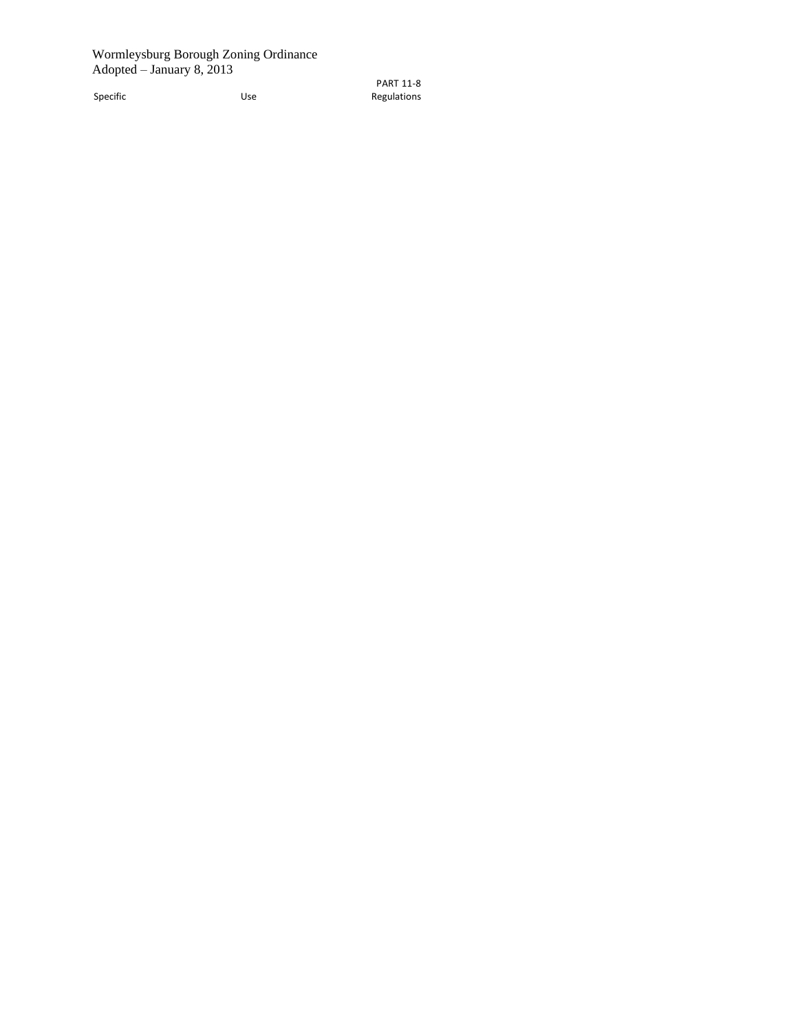Specific VSE Use Contract Use Regulations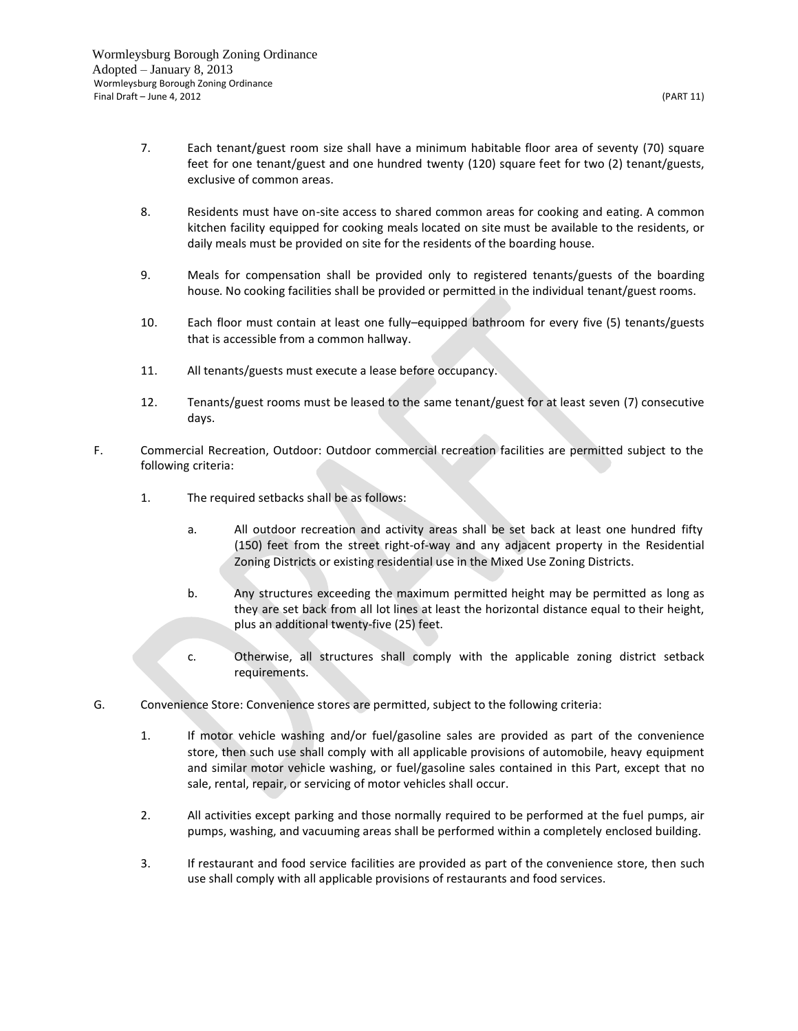- 7. Each tenant/guest room size shall have a minimum habitable floor area of seventy (70) square feet for one tenant/guest and one hundred twenty (120) square feet for two (2) tenant/guests, exclusive of common areas.
- 8. Residents must have on-site access to shared common areas for cooking and eating. A common kitchen facility equipped for cooking meals located on site must be available to the residents, or daily meals must be provided on site for the residents of the boarding house.
- 9. Meals for compensation shall be provided only to registered tenants/guests of the boarding house. No cooking facilities shall be provided or permitted in the individual tenant/guest rooms.
- 10. Each floor must contain at least one fully–equipped bathroom for every five (5) tenants/guests that is accessible from a common hallway.
- 11. All tenants/guests must execute a lease before occupancy.
- 12. Tenants/guest rooms must be leased to the same tenant/guest for at least seven (7) consecutive days.
- F. Commercial Recreation, Outdoor: Outdoor commercial recreation facilities are permitted subject to the following criteria:
	- 1. The required setbacks shall be as follows:
		- a. All outdoor recreation and activity areas shall be set back at least one hundred fifty (150) feet from the street right-of-way and any adjacent property in the Residential Zoning Districts or existing residential use in the Mixed Use Zoning Districts.
		- b. Any structures exceeding the maximum permitted height may be permitted as long as they are set back from all lot lines at least the horizontal distance equal to their height, plus an additional twenty-five (25) feet.
		- c. Otherwise, all structures shall comply with the applicable zoning district setback requirements.
- G. Convenience Store: Convenience stores are permitted, subject to the following criteria:
	- 1. If motor vehicle washing and/or fuel/gasoline sales are provided as part of the convenience store, then such use shall comply with all applicable provisions of automobile, heavy equipment and similar motor vehicle washing, or fuel/gasoline sales contained in this Part, except that no sale, rental, repair, or servicing of motor vehicles shall occur.
	- 2. All activities except parking and those normally required to be performed at the fuel pumps, air pumps, washing, and vacuuming areas shall be performed within a completely enclosed building.
	- 3. If restaurant and food service facilities are provided as part of the convenience store, then such use shall comply with all applicable provisions of restaurants and food services.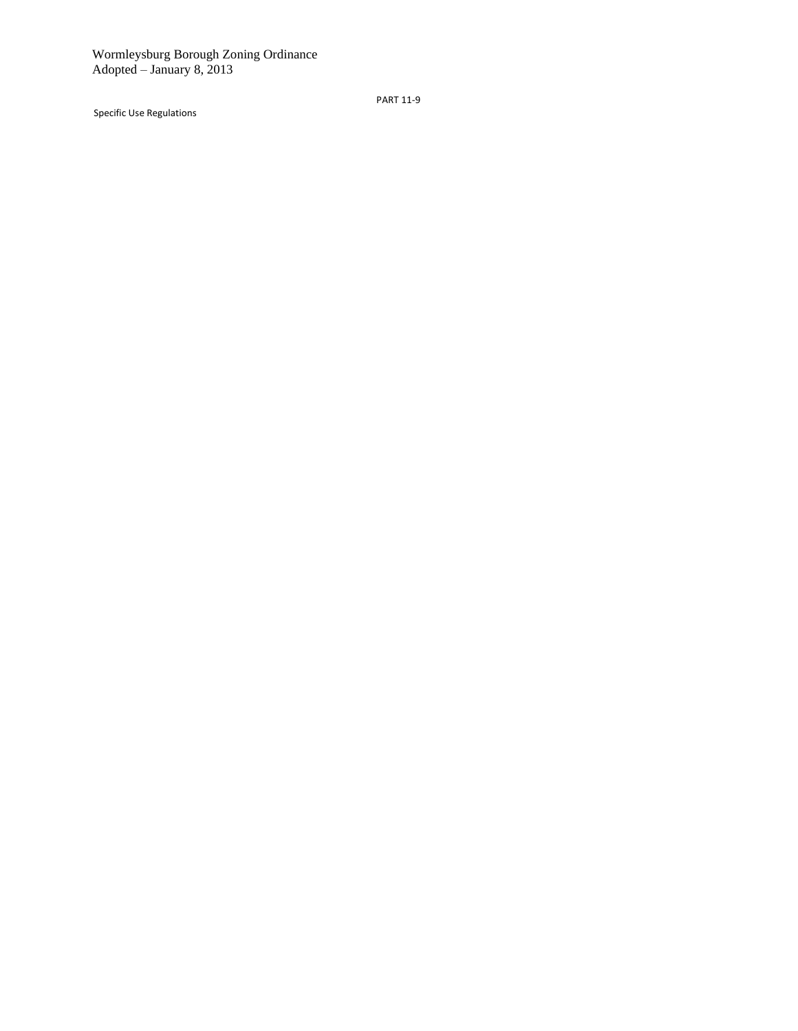Specific Use Regulations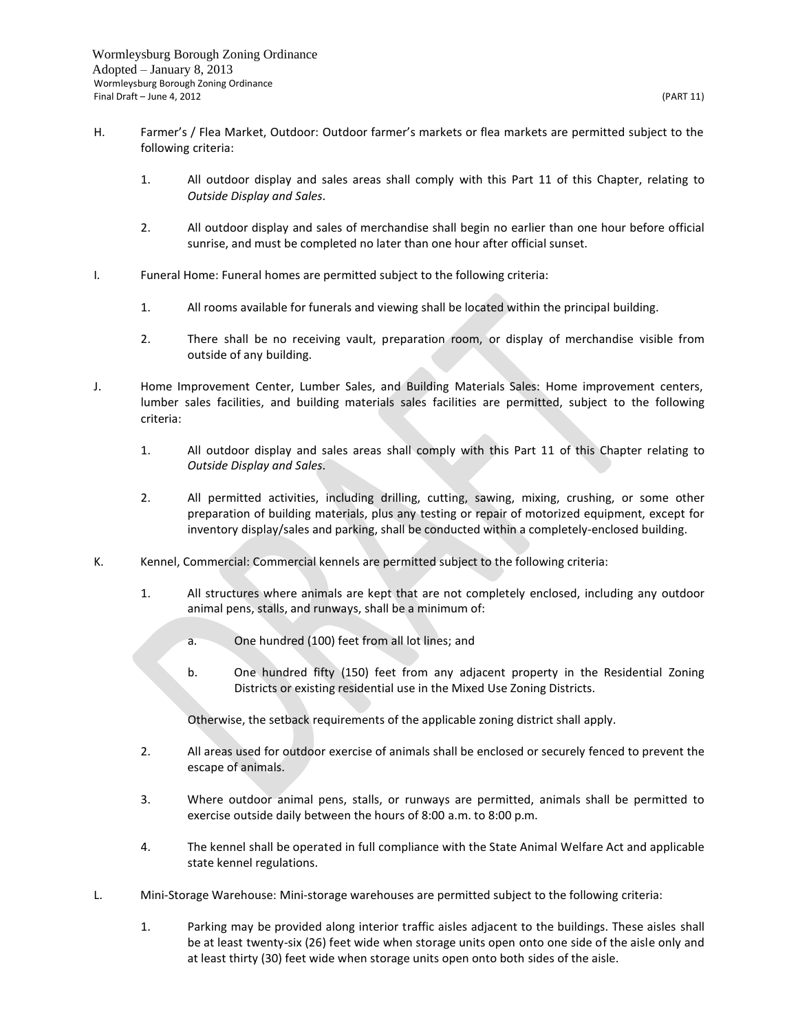- H. Farmer's / Flea Market, Outdoor: Outdoor farmer's markets or flea markets are permitted subject to the following criteria:
	- 1. All outdoor display and sales areas shall comply with this Part 11 of this Chapter, relating to *Outside Display and Sales*.
	- 2. All outdoor display and sales of merchandise shall begin no earlier than one hour before official sunrise, and must be completed no later than one hour after official sunset.
- I. Funeral Home: Funeral homes are permitted subject to the following criteria:
	- 1. All rooms available for funerals and viewing shall be located within the principal building.
	- 2. There shall be no receiving vault, preparation room, or display of merchandise visible from outside of any building.
- J. Home Improvement Center, Lumber Sales, and Building Materials Sales: Home improvement centers, lumber sales facilities, and building materials sales facilities are permitted, subject to the following criteria:
	- 1. All outdoor display and sales areas shall comply with this Part 11 of this Chapter relating to *Outside Display and Sales*.
	- 2. All permitted activities, including drilling, cutting, sawing, mixing, crushing, or some other preparation of building materials, plus any testing or repair of motorized equipment, except for inventory display/sales and parking, shall be conducted within a completely-enclosed building.
- K. Kennel, Commercial: Commercial kennels are permitted subject to the following criteria:
	- 1. All structures where animals are kept that are not completely enclosed, including any outdoor animal pens, stalls, and runways, shall be a minimum of:
		- a. One hundred (100) feet from all lot lines; and
		- b. One hundred fifty (150) feet from any adjacent property in the Residential Zoning Districts or existing residential use in the Mixed Use Zoning Districts.

Otherwise, the setback requirements of the applicable zoning district shall apply.

- 2. All areas used for outdoor exercise of animals shall be enclosed or securely fenced to prevent the escape of animals.
- 3. Where outdoor animal pens, stalls, or runways are permitted, animals shall be permitted to exercise outside daily between the hours of 8:00 a.m. to 8:00 p.m.
- 4. The kennel shall be operated in full compliance with the State Animal Welfare Act and applicable state kennel regulations.
- L. Mini-Storage Warehouse: Mini-storage warehouses are permitted subject to the following criteria:
	- 1. Parking may be provided along interior traffic aisles adjacent to the buildings. These aisles shall be at least twenty-six (26) feet wide when storage units open onto one side of the aisle only and at least thirty (30) feet wide when storage units open onto both sides of the aisle.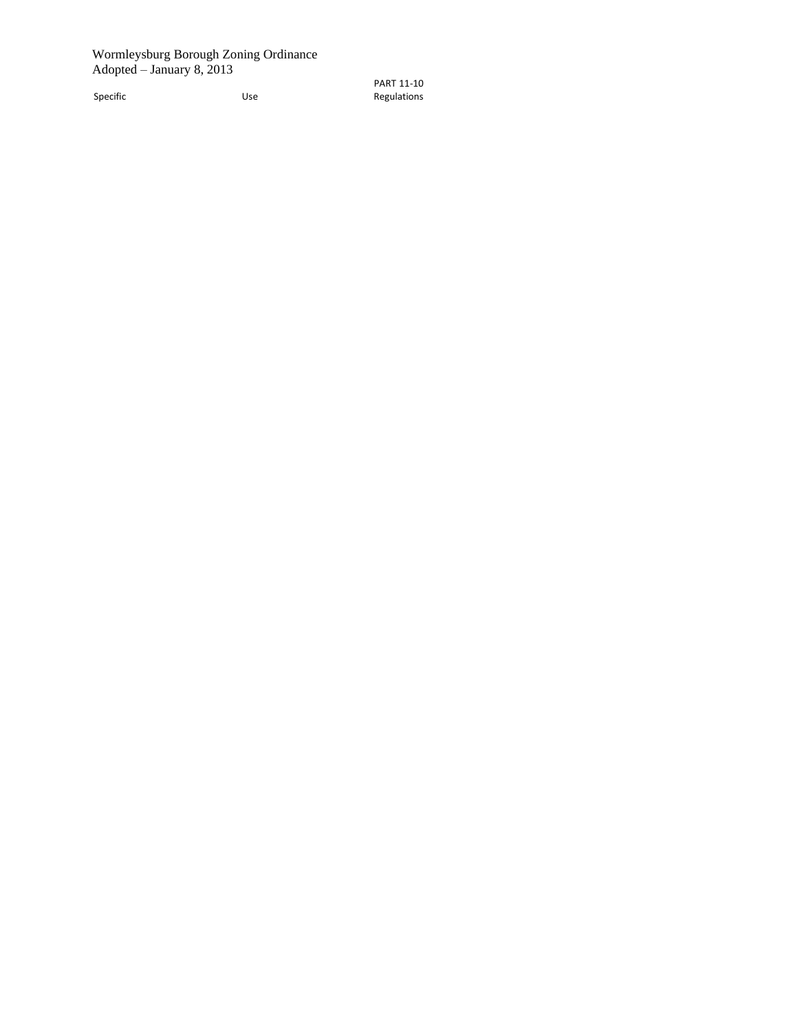Specific VSE Use Contract Use Regulations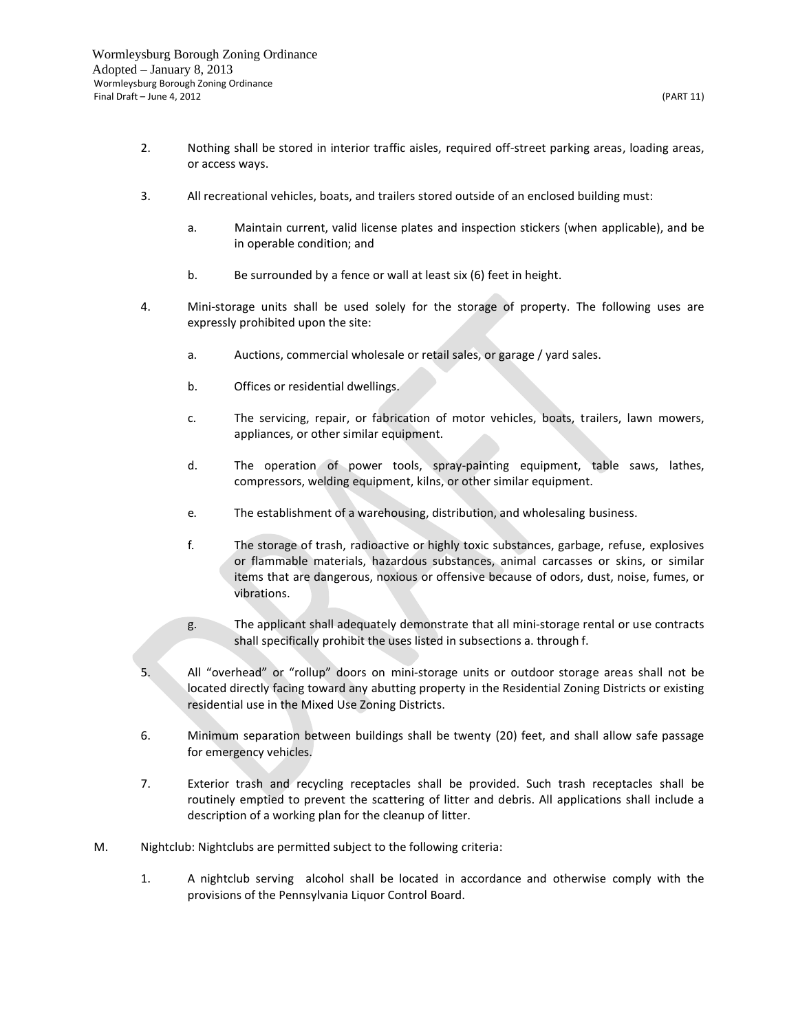- 2. Nothing shall be stored in interior traffic aisles, required off-street parking areas, loading areas, or access ways.
- 3. All recreational vehicles, boats, and trailers stored outside of an enclosed building must:
	- a. Maintain current, valid license plates and inspection stickers (when applicable), and be in operable condition; and
	- b. Be surrounded by a fence or wall at least six (6) feet in height.
- 4. Mini-storage units shall be used solely for the storage of property. The following uses are expressly prohibited upon the site:
	- a. Auctions, commercial wholesale or retail sales, or garage / yard sales.
	- b. Offices or residential dwellings.
	- c. The servicing, repair, or fabrication of motor vehicles, boats, trailers, lawn mowers, appliances, or other similar equipment.
	- d. The operation of power tools, spray-painting equipment, table saws, lathes, compressors, welding equipment, kilns, or other similar equipment.
	- e. The establishment of a warehousing, distribution, and wholesaling business.
	- f. The storage of trash, radioactive or highly toxic substances, garbage, refuse, explosives or flammable materials, hazardous substances, animal carcasses or skins, or similar items that are dangerous, noxious or offensive because of odors, dust, noise, fumes, or vibrations.
	- g. The applicant shall adequately demonstrate that all mini-storage rental or use contracts shall specifically prohibit the uses listed in subsections a. through f.
- 5. All "overhead" or "rollup" doors on mini-storage units or outdoor storage areas shall not be located directly facing toward any abutting property in the Residential Zoning Districts or existing residential use in the Mixed Use Zoning Districts.
- 6. Minimum separation between buildings shall be twenty (20) feet, and shall allow safe passage for emergency vehicles.
- 7. Exterior trash and recycling receptacles shall be provided. Such trash receptacles shall be routinely emptied to prevent the scattering of litter and debris. All applications shall include a description of a working plan for the cleanup of litter.
- M. Nightclub: Nightclubs are permitted subject to the following criteria:
	- 1. A nightclub serving alcohol shall be located in accordance and otherwise comply with the provisions of the Pennsylvania Liquor Control Board.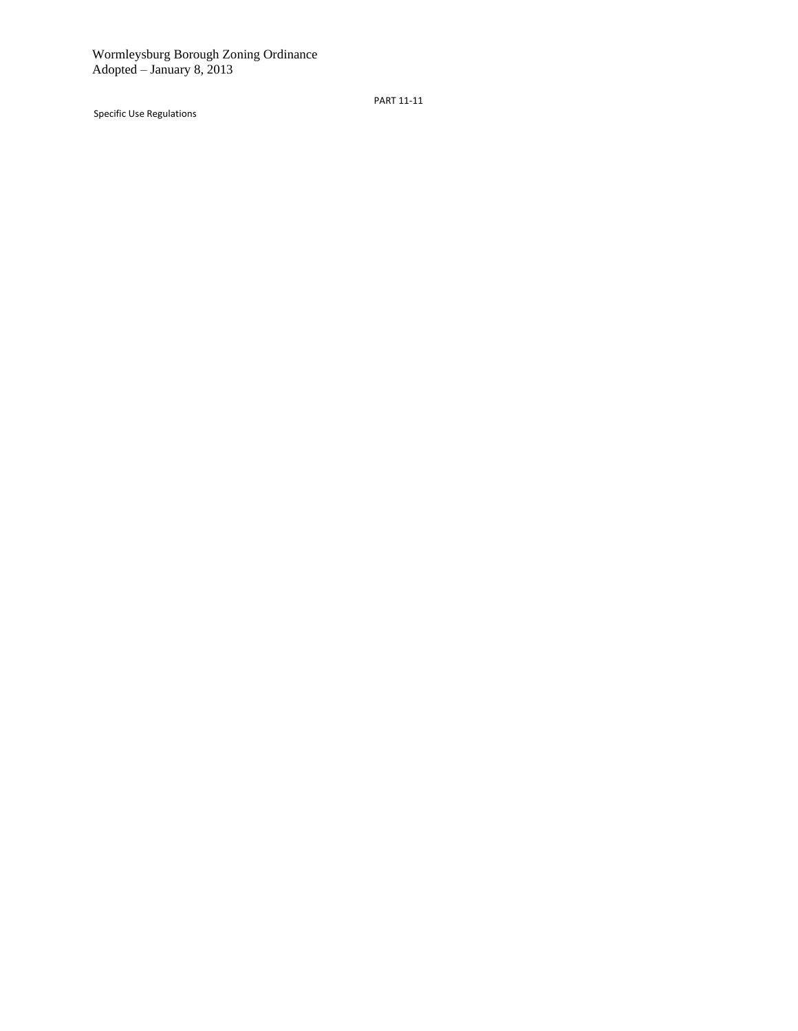Specific Use Regulations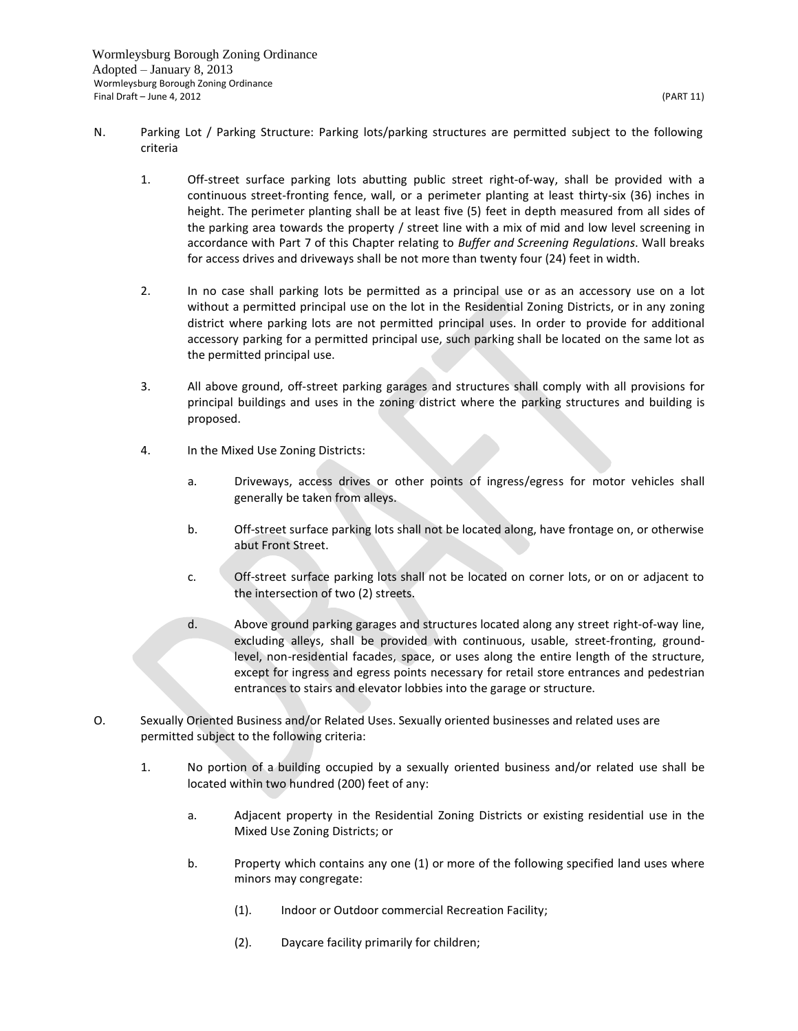- N. Parking Lot / Parking Structure: Parking lots/parking structures are permitted subject to the following criteria
	- 1. Off-street surface parking lots abutting public street right-of-way, shall be provided with a continuous street-fronting fence, wall, or a perimeter planting at least thirty-six (36) inches in height. The perimeter planting shall be at least five (5) feet in depth measured from all sides of the parking area towards the property / street line with a mix of mid and low level screening in accordance with Part 7 of this Chapter relating to *Buffer and Screening Regulations*. Wall breaks for access drives and driveways shall be not more than twenty four (24) feet in width.
	- 2. In no case shall parking lots be permitted as a principal use or as an accessory use on a lot without a permitted principal use on the lot in the Residential Zoning Districts, or in any zoning district where parking lots are not permitted principal uses. In order to provide for additional accessory parking for a permitted principal use, such parking shall be located on the same lot as the permitted principal use.
	- 3. All above ground, off-street parking garages and structures shall comply with all provisions for principal buildings and uses in the zoning district where the parking structures and building is proposed.
	- 4. In the Mixed Use Zoning Districts:
		- a. Driveways, access drives or other points of ingress/egress for motor vehicles shall generally be taken from alleys.
		- b. Off-street surface parking lots shall not be located along, have frontage on, or otherwise abut Front Street.
		- c. Off-street surface parking lots shall not be located on corner lots, or on or adjacent to the intersection of two (2) streets.
		- d. Above ground parking garages and structures located along any street right-of-way line, excluding alleys, shall be provided with continuous, usable, street-fronting, groundlevel, non-residential facades, space, or uses along the entire length of the structure, except for ingress and egress points necessary for retail store entrances and pedestrian entrances to stairs and elevator lobbies into the garage or structure.
- O. Sexually Oriented Business and/or Related Uses. Sexually oriented businesses and related uses are permitted subject to the following criteria:
	- 1. No portion of a building occupied by a sexually oriented business and/or related use shall be located within two hundred (200) feet of any:
		- a. Adjacent property in the Residential Zoning Districts or existing residential use in the Mixed Use Zoning Districts; or
		- b. Property which contains any one (1) or more of the following specified land uses where minors may congregate:
			- (1). Indoor or Outdoor commercial Recreation Facility;
			- (2). Daycare facility primarily for children;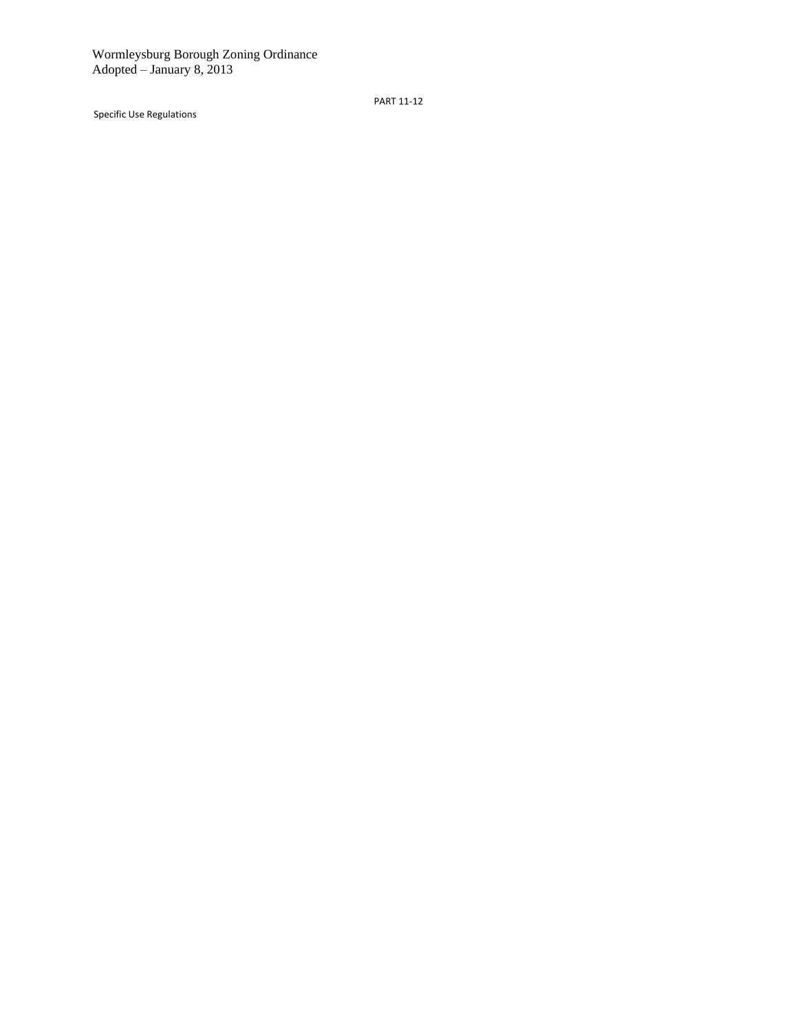Specific Use Regulations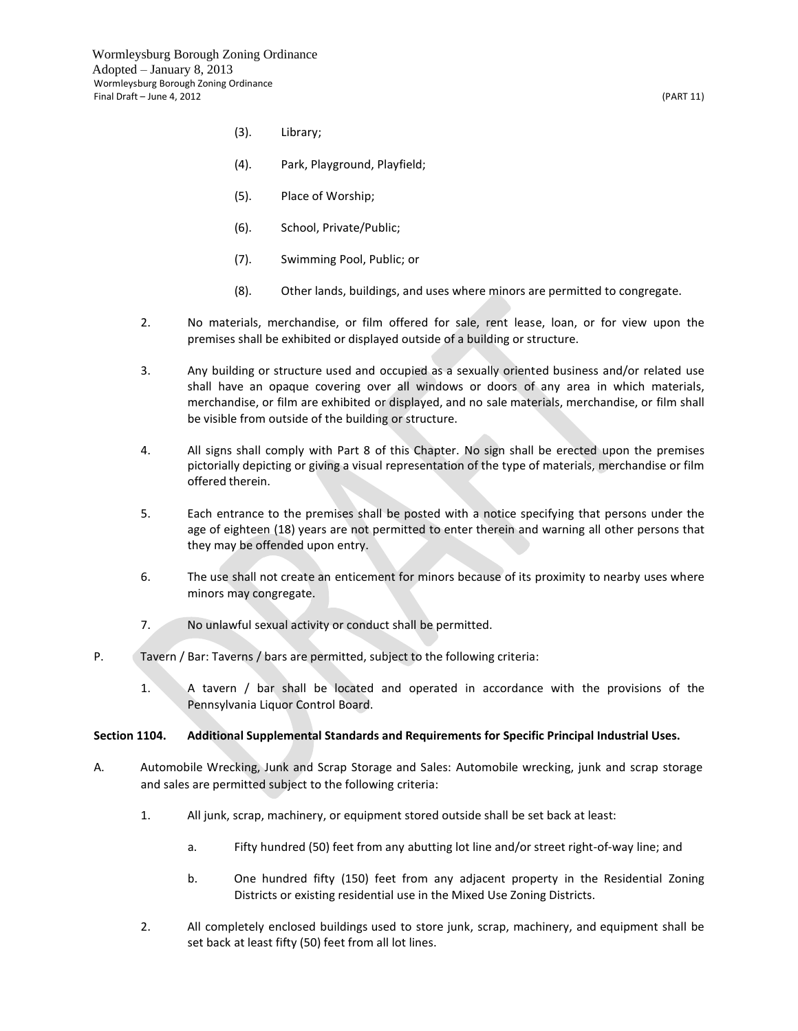- (3). Library;
- (4). Park, Playground, Playfield;
- (5). Place of Worship;
- (6). School, Private/Public;
- (7). Swimming Pool, Public; or
- (8). Other lands, buildings, and uses where minors are permitted to congregate.
- 2. No materials, merchandise, or film offered for sale, rent lease, loan, or for view upon the premises shall be exhibited or displayed outside of a building or structure.
- 3. Any building or structure used and occupied as a sexually oriented business and/or related use shall have an opaque covering over all windows or doors of any area in which materials, merchandise, or film are exhibited or displayed, and no sale materials, merchandise, or film shall be visible from outside of the building or structure.
- 4. All signs shall comply with Part 8 of this Chapter. No sign shall be erected upon the premises pictorially depicting or giving a visual representation of the type of materials, merchandise or film offered therein.
- 5. Each entrance to the premises shall be posted with a notice specifying that persons under the age of eighteen (18) years are not permitted to enter therein and warning all other persons that they may be offended upon entry.
- 6. The use shall not create an enticement for minors because of its proximity to nearby uses where minors may congregate.
- 7. No unlawful sexual activity or conduct shall be permitted.
- P. Tavern / Bar: Taverns / bars are permitted, subject to the following criteria:
	- 1. A tavern / bar shall be located and operated in accordance with the provisions of the Pennsylvania Liquor Control Board.

## **Section 1104. Additional Supplemental Standards and Requirements for Specific Principal Industrial Uses.**

- A. Automobile Wrecking, Junk and Scrap Storage and Sales: Automobile wrecking, junk and scrap storage and sales are permitted subject to the following criteria:
	- 1. All junk, scrap, machinery, or equipment stored outside shall be set back at least:
		- a. Fifty hundred (50) feet from any abutting lot line and/or street right-of-way line; and
		- b. One hundred fifty (150) feet from any adjacent property in the Residential Zoning Districts or existing residential use in the Mixed Use Zoning Districts.
	- 2. All completely enclosed buildings used to store junk, scrap, machinery, and equipment shall be set back at least fifty (50) feet from all lot lines.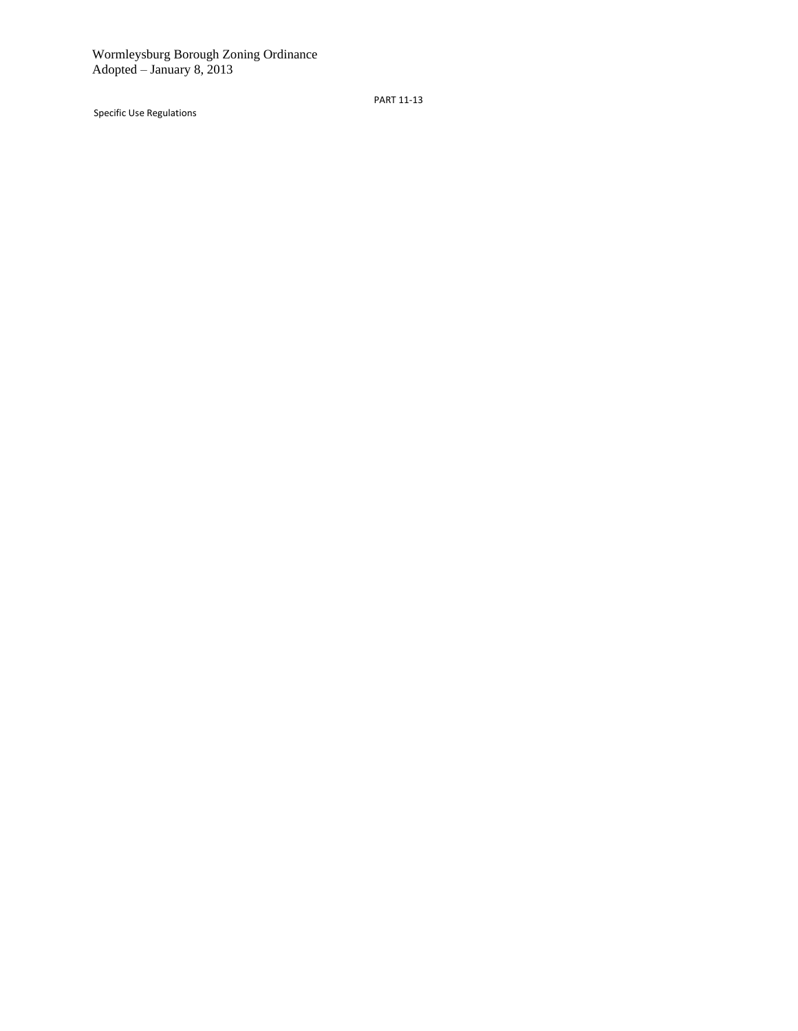Specific Use Regulations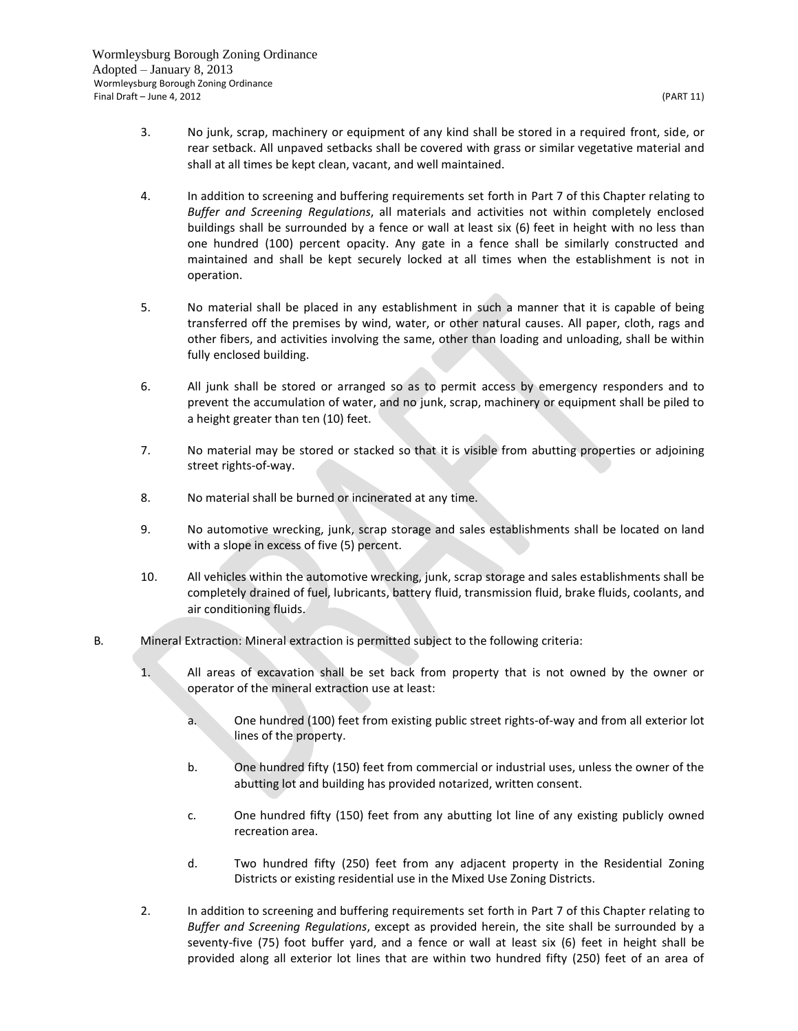- 
- 3. No junk, scrap, machinery or equipment of any kind shall be stored in a required front, side, or rear setback. All unpaved setbacks shall be covered with grass or similar vegetative material and shall at all times be kept clean, vacant, and well maintained.
- 4. In addition to screening and buffering requirements set forth in Part 7 of this Chapter relating to *Buffer and Screening Regulations*, all materials and activities not within completely enclosed buildings shall be surrounded by a fence or wall at least six (6) feet in height with no less than one hundred (100) percent opacity. Any gate in a fence shall be similarly constructed and maintained and shall be kept securely locked at all times when the establishment is not in operation.
- 5. No material shall be placed in any establishment in such a manner that it is capable of being transferred off the premises by wind, water, or other natural causes. All paper, cloth, rags and other fibers, and activities involving the same, other than loading and unloading, shall be within fully enclosed building.
- 6. All junk shall be stored or arranged so as to permit access by emergency responders and to prevent the accumulation of water, and no junk, scrap, machinery or equipment shall be piled to a height greater than ten (10) feet.
- 7. No material may be stored or stacked so that it is visible from abutting properties or adjoining street rights-of-way.
- 8. No material shall be burned or incinerated at any time.
- 9. No automotive wrecking, junk, scrap storage and sales establishments shall be located on land with a slope in excess of five (5) percent.
- 10. All vehicles within the automotive wrecking, junk, scrap storage and sales establishments shall be completely drained of fuel, lubricants, battery fluid, transmission fluid, brake fluids, coolants, and air conditioning fluids.
- B. Mineral Extraction: Mineral extraction is permitted subject to the following criteria:
	- 1. All areas of excavation shall be set back from property that is not owned by the owner or operator of the mineral extraction use at least:
		- a. One hundred (100) feet from existing public street rights-of-way and from all exterior lot lines of the property.
		- b. One hundred fifty (150) feet from commercial or industrial uses, unless the owner of the abutting lot and building has provided notarized, written consent.
		- c. One hundred fifty (150) feet from any abutting lot line of any existing publicly owned recreation area.
		- d. Two hundred fifty (250) feet from any adjacent property in the Residential Zoning Districts or existing residential use in the Mixed Use Zoning Districts.
	- 2. In addition to screening and buffering requirements set forth in Part 7 of this Chapter relating to *Buffer and Screening Regulations*, except as provided herein, the site shall be surrounded by a seventy-five (75) foot buffer yard, and a fence or wall at least six (6) feet in height shall be provided along all exterior lot lines that are within two hundred fifty (250) feet of an area of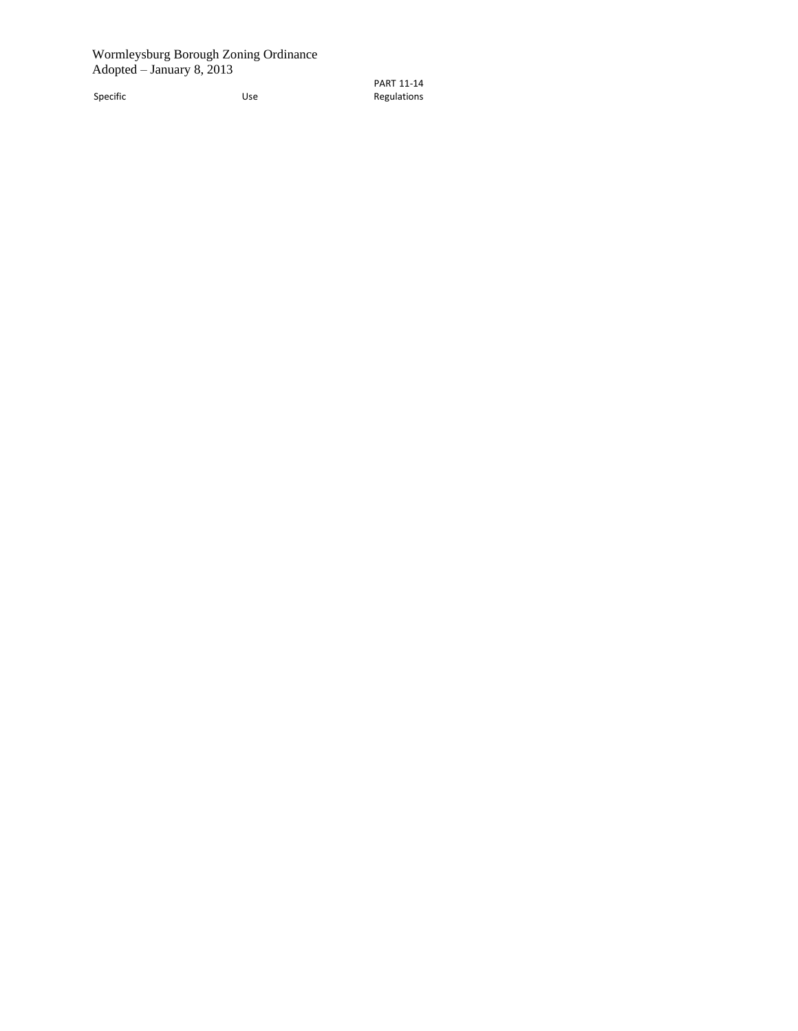Specific VSE Use Contract Use Regulations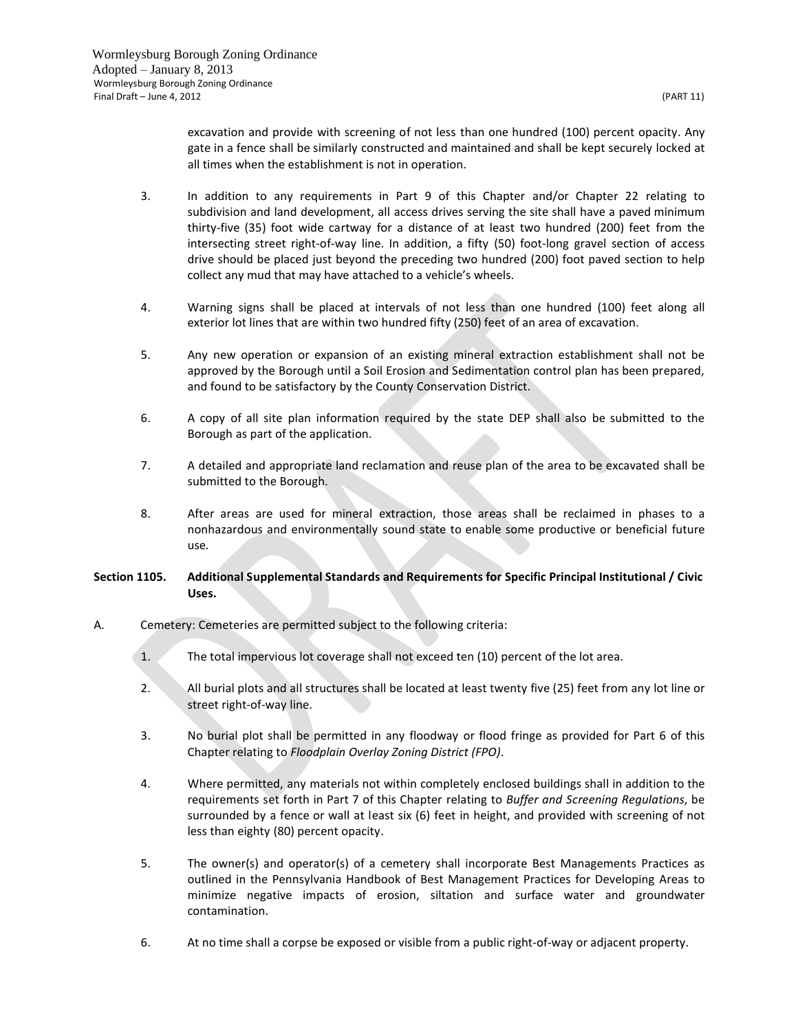excavation and provide with screening of not less than one hundred (100) percent opacity. Any gate in a fence shall be similarly constructed and maintained and shall be kept securely locked at all times when the establishment is not in operation.

- 3. In addition to any requirements in Part 9 of this Chapter and/or Chapter 22 relating to subdivision and land development, all access drives serving the site shall have a paved minimum thirty-five (35) foot wide cartway for a distance of at least two hundred (200) feet from the intersecting street right-of-way line. In addition, a fifty (50) foot-long gravel section of access drive should be placed just beyond the preceding two hundred (200) foot paved section to help collect any mud that may have attached to a vehicle's wheels.
- 4. Warning signs shall be placed at intervals of not less than one hundred (100) feet along all exterior lot lines that are within two hundred fifty (250) feet of an area of excavation.
- 5. Any new operation or expansion of an existing mineral extraction establishment shall not be approved by the Borough until a Soil Erosion and Sedimentation control plan has been prepared, and found to be satisfactory by the County Conservation District.
- 6. A copy of all site plan information required by the state DEP shall also be submitted to the Borough as part of the application.
- 7. A detailed and appropriate land reclamation and reuse plan of the area to be excavated shall be submitted to the Borough.
- 8. After areas are used for mineral extraction, those areas shall be reclaimed in phases to a nonhazardous and environmentally sound state to enable some productive or beneficial future use.

## **Section 1105. Additional Supplemental Standards and Requirements for Specific Principal Institutional / Civic Uses.**

- A. Cemetery: Cemeteries are permitted subject to the following criteria:
	- 1. The total impervious lot coverage shall not exceed ten (10) percent of the lot area.
	- 2. All burial plots and all structures shall be located at least twenty five (25) feet from any lot line or street right-of-way line.
	- 3. No burial plot shall be permitted in any floodway or flood fringe as provided for Part 6 of this Chapter relating to *Floodplain Overlay Zoning District (FPO)*.
	- 4. Where permitted, any materials not within completely enclosed buildings shall in addition to the requirements set forth in Part 7 of this Chapter relating to *Buffer and Screening Regulations*, be surrounded by a fence or wall at least six (6) feet in height, and provided with screening of not less than eighty (80) percent opacity.
	- 5. The owner(s) and operator(s) of a cemetery shall incorporate Best Managements Practices as outlined in the Pennsylvania Handbook of Best Management Practices for Developing Areas to minimize negative impacts of erosion, siltation and surface water and groundwater contamination.
	- 6. At no time shall a corpse be exposed or visible from a public right-of-way or adjacent property.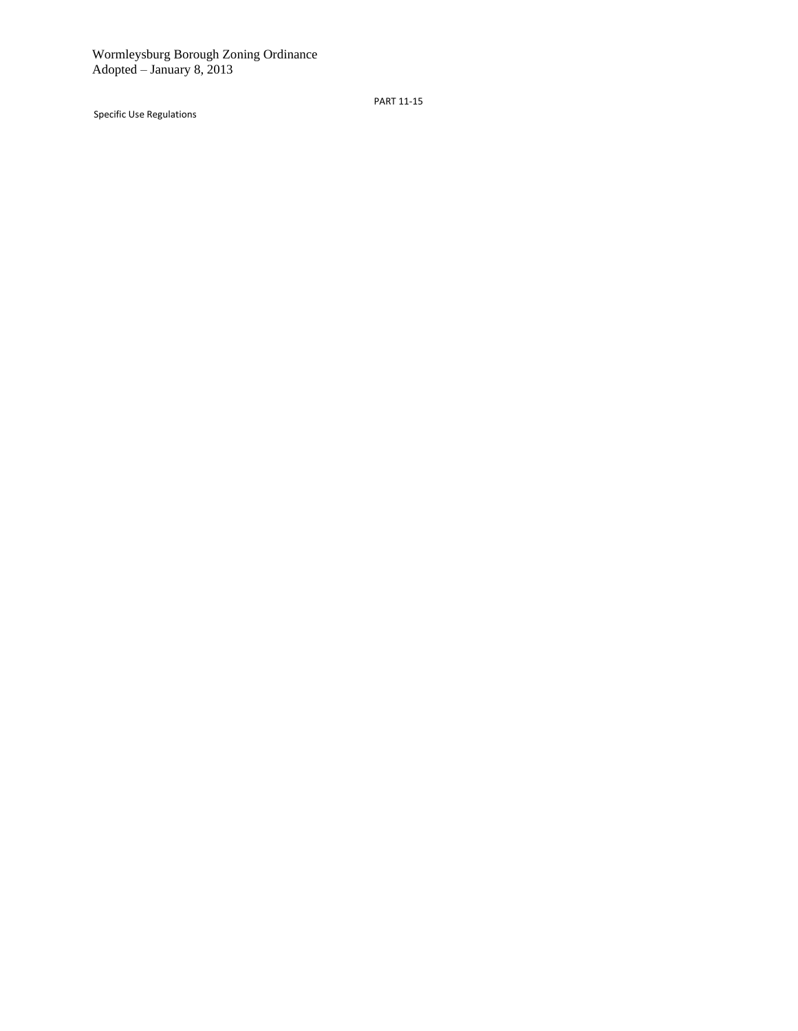Specific Use Regulations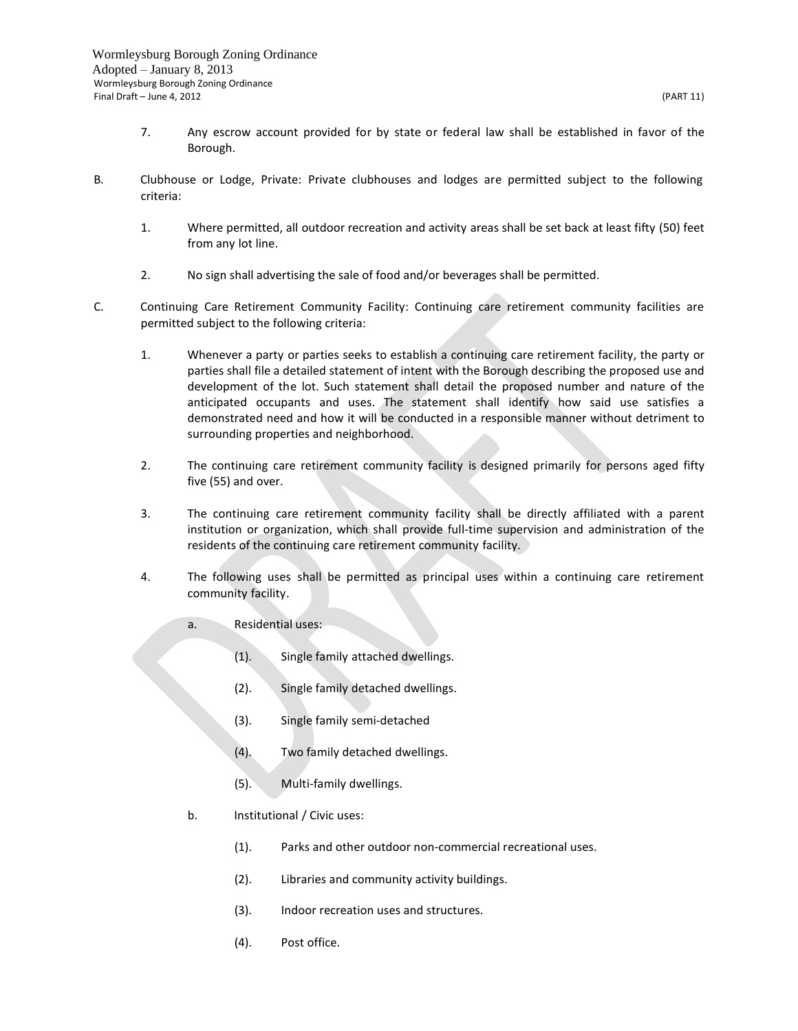- 7. Any escrow account provided for by state or federal law shall be established in favor of the Borough.
- B. Clubhouse or Lodge, Private: Private clubhouses and lodges are permitted subject to the following criteria:
	- 1. Where permitted, all outdoor recreation and activity areas shall be set back at least fifty (50) feet from any lot line.
	- 2. No sign shall advertising the sale of food and/or beverages shall be permitted.
- C. Continuing Care Retirement Community Facility: Continuing care retirement community facilities are permitted subject to the following criteria:
	- 1. Whenever a party or parties seeks to establish a continuing care retirement facility, the party or parties shall file a detailed statement of intent with the Borough describing the proposed use and development of the lot. Such statement shall detail the proposed number and nature of the anticipated occupants and uses. The statement shall identify how said use satisfies a demonstrated need and how it will be conducted in a responsible manner without detriment to surrounding properties and neighborhood.
	- 2. The continuing care retirement community facility is designed primarily for persons aged fifty five (55) and over.
	- 3. The continuing care retirement community facility shall be directly affiliated with a parent institution or organization, which shall provide full-time supervision and administration of the residents of the continuing care retirement community facility.
	- 4. The following uses shall be permitted as principal uses within a continuing care retirement community facility.
		- a. Residential uses:
			- (1). Single family attached dwellings.
			- (2). Single family detached dwellings.
			- (3). Single family semi-detached
			- (4). Two family detached dwellings.
			- (5). Multi-family dwellings.
		- b. Institutional / Civic uses:
			- (1). Parks and other outdoor non-commercial recreational uses.
			- (2). Libraries and community activity buildings.
			- (3). Indoor recreation uses and structures.
			- (4). Post office.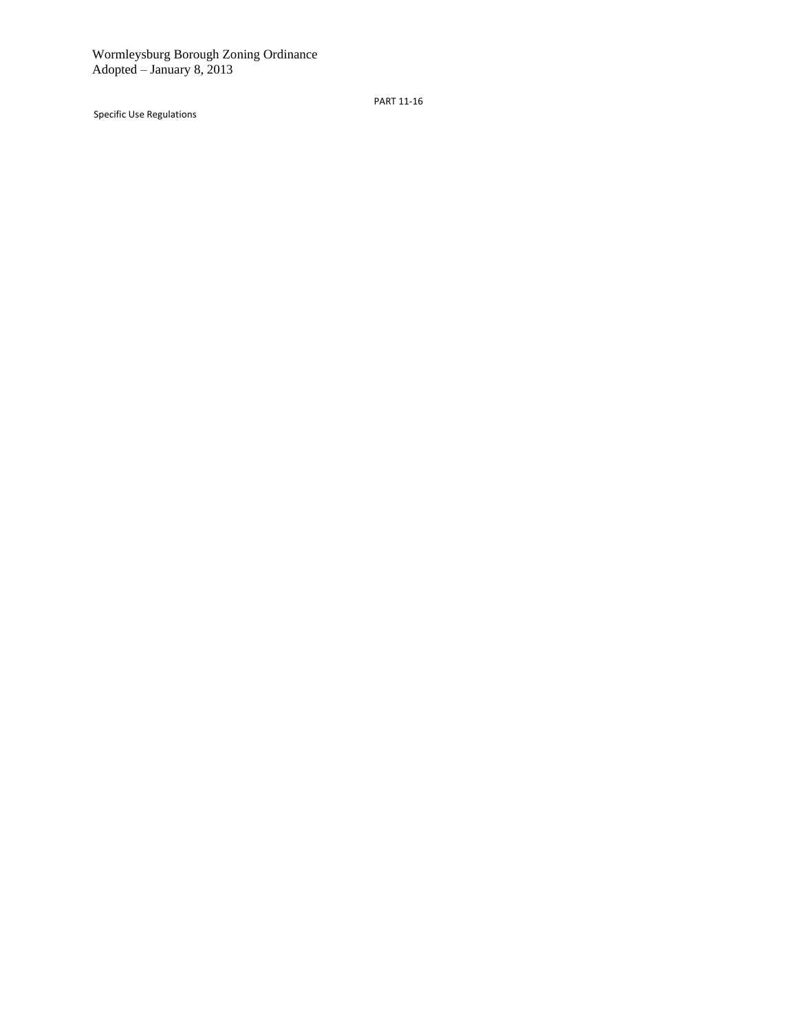Specific Use Regulations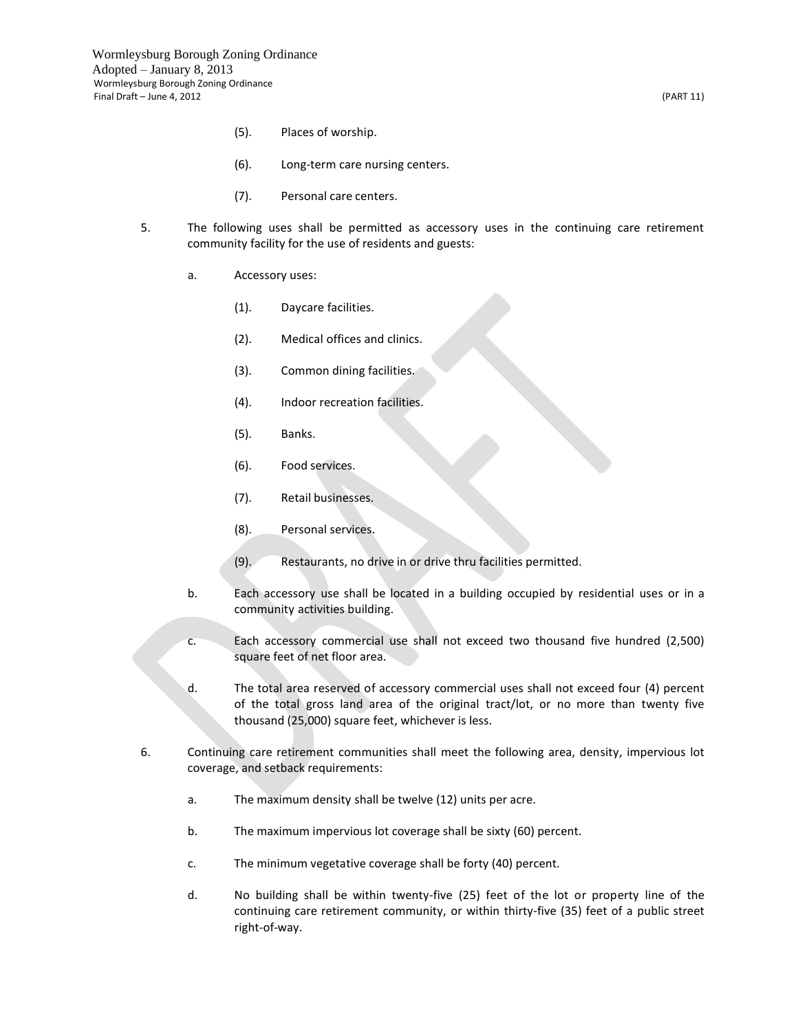- (5). Places of worship.
- (6). Long-term care nursing centers.
- (7). Personal care centers.
- 5. The following uses shall be permitted as accessory uses in the continuing care retirement community facility for the use of residents and guests:
	- a. Accessory uses:
		- (1). Daycare facilities.
		- (2). Medical offices and clinics.
		- (3). Common dining facilities.
		- (4). Indoor recreation facilities.
		- (5). Banks.
		- (6). Food services.
		- (7). Retail businesses.
		- (8). Personal services.
		- (9). Restaurants, no drive in or drive thru facilities permitted.
	- b. Each accessory use shall be located in a building occupied by residential uses or in a community activities building.
	- c. Each accessory commercial use shall not exceed two thousand five hundred (2,500) square feet of net floor area.
	- d. The total area reserved of accessory commercial uses shall not exceed four (4) percent of the total gross land area of the original tract/lot, or no more than twenty five thousand (25,000) square feet, whichever is less.
- 6. Continuing care retirement communities shall meet the following area, density, impervious lot coverage, and setback requirements:
	- a. The maximum density shall be twelve (12) units per acre.
	- b. The maximum impervious lot coverage shall be sixty (60) percent.
	- c. The minimum vegetative coverage shall be forty (40) percent.
	- d. No building shall be within twenty-five (25) feet of the lot or property line of the continuing care retirement community, or within thirty-five (35) feet of a public street right-of-way.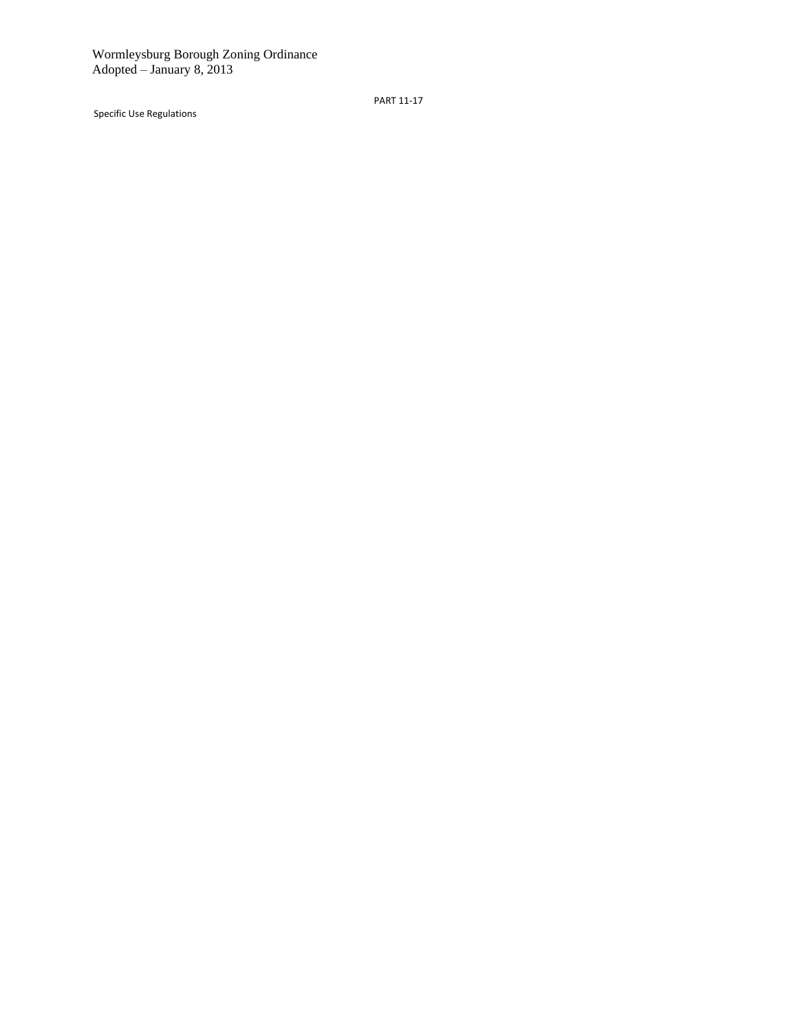Specific Use Regulations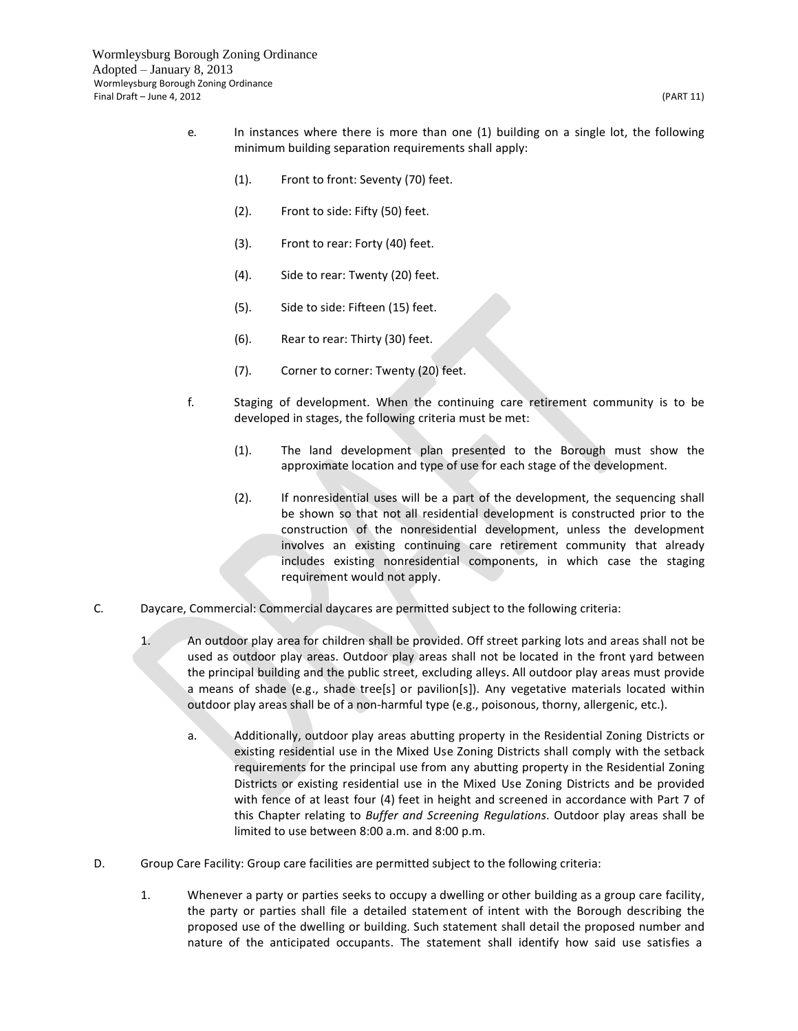- e. In instances where there is more than one (1) building on a single lot, the following minimum building separation requirements shall apply:
	- (1). Front to front: Seventy (70) feet.
	- (2). Front to side: Fifty (50) feet.
	- (3). Front to rear: Forty (40) feet.
	- (4). Side to rear: Twenty (20) feet.
	- (5). Side to side: Fifteen (15) feet.
	- (6). Rear to rear: Thirty (30) feet.
	- (7). Corner to corner: Twenty (20) feet.
- f. Staging of development. When the continuing care retirement community is to be developed in stages, the following criteria must be met:
	- (1). The land development plan presented to the Borough must show the approximate location and type of use for each stage of the development.
	- (2). If nonresidential uses will be a part of the development, the sequencing shall be shown so that not all residential development is constructed prior to the construction of the nonresidential development, unless the development involves an existing continuing care retirement community that already includes existing nonresidential components, in which case the staging requirement would not apply.
- C. Daycare, Commercial: Commercial daycares are permitted subject to the following criteria:
	- 1. An outdoor play area for children shall be provided. Off street parking lots and areas shall not be used as outdoor play areas. Outdoor play areas shall not be located in the front yard between the principal building and the public street, excluding alleys. All outdoor play areas must provide a means of shade (e.g., shade tree[s] or pavilion[s]). Any vegetative materials located within outdoor play areas shall be of a non-harmful type (e.g., poisonous, thorny, allergenic, etc.).
		- a. Additionally, outdoor play areas abutting property in the Residential Zoning Districts or existing residential use in the Mixed Use Zoning Districts shall comply with the setback requirements for the principal use from any abutting property in the Residential Zoning Districts or existing residential use in the Mixed Use Zoning Districts and be provided with fence of at least four (4) feet in height and screened in accordance with Part 7 of this Chapter relating to *Buffer and Screening Regulations*. Outdoor play areas shall be limited to use between 8:00 a.m. and 8:00 p.m.
- D. Group Care Facility: Group care facilities are permitted subject to the following criteria:
	- 1. Whenever a party or parties seeks to occupy a dwelling or other building as a group care facility, the party or parties shall file a detailed statement of intent with the Borough describing the proposed use of the dwelling or building. Such statement shall detail the proposed number and nature of the anticipated occupants. The statement shall identify how said use satisfies a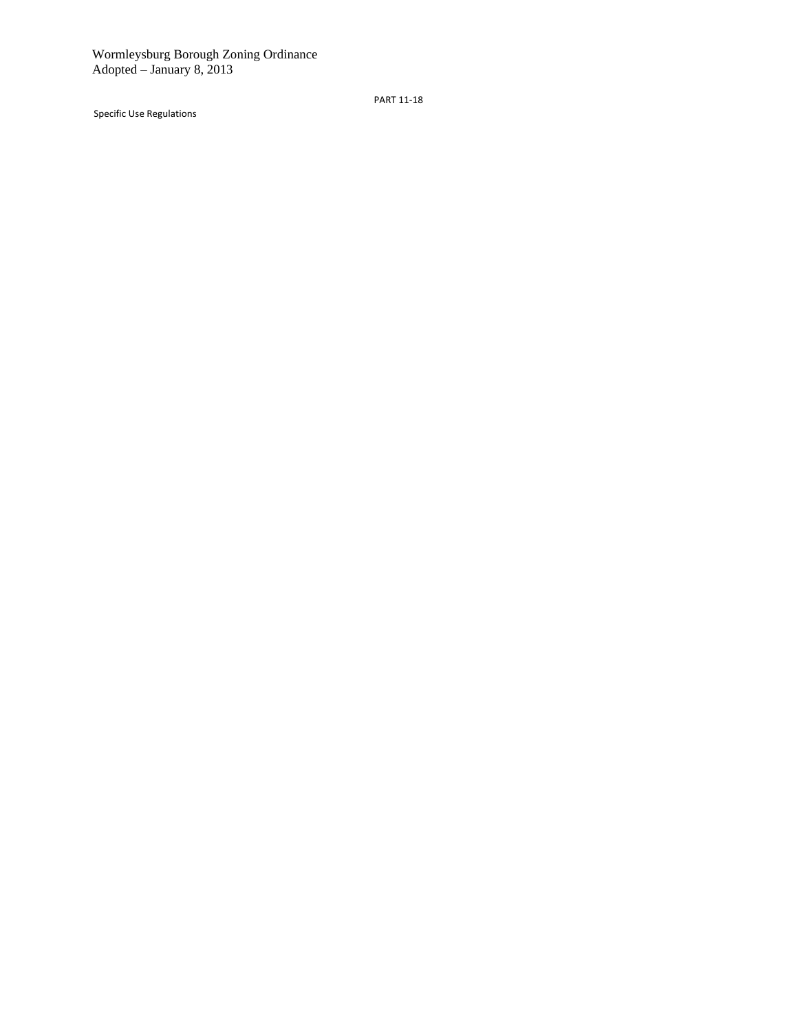Specific Use Regulations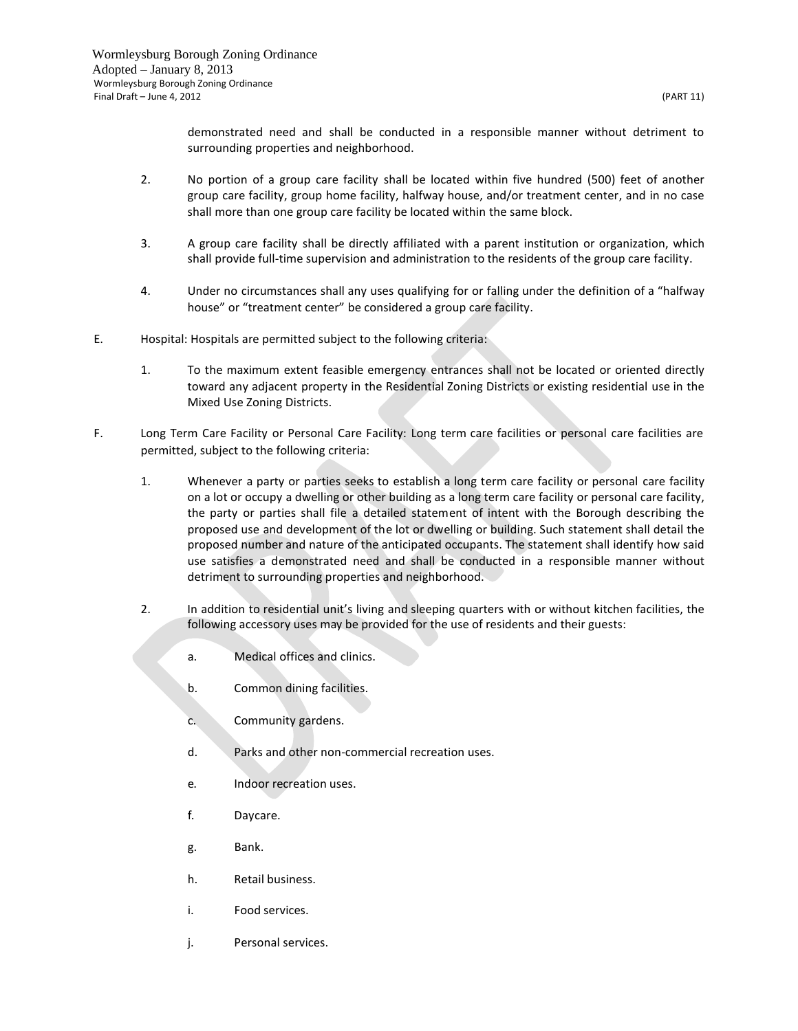demonstrated need and shall be conducted in a responsible manner without detriment to surrounding properties and neighborhood.

- 2. No portion of a group care facility shall be located within five hundred (500) feet of another group care facility, group home facility, halfway house, and/or treatment center, and in no case shall more than one group care facility be located within the same block.
- 3. A group care facility shall be directly affiliated with a parent institution or organization, which shall provide full-time supervision and administration to the residents of the group care facility.
- 4. Under no circumstances shall any uses qualifying for or falling under the definition of a "halfway house" or "treatment center" be considered a group care facility.
- E. Hospital: Hospitals are permitted subject to the following criteria:
	- 1. To the maximum extent feasible emergency entrances shall not be located or oriented directly toward any adjacent property in the Residential Zoning Districts or existing residential use in the Mixed Use Zoning Districts.
- F. Long Term Care Facility or Personal Care Facility: Long term care facilities or personal care facilities are permitted, subject to the following criteria:
	- 1. Whenever a party or parties seeks to establish a long term care facility or personal care facility on a lot or occupy a dwelling or other building as a long term care facility or personal care facility, the party or parties shall file a detailed statement of intent with the Borough describing the proposed use and development of the lot or dwelling or building. Such statement shall detail the proposed number and nature of the anticipated occupants. The statement shall identify how said use satisfies a demonstrated need and shall be conducted in a responsible manner without detriment to surrounding properties and neighborhood.
	- 2. In addition to residential unit's living and sleeping quarters with or without kitchen facilities, the following accessory uses may be provided for the use of residents and their guests:
		- a. Medical offices and clinics.
		- b. Common dining facilities.
		- c. Community gardens.
		- d. Parks and other non-commercial recreation uses.
		- e. Indoor recreation uses.
		- f. Daycare.
		- g. Bank.
		- h. Retail business.
		- i. Food services.
		- j. Personal services.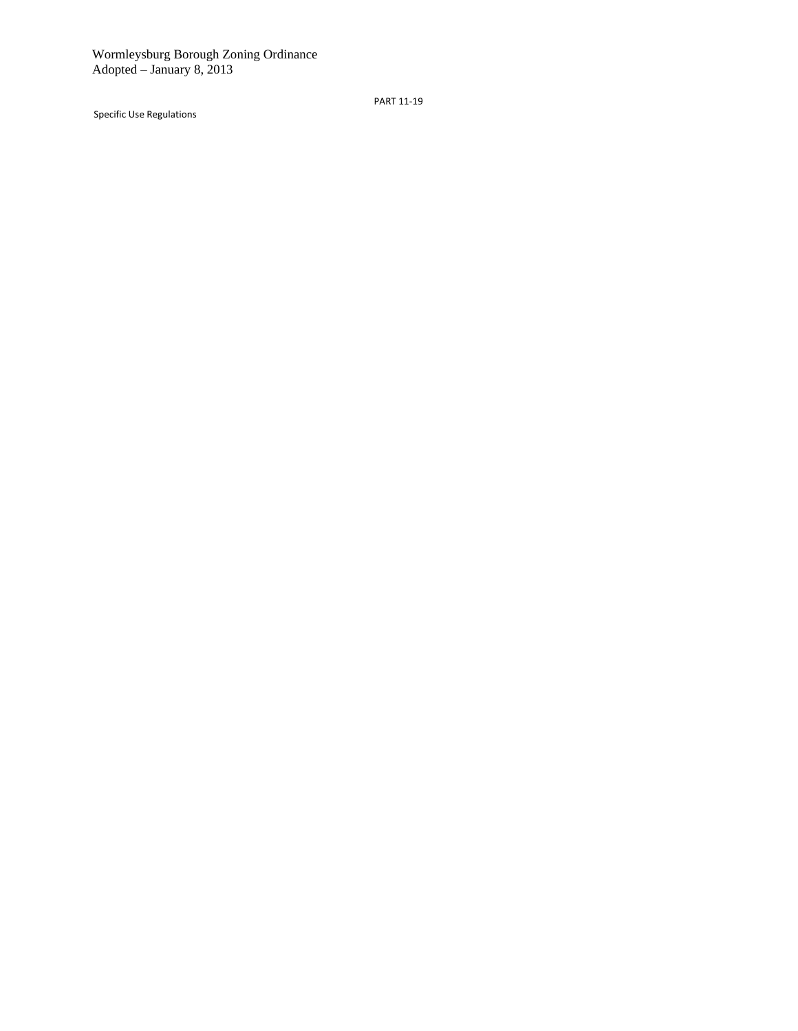Specific Use Regulations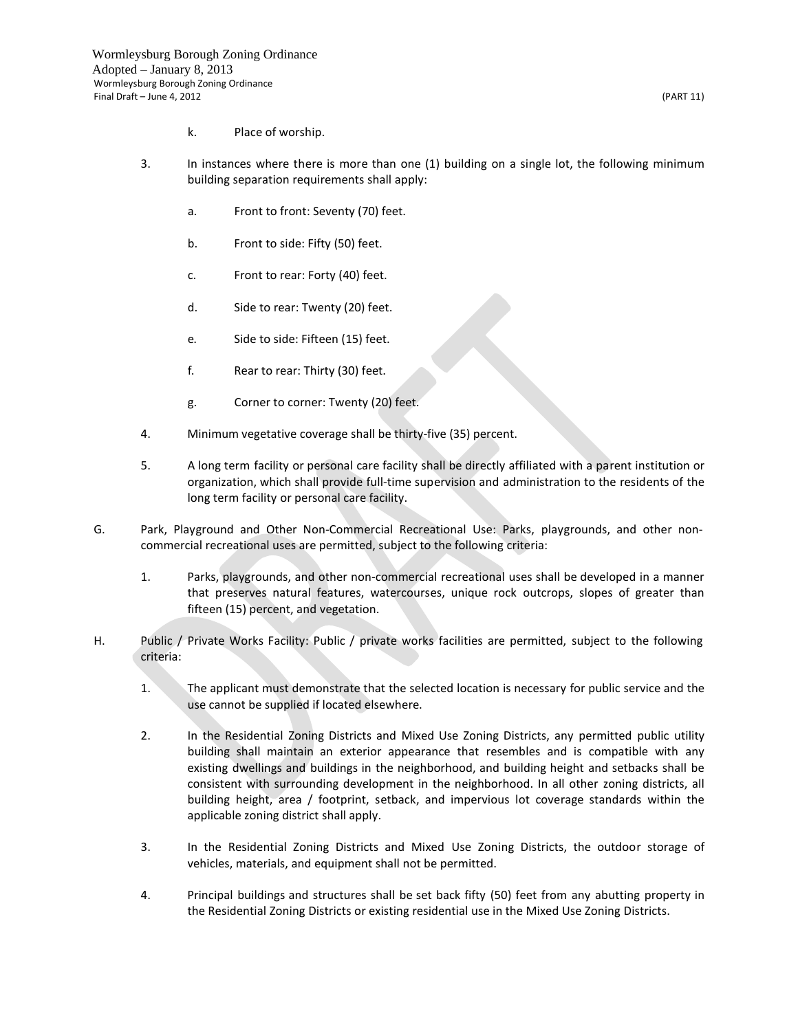- 3. In instances where there is more than one (1) building on a single lot, the following minimum building separation requirements shall apply:
	- a. Front to front: Seventy (70) feet.
	- b. Front to side: Fifty (50) feet.
	- c. Front to rear: Forty (40) feet.
	- d. Side to rear: Twenty (20) feet.
	- e. Side to side: Fifteen (15) feet.
	- f. Rear to rear: Thirty (30) feet.
	- g. Corner to corner: Twenty (20) feet.
- 4. Minimum vegetative coverage shall be thirty-five (35) percent.
- 5. A long term facility or personal care facility shall be directly affiliated with a parent institution or organization, which shall provide full-time supervision and administration to the residents of the long term facility or personal care facility.
- G. Park, Playground and Other Non-Commercial Recreational Use: Parks, playgrounds, and other noncommercial recreational uses are permitted, subject to the following criteria:
	- 1. Parks, playgrounds, and other non-commercial recreational uses shall be developed in a manner that preserves natural features, watercourses, unique rock outcrops, slopes of greater than fifteen (15) percent, and vegetation.
- H. Public / Private Works Facility: Public / private works facilities are permitted, subject to the following criteria:
	- 1. The applicant must demonstrate that the selected location is necessary for public service and the use cannot be supplied if located elsewhere.
	- 2. In the Residential Zoning Districts and Mixed Use Zoning Districts, any permitted public utility building shall maintain an exterior appearance that resembles and is compatible with any existing dwellings and buildings in the neighborhood, and building height and setbacks shall be consistent with surrounding development in the neighborhood. In all other zoning districts, all building height, area / footprint, setback, and impervious lot coverage standards within the applicable zoning district shall apply.
	- 3. In the Residential Zoning Districts and Mixed Use Zoning Districts, the outdoor storage of vehicles, materials, and equipment shall not be permitted.
	- 4. Principal buildings and structures shall be set back fifty (50) feet from any abutting property in the Residential Zoning Districts or existing residential use in the Mixed Use Zoning Districts.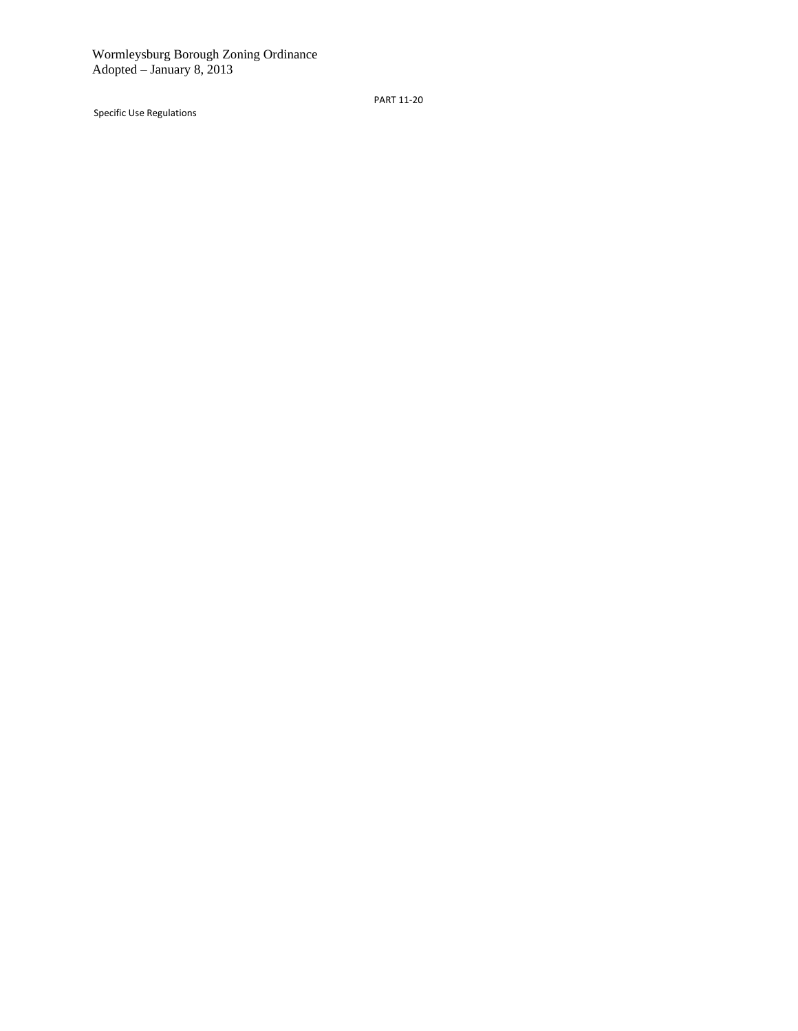Specific Use Regulations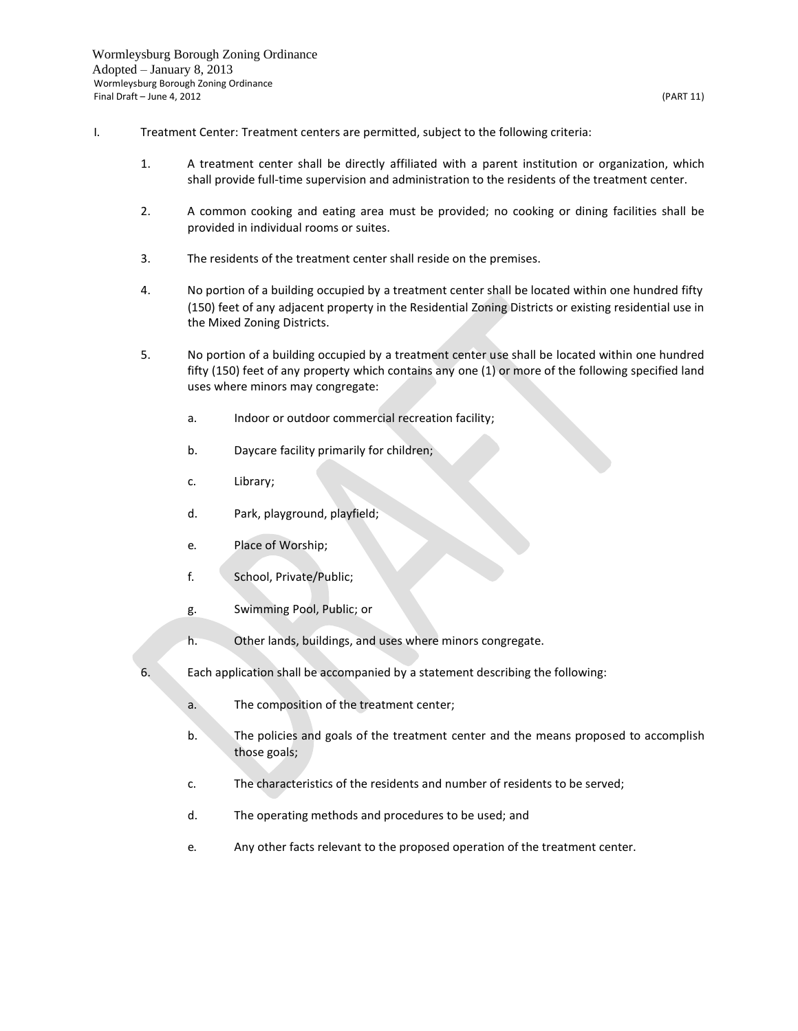- I. Treatment Center: Treatment centers are permitted, subject to the following criteria:
	- 1. A treatment center shall be directly affiliated with a parent institution or organization, which shall provide full-time supervision and administration to the residents of the treatment center.
	- 2. A common cooking and eating area must be provided; no cooking or dining facilities shall be provided in individual rooms or suites.
	- 3. The residents of the treatment center shall reside on the premises.
	- 4. No portion of a building occupied by a treatment center shall be located within one hundred fifty (150) feet of any adjacent property in the Residential Zoning Districts or existing residential use in the Mixed Zoning Districts.
	- 5. No portion of a building occupied by a treatment center use shall be located within one hundred fifty (150) feet of any property which contains any one (1) or more of the following specified land uses where minors may congregate:
		- a. Indoor or outdoor commercial recreation facility;
		- b. Daycare facility primarily for children;
		- c. Library;
		- d. Park, playground, playfield;
		- e. Place of Worship;
		- f. School, Private/Public;
		- g. Swimming Pool, Public; or
		- h. Other lands, buildings, and uses where minors congregate.
	- 6. Each application shall be accompanied by a statement describing the following:
		- a. The composition of the treatment center;
		- b. The policies and goals of the treatment center and the means proposed to accomplish those goals;
		- c. The characteristics of the residents and number of residents to be served;
		- d. The operating methods and procedures to be used; and
		- e. Any other facts relevant to the proposed operation of the treatment center.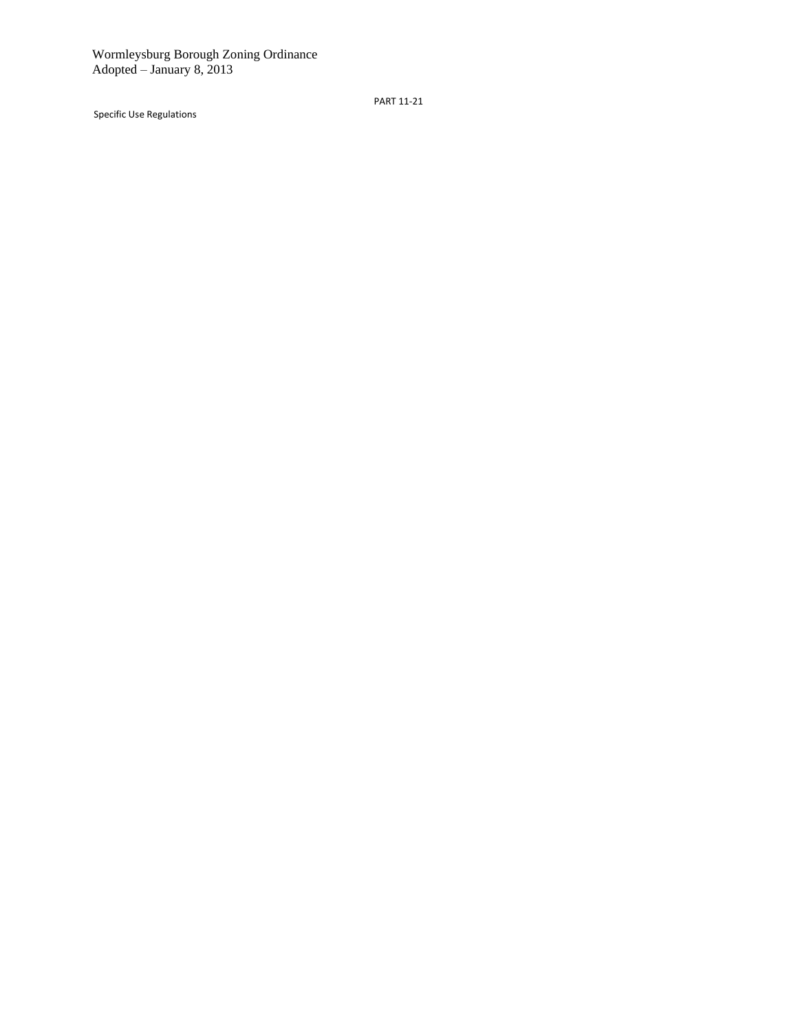Specific Use Regulations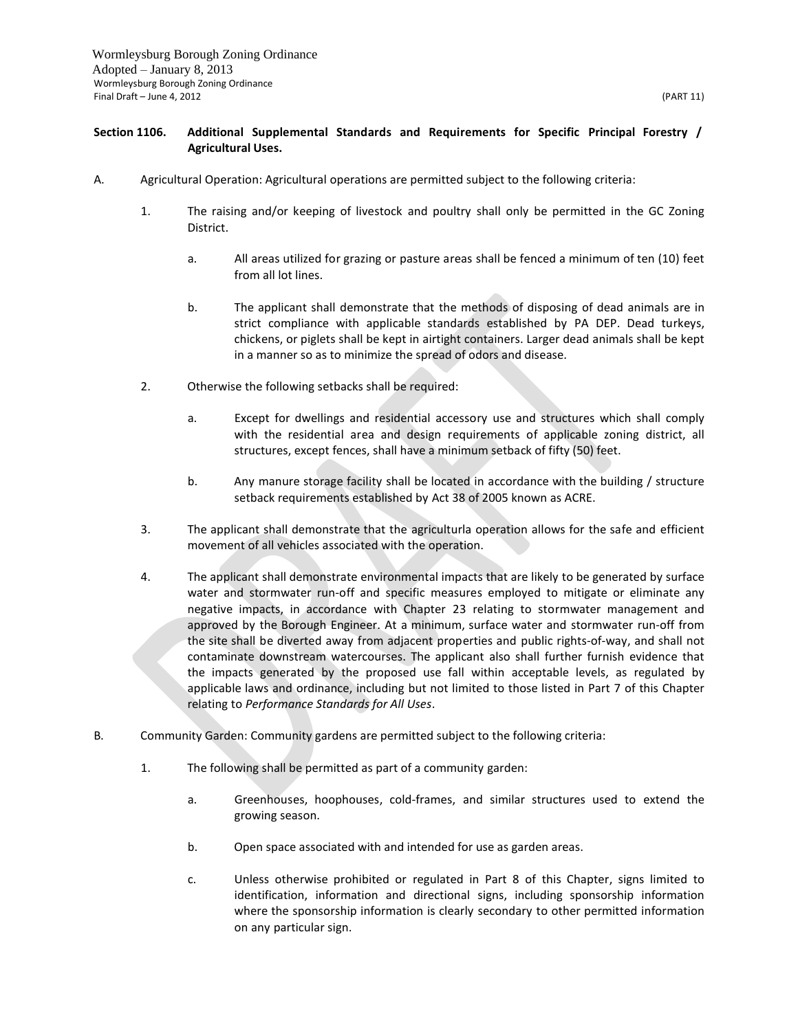## **Section 1106. Additional Supplemental Standards and Requirements for Specific Principal Forestry / Agricultural Uses.**

- A. Agricultural Operation: Agricultural operations are permitted subject to the following criteria:
	- 1. The raising and/or keeping of livestock and poultry shall only be permitted in the GC Zoning District.
		- a. All areas utilized for grazing or pasture areas shall be fenced a minimum of ten (10) feet from all lot lines.
		- b. The applicant shall demonstrate that the methods of disposing of dead animals are in strict compliance with applicable standards established by PA DEP. Dead turkeys, chickens, or piglets shall be kept in airtight containers. Larger dead animals shall be kept in a manner so as to minimize the spread of odors and disease.
	- 2. Otherwise the following setbacks shall be required:
		- a. Except for dwellings and residential accessory use and structures which shall comply with the residential area and design requirements of applicable zoning district, all structures, except fences, shall have a minimum setback of fifty (50) feet.
		- b. Any manure storage facility shall be located in accordance with the building / structure setback requirements established by Act 38 of 2005 known as ACRE.
	- 3. The applicant shall demonstrate that the agriculturla operation allows for the safe and efficient movement of all vehicles associated with the operation.
	- 4. The applicant shall demonstrate environmental impacts that are likely to be generated by surface water and stormwater run-off and specific measures employed to mitigate or eliminate any negative impacts, in accordance with Chapter 23 relating to stormwater management and approved by the Borough Engineer. At a minimum, surface water and stormwater run-off from the site shall be diverted away from adjacent properties and public rights-of-way, and shall not contaminate downstream watercourses. The applicant also shall further furnish evidence that the impacts generated by the proposed use fall within acceptable levels, as regulated by applicable laws and ordinance, including but not limited to those listed in Part 7 of this Chapter relating to *Performance Standards for All Uses*.
- B. Community Garden: Community gardens are permitted subject to the following criteria:
	- 1. The following shall be permitted as part of a community garden:
		- a. Greenhouses, hoophouses, cold-frames, and similar structures used to extend the growing season.
		- b. Open space associated with and intended for use as garden areas.
		- c. Unless otherwise prohibited or regulated in Part 8 of this Chapter, signs limited to identification, information and directional signs, including sponsorship information where the sponsorship information is clearly secondary to other permitted information on any particular sign.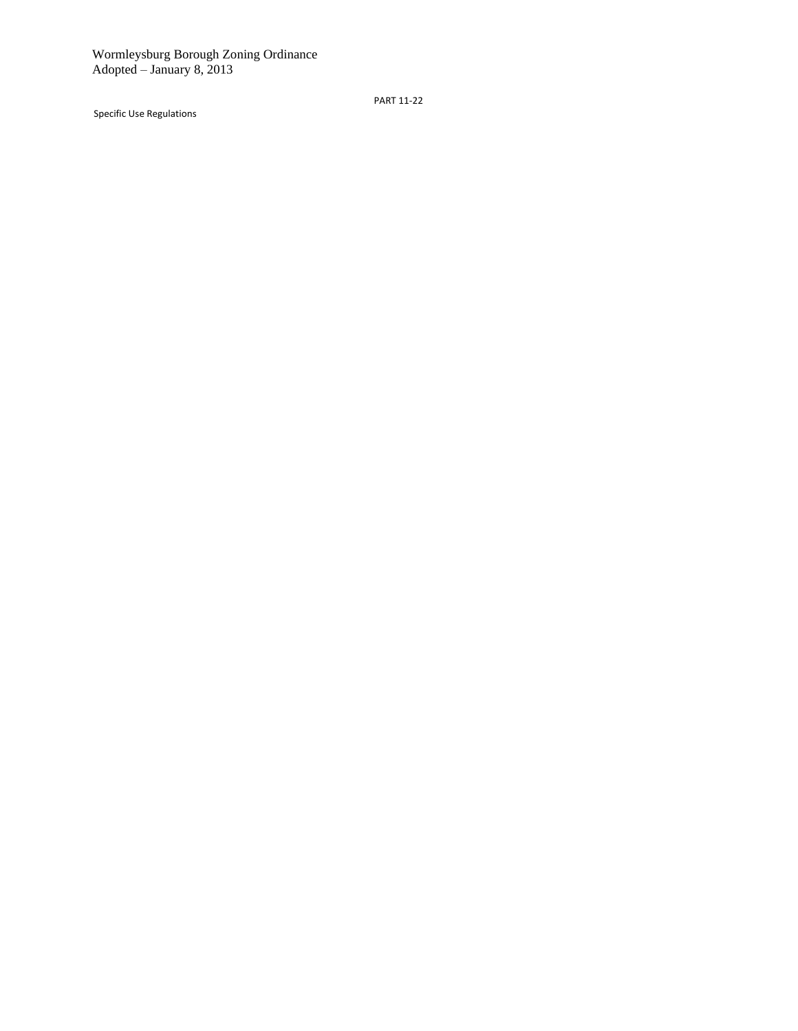Specific Use Regulations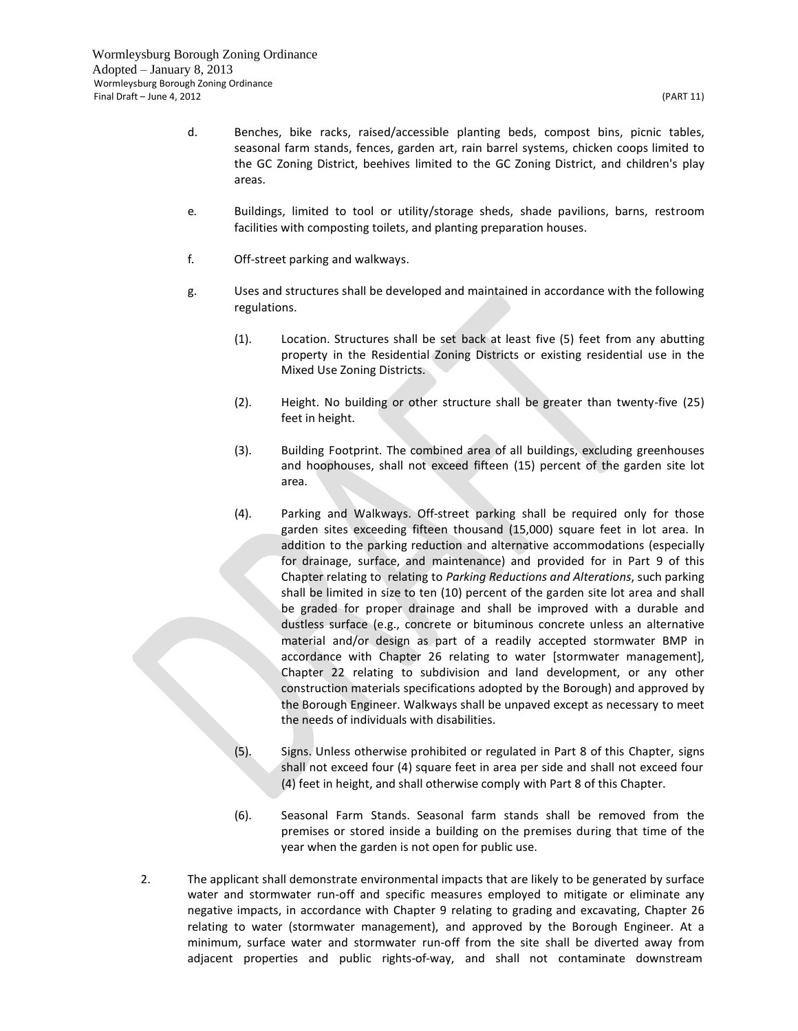- d. Benches, bike racks, raised/accessible planting beds, compost bins, picnic tables, seasonal farm stands, fences, garden art, rain barrel systems, chicken coops limited to the GC Zoning District, beehives limited to the GC Zoning District, and children's play areas.
- e. Buildings, limited to tool or utility/storage sheds, shade pavilions, barns, restroom facilities with composting toilets, and planting preparation houses.
- f. Off-street parking and walkways.
- g. Uses and structures shall be developed and maintained in accordance with the following regulations.
	- (1). Location. Structures shall be set back at least five (5) feet from any abutting property in the Residential Zoning Districts or existing residential use in the Mixed Use Zoning Districts.
	- (2). Height. No building or other structure shall be greater than twenty-five (25) feet in height.
	- (3). Building Footprint. The combined area of all buildings, excluding greenhouses and hoophouses, shall not exceed fifteen (15) percent of the garden site lot area.
	- (4). Parking and Walkways. Off-street parking shall be required only for those garden sites exceeding fifteen thousand (15,000) square feet in lot area. In addition to the parking reduction and alternative accommodations (especially for drainage, surface, and maintenance) and provided for in Part 9 of this Chapter relating to relating to *Parking Reductions and Alterations*, such parking shall be limited in size to ten (10) percent of the garden site lot area and shall be graded for proper drainage and shall be improved with a durable and dustless surface (e.g., concrete or bituminous concrete unless an alternative material and/or design as part of a readily accepted stormwater BMP in accordance with Chapter 26 relating to water [stormwater management], Chapter 22 relating to subdivision and land development, or any other construction materials specifications adopted by the Borough) and approved by the Borough Engineer. Walkways shall be unpaved except as necessary to meet the needs of individuals with disabilities.
	- (5). Signs. Unless otherwise prohibited or regulated in Part 8 of this Chapter, signs shall not exceed four (4) square feet in area per side and shall not exceed four (4) feet in height, and shall otherwise comply with Part 8 of this Chapter.
	- (6). Seasonal Farm Stands. Seasonal farm stands shall be removed from the premises or stored inside a building on the premises during that time of the year when the garden is not open for public use.
- 2. The applicant shall demonstrate environmental impacts that are likely to be generated by surface water and stormwater run-off and specific measures employed to mitigate or eliminate any negative impacts, in accordance with Chapter 9 relating to grading and excavating, Chapter 26 relating to water (stormwater management), and approved by the Borough Engineer. At a minimum, surface water and stormwater run-off from the site shall be diverted away from adjacent properties and public rights-of-way, and shall not contaminate downstream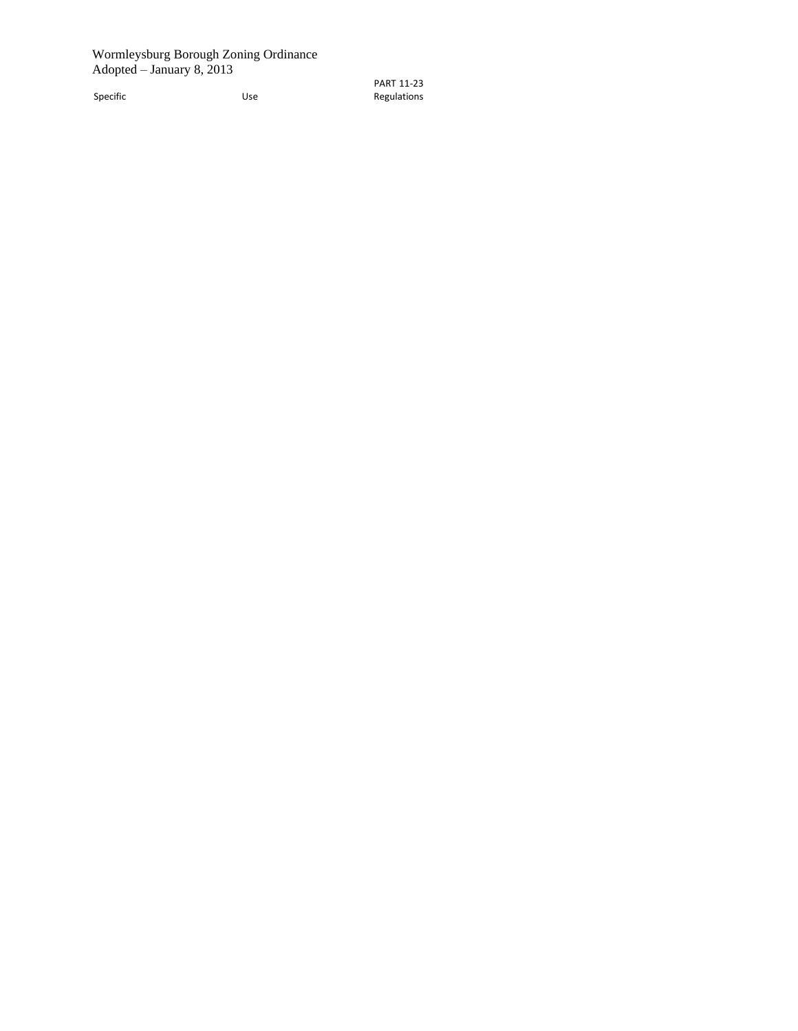Specific VSE Use Contract Use Regulations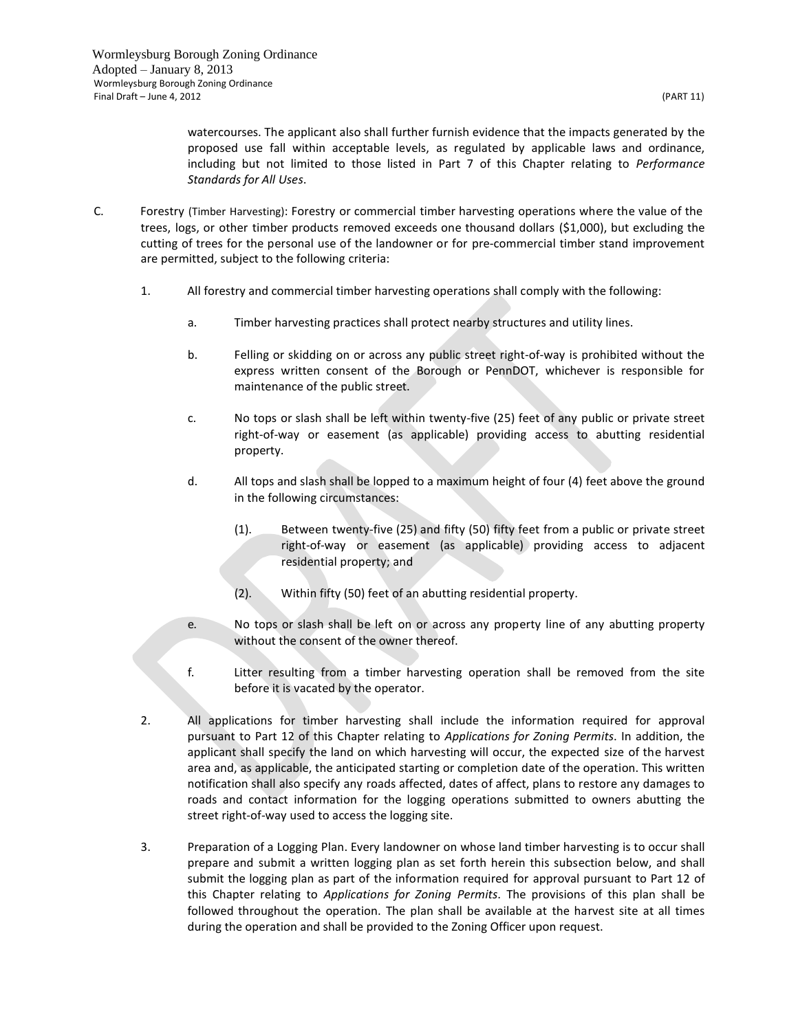watercourses. The applicant also shall further furnish evidence that the impacts generated by the proposed use fall within acceptable levels, as regulated by applicable laws and ordinance, including but not limited to those listed in Part 7 of this Chapter relating to *Performance Standards for All Uses*.

- C. Forestry (Timber Harvesting): Forestry or commercial timber harvesting operations where the value of the trees, logs, or other timber products removed exceeds one thousand dollars (\$1,000), but excluding the cutting of trees for the personal use of the landowner or for pre-commercial timber stand improvement are permitted, subject to the following criteria:
	- 1. All forestry and commercial timber harvesting operations shall comply with the following:
		- a. Timber harvesting practices shall protect nearby structures and utility lines.
		- b. Felling or skidding on or across any public street right-of-way is prohibited without the express written consent of the Borough or PennDOT, whichever is responsible for maintenance of the public street.
		- c. No tops or slash shall be left within twenty-five (25) feet of any public or private street right-of-way or easement (as applicable) providing access to abutting residential property.
		- d. All tops and slash shall be lopped to a maximum height of four (4) feet above the ground in the following circumstances:
			- (1). Between twenty-five (25) and fifty (50) fifty feet from a public or private street right-of-way or easement (as applicable) providing access to adjacent residential property; and
			- (2). Within fifty (50) feet of an abutting residential property.
		- e. No tops or slash shall be left on or across any property line of any abutting property without the consent of the owner thereof.
		- f. Litter resulting from a timber harvesting operation shall be removed from the site before it is vacated by the operator.
	- 2. All applications for timber harvesting shall include the information required for approval pursuant to Part 12 of this Chapter relating to *Applications for Zoning Permits*. In addition, the applicant shall specify the land on which harvesting will occur, the expected size of the harvest area and, as applicable, the anticipated starting or completion date of the operation. This written notification shall also specify any roads affected, dates of affect, plans to restore any damages to roads and contact information for the logging operations submitted to owners abutting the street right-of-way used to access the logging site.
	- 3. Preparation of a Logging Plan. Every landowner on whose land timber harvesting is to occur shall prepare and submit a written logging plan as set forth herein this subsection below, and shall submit the logging plan as part of the information required for approval pursuant to Part 12 of this Chapter relating to *Applications for Zoning Permits*. The provisions of this plan shall be followed throughout the operation. The plan shall be available at the harvest site at all times during the operation and shall be provided to the Zoning Officer upon request.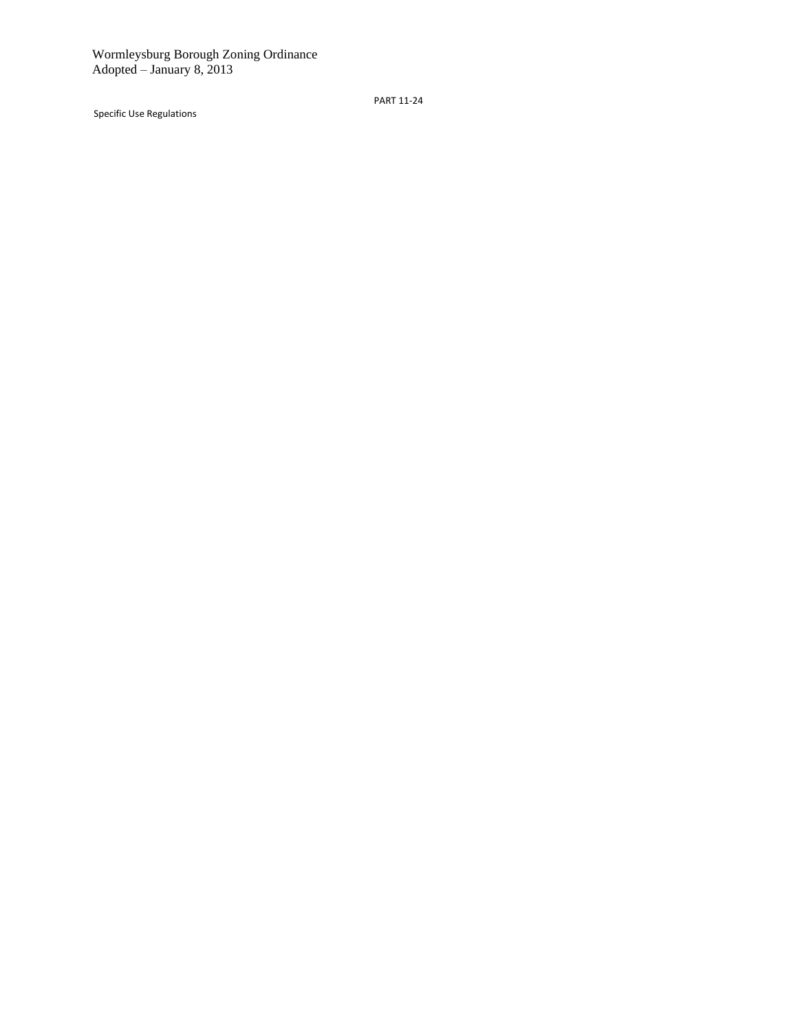Specific Use Regulations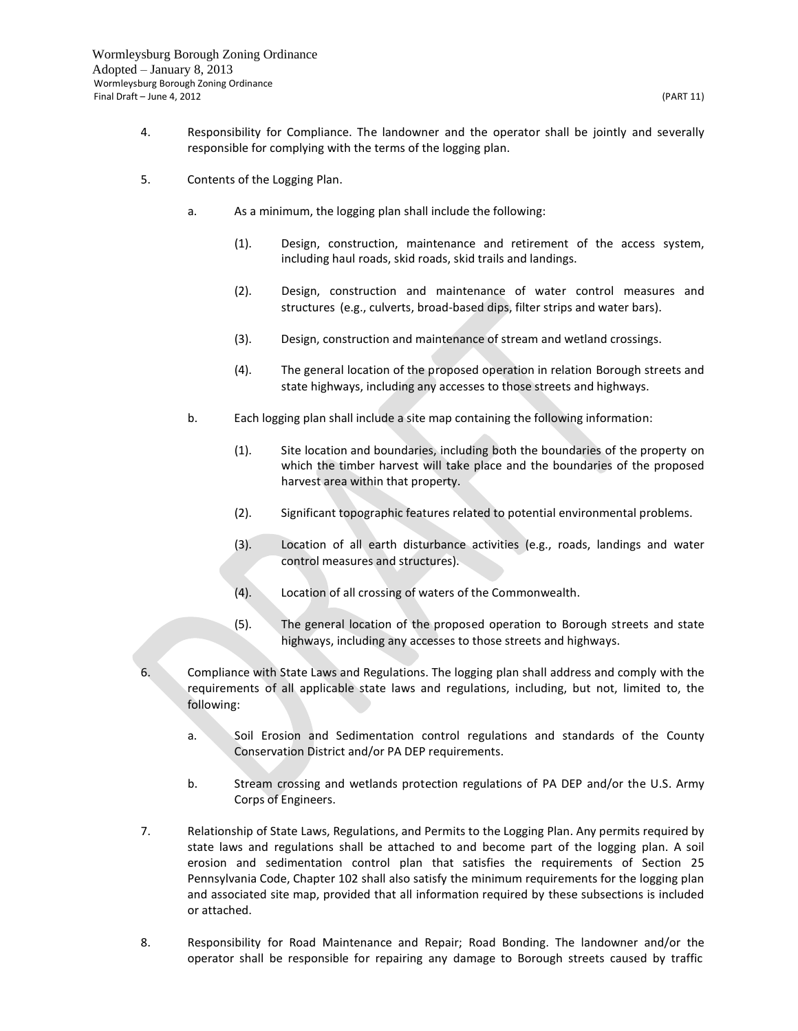- 4. Responsibility for Compliance. The landowner and the operator shall be jointly and severally responsible for complying with the terms of the logging plan.
- 5. Contents of the Logging Plan.
	- a. As a minimum, the logging plan shall include the following:
		- (1). Design, construction, maintenance and retirement of the access system, including haul roads, skid roads, skid trails and landings.
		- (2). Design, construction and maintenance of water control measures and structures (e.g., culverts, broad-based dips, filter strips and water bars).
		- (3). Design, construction and maintenance of stream and wetland crossings.
		- (4). The general location of the proposed operation in relation Borough streets and state highways, including any accesses to those streets and highways.
	- b. Each logging plan shall include a site map containing the following information:
		- (1). Site location and boundaries, including both the boundaries of the property on which the timber harvest will take place and the boundaries of the proposed harvest area within that property.
		- (2). Significant topographic features related to potential environmental problems.
		- (3). Location of all earth disturbance activities (e.g., roads, landings and water control measures and structures).
		- (4). Location of all crossing of waters of the Commonwealth.
		- (5). The general location of the proposed operation to Borough streets and state highways, including any accesses to those streets and highways.
- 6. Compliance with State Laws and Regulations. The logging plan shall address and comply with the requirements of all applicable state laws and regulations, including, but not, limited to, the following:
	- a. Soil Erosion and Sedimentation control regulations and standards of the County Conservation District and/or PA DEP requirements.
	- b. Stream crossing and wetlands protection regulations of PA DEP and/or the U.S. Army Corps of Engineers.
- 7. Relationship of State Laws, Regulations, and Permits to the Logging Plan. Any permits required by state laws and regulations shall be attached to and become part of the logging plan. A soil erosion and sedimentation control plan that satisfies the requirements of Section 25 Pennsylvania Code, Chapter 102 shall also satisfy the minimum requirements for the logging plan and associated site map, provided that all information required by these subsections is included or attached.
- 8. Responsibility for Road Maintenance and Repair; Road Bonding. The landowner and/or the operator shall be responsible for repairing any damage to Borough streets caused by traffic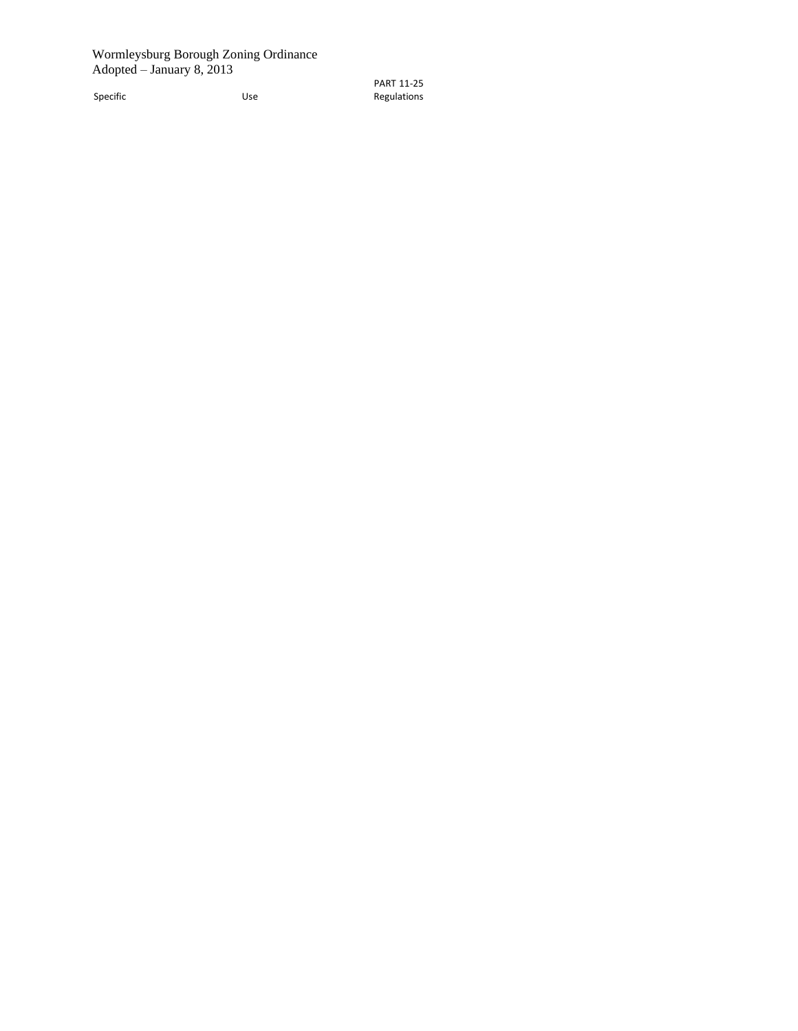Specific VSE Use Contract Use Regulations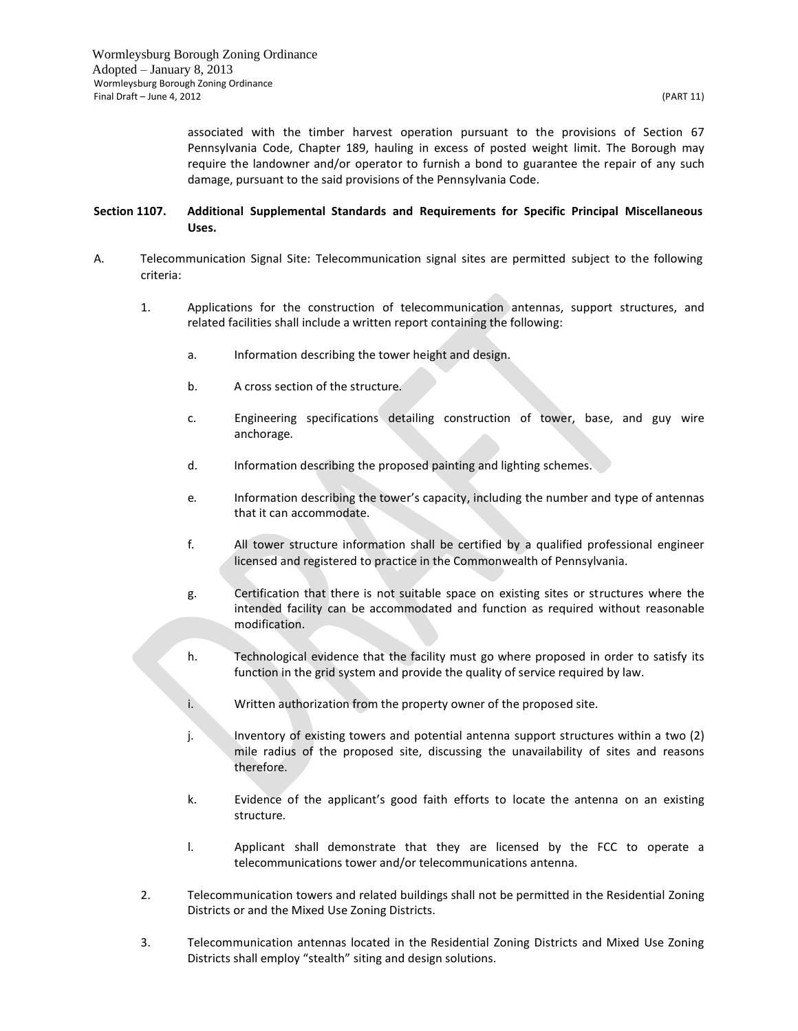associated with the timber harvest operation pursuant to the provisions of Section 67 Pennsylvania Code, Chapter 189, hauling in excess of posted weight limit. The Borough may require the landowner and/or operator to furnish a bond to guarantee the repair of any such damage, pursuant to the said provisions of the Pennsylvania Code.

## **Section 1107. Additional Supplemental Standards and Requirements for Specific Principal Miscellaneous Uses.**

- A. Telecommunication Signal Site: Telecommunication signal sites are permitted subject to the following criteria:
	- 1. Applications for the construction of telecommunication antennas, support structures, and related facilities shall include a written report containing the following:
		- a. Information describing the tower height and design.
		- b. A cross section of the structure.
		- c. Engineering specifications detailing construction of tower, base, and guy wire anchorage.
		- d. Information describing the proposed painting and lighting schemes.
		- e. Information describing the tower's capacity, including the number and type of antennas that it can accommodate.
		- f. All tower structure information shall be certified by a qualified professional engineer licensed and registered to practice in the Commonwealth of Pennsylvania.
		- g. Certification that there is not suitable space on existing sites or structures where the intended facility can be accommodated and function as required without reasonable modification.
		- h. Technological evidence that the facility must go where proposed in order to satisfy its function in the grid system and provide the quality of service required by law.
		- i. Written authorization from the property owner of the proposed site.
		- j. Inventory of existing towers and potential antenna support structures within a two (2) mile radius of the proposed site, discussing the unavailability of sites and reasons therefore.
		- k. Evidence of the applicant's good faith efforts to locate the antenna on an existing structure.
		- l. Applicant shall demonstrate that they are licensed by the FCC to operate a telecommunications tower and/or telecommunications antenna.
	- 2. Telecommunication towers and related buildings shall not be permitted in the Residential Zoning Districts or and the Mixed Use Zoning Districts.
	- 3. Telecommunication antennas located in the Residential Zoning Districts and Mixed Use Zoning Districts shall employ "stealth" siting and design solutions.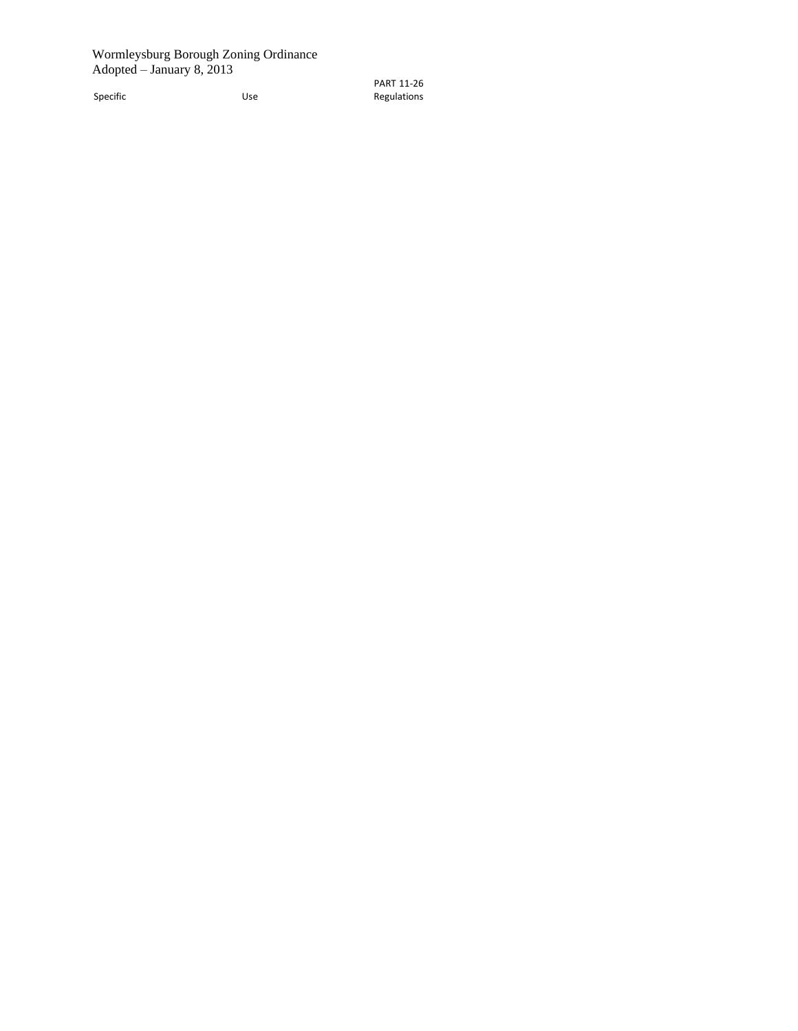Specific VSE Use Contract Use Regulations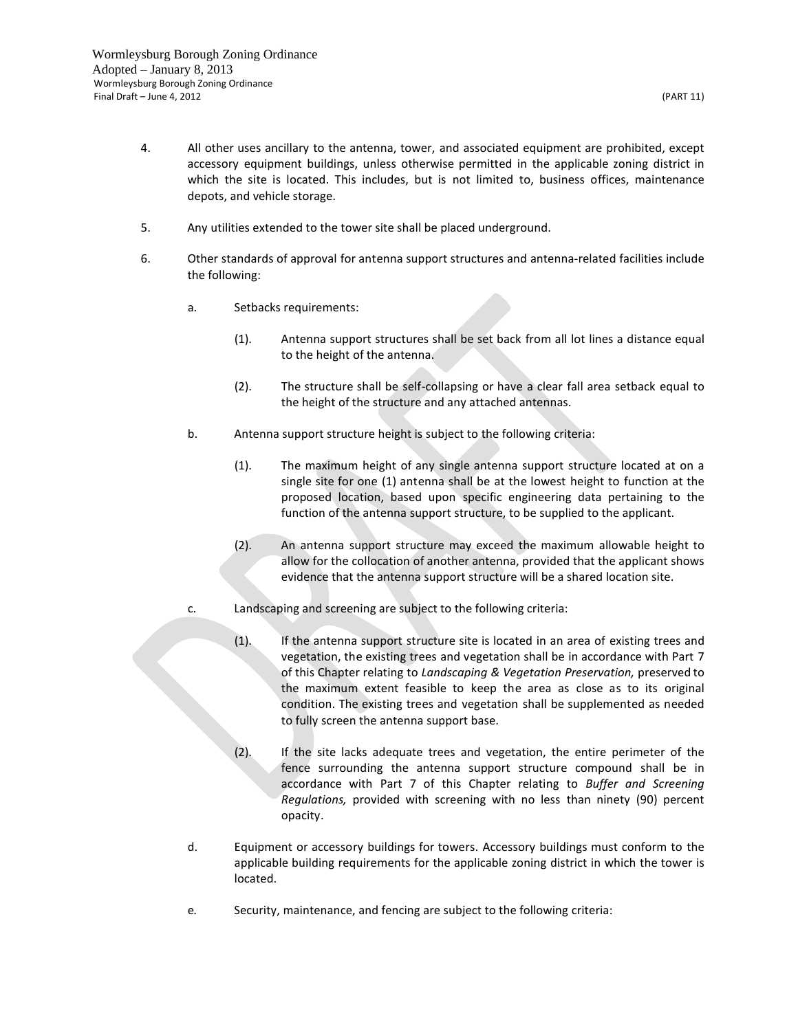- 4. All other uses ancillary to the antenna, tower, and associated equipment are prohibited, except accessory equipment buildings, unless otherwise permitted in the applicable zoning district in which the site is located. This includes, but is not limited to, business offices, maintenance depots, and vehicle storage.
- 5. Any utilities extended to the tower site shall be placed underground.
- 6. Other standards of approval for antenna support structures and antenna-related facilities include the following:
	- a. Setbacks requirements:
		- (1). Antenna support structures shall be set back from all lot lines a distance equal to the height of the antenna.
		- (2). The structure shall be self-collapsing or have a clear fall area setback equal to the height of the structure and any attached antennas.
	- b. Antenna support structure height is subject to the following criteria:
		- (1). The maximum height of any single antenna support structure located at on a single site for one (1) antenna shall be at the lowest height to function at the proposed location, based upon specific engineering data pertaining to the function of the antenna support structure, to be supplied to the applicant.
		- (2). An antenna support structure may exceed the maximum allowable height to allow for the collocation of another antenna, provided that the applicant shows evidence that the antenna support structure will be a shared location site.
	- c. Landscaping and screening are subject to the following criteria:
		- (1). If the antenna support structure site is located in an area of existing trees and vegetation, the existing trees and vegetation shall be in accordance with Part 7 of this Chapter relating to *Landscaping & Vegetation Preservation,* preserved to the maximum extent feasible to keep the area as close as to its original condition. The existing trees and vegetation shall be supplemented as needed to fully screen the antenna support base.
		- (2). If the site lacks adequate trees and vegetation, the entire perimeter of the fence surrounding the antenna support structure compound shall be in accordance with Part 7 of this Chapter relating to *Buffer and Screening Regulations,* provided with screening with no less than ninety (90) percent opacity.
	- d. Equipment or accessory buildings for towers. Accessory buildings must conform to the applicable building requirements for the applicable zoning district in which the tower is located.
	- e. Security, maintenance, and fencing are subject to the following criteria: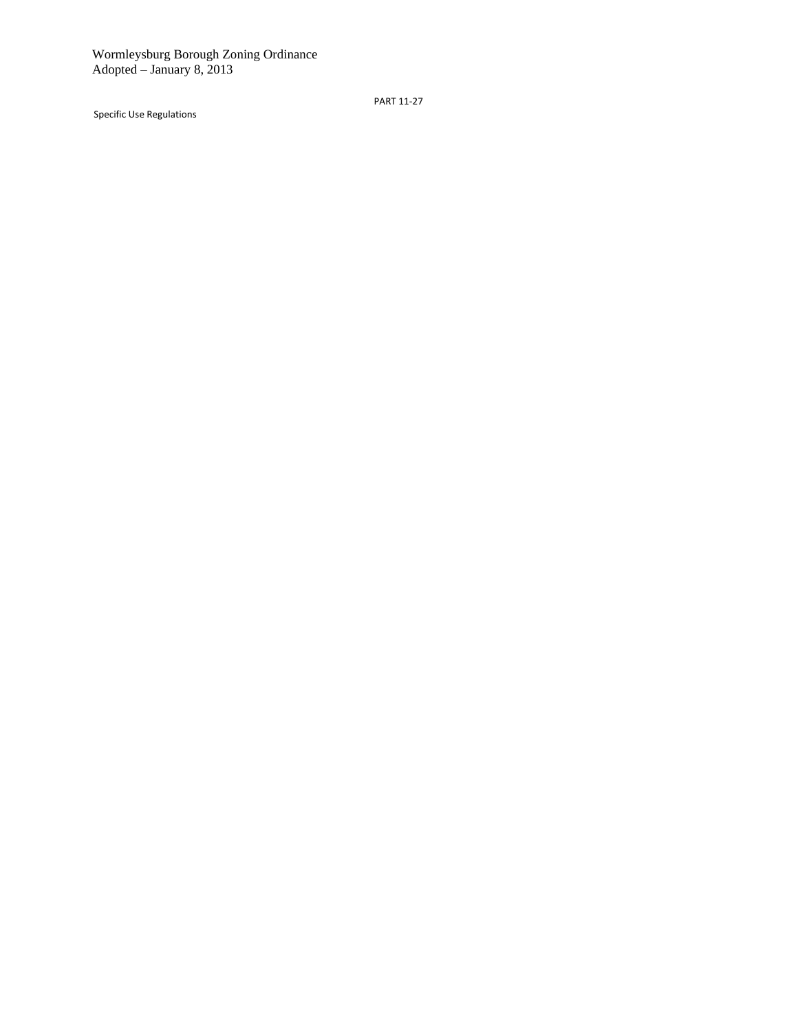Specific Use Regulations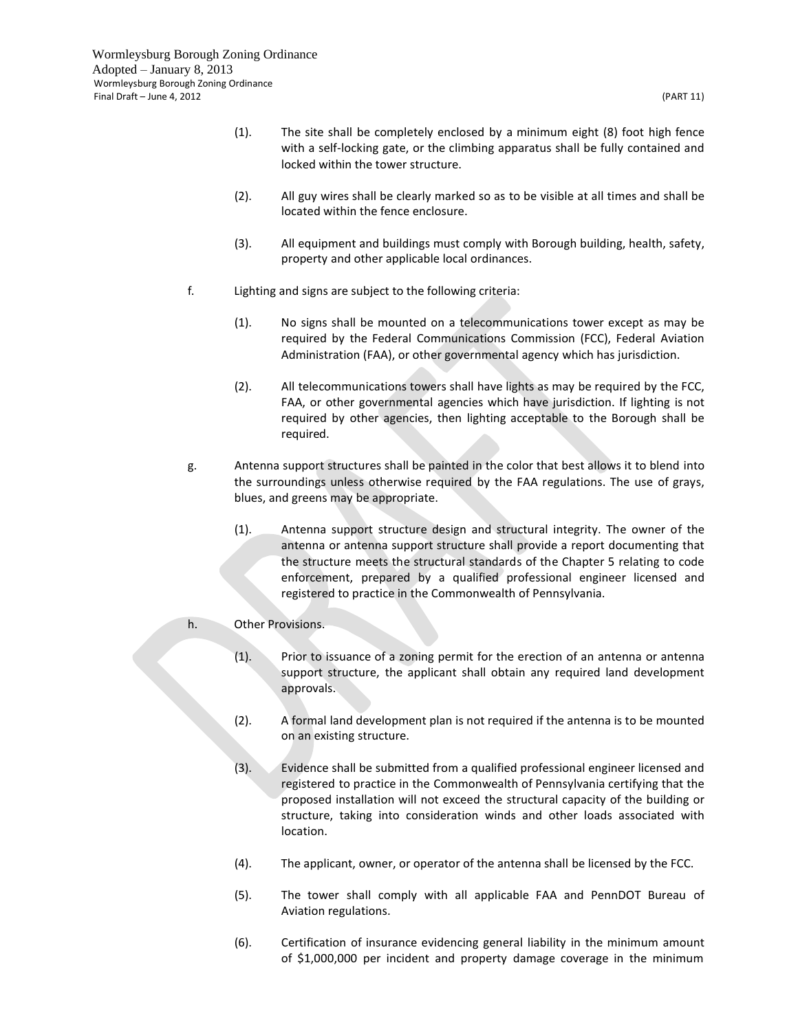- (2). All guy wires shall be clearly marked so as to be visible at all times and shall be located within the fence enclosure.
- (3). All equipment and buildings must comply with Borough building, health, safety, property and other applicable local ordinances.
- f. Lighting and signs are subject to the following criteria:
	- (1). No signs shall be mounted on a telecommunications tower except as may be required by the Federal Communications Commission (FCC), Federal Aviation Administration (FAA), or other governmental agency which has jurisdiction.
	- (2). All telecommunications towers shall have lights as may be required by the FCC, FAA, or other governmental agencies which have jurisdiction. If lighting is not required by other agencies, then lighting acceptable to the Borough shall be required.
- g. Antenna support structures shall be painted in the color that best allows it to blend into the surroundings unless otherwise required by the FAA regulations. The use of grays, blues, and greens may be appropriate.
	- (1). Antenna support structure design and structural integrity. The owner of the antenna or antenna support structure shall provide a report documenting that the structure meets the structural standards of the Chapter 5 relating to code enforcement, prepared by a qualified professional engineer licensed and registered to practice in the Commonwealth of Pennsylvania.
- h. Other Provisions.
	- (1). Prior to issuance of a zoning permit for the erection of an antenna or antenna support structure, the applicant shall obtain any required land development approvals.
	- (2). A formal land development plan is not required if the antenna is to be mounted on an existing structure.
	- (3). Evidence shall be submitted from a qualified professional engineer licensed and registered to practice in the Commonwealth of Pennsylvania certifying that the proposed installation will not exceed the structural capacity of the building or structure, taking into consideration winds and other loads associated with location.
	- (4). The applicant, owner, or operator of the antenna shall be licensed by the FCC.
	- (5). The tower shall comply with all applicable FAA and PennDOT Bureau of Aviation regulations.
	- (6). Certification of insurance evidencing general liability in the minimum amount of \$1,000,000 per incident and property damage coverage in the minimum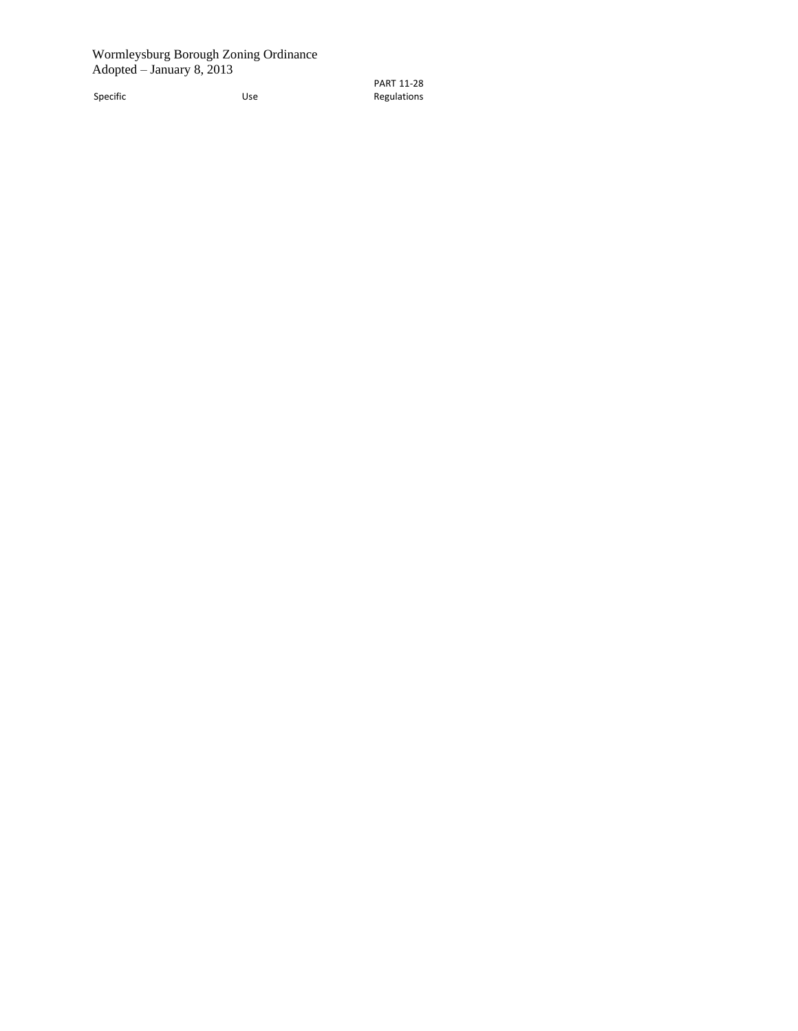Specific VSE Use Contract Use Regulations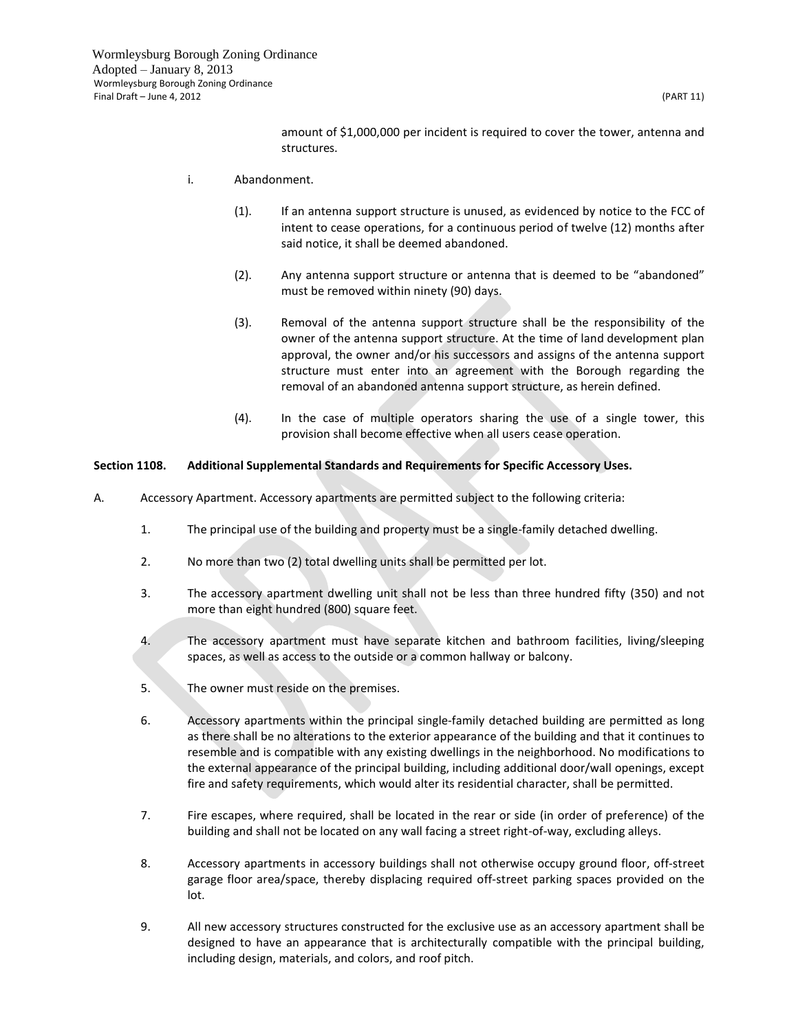amount of \$1,000,000 per incident is required to cover the tower, antenna and structures.

- i. Abandonment.
	- (1). If an antenna support structure is unused, as evidenced by notice to the FCC of intent to cease operations, for a continuous period of twelve (12) months after said notice, it shall be deemed abandoned.
	- (2). Any antenna support structure or antenna that is deemed to be "abandoned" must be removed within ninety (90) days.
	- (3). Removal of the antenna support structure shall be the responsibility of the owner of the antenna support structure. At the time of land development plan approval, the owner and/or his successors and assigns of the antenna support structure must enter into an agreement with the Borough regarding the removal of an abandoned antenna support structure, as herein defined.
	- (4). In the case of multiple operators sharing the use of a single tower, this provision shall become effective when all users cease operation.

## **Section 1108. Additional Supplemental Standards and Requirements for Specific Accessory Uses.**

- A. Accessory Apartment. Accessory apartments are permitted subject to the following criteria:
	- 1. The principal use of the building and property must be a single-family detached dwelling.
	- 2. No more than two (2) total dwelling units shall be permitted per lot.
	- 3. The accessory apartment dwelling unit shall not be less than three hundred fifty (350) and not more than eight hundred (800) square feet.
	- 4. The accessory apartment must have separate kitchen and bathroom facilities, living/sleeping spaces, as well as access to the outside or a common hallway or balcony.
	- 5. The owner must reside on the premises.
	- 6. Accessory apartments within the principal single-family detached building are permitted as long as there shall be no alterations to the exterior appearance of the building and that it continues to resemble and is compatible with any existing dwellings in the neighborhood. No modifications to the external appearance of the principal building, including additional door/wall openings, except fire and safety requirements, which would alter its residential character, shall be permitted.
	- 7. Fire escapes, where required, shall be located in the rear or side (in order of preference) of the building and shall not be located on any wall facing a street right-of-way, excluding alleys.
	- 8. Accessory apartments in accessory buildings shall not otherwise occupy ground floor, off-street garage floor area/space, thereby displacing required off-street parking spaces provided on the lot.
	- 9. All new accessory structures constructed for the exclusive use as an accessory apartment shall be designed to have an appearance that is architecturally compatible with the principal building, including design, materials, and colors, and roof pitch.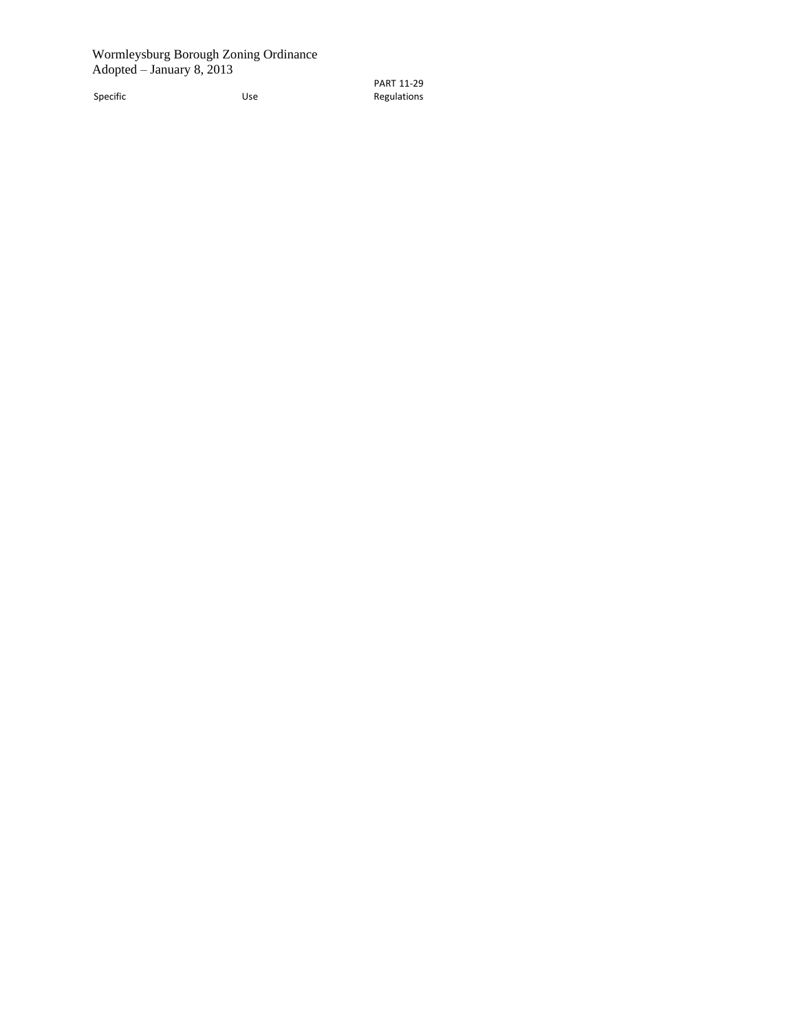Specific VSE Use Contract Use Regulations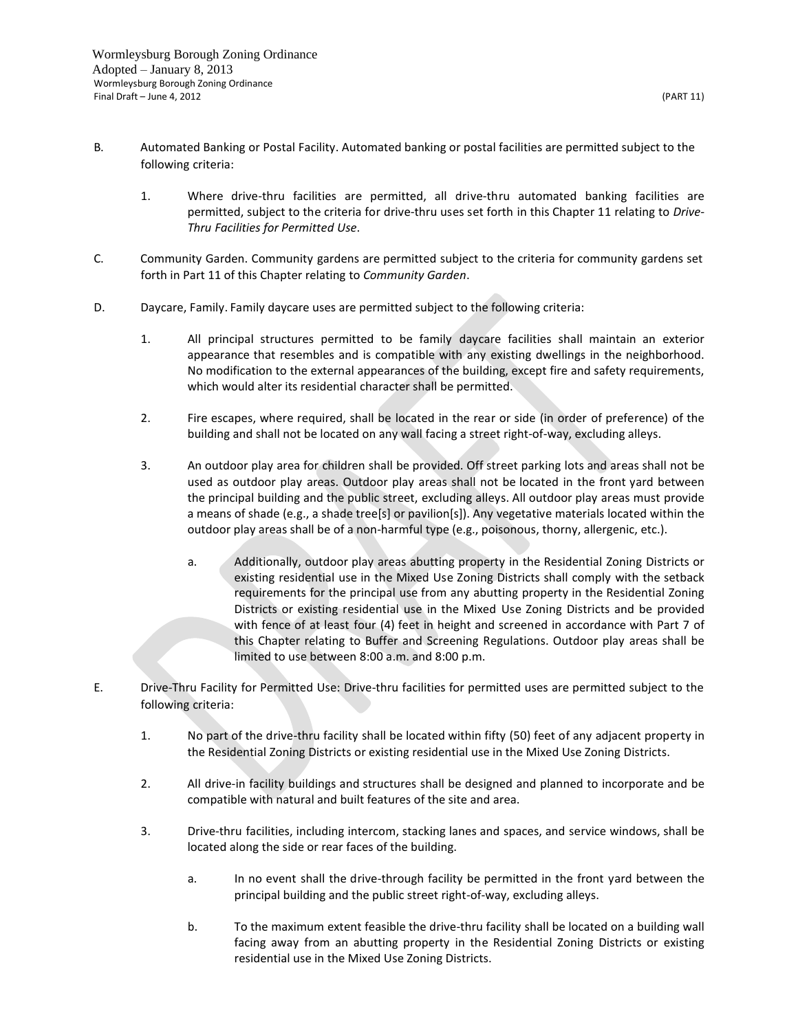- B. Automated Banking or Postal Facility. Automated banking or postal facilities are permitted subject to the following criteria:
	- 1. Where drive-thru facilities are permitted, all drive-thru automated banking facilities are permitted, subject to the criteria for drive-thru uses set forth in this Chapter 11 relating to *Drive-Thru Facilities for Permitted Use*.
- C. Community Garden. Community gardens are permitted subject to the criteria for community gardens set forth in Part 11 of this Chapter relating to *Community Garden*.
- D. Daycare, Family. Family daycare uses are permitted subject to the following criteria:
	- 1. All principal structures permitted to be family daycare facilities shall maintain an exterior appearance that resembles and is compatible with any existing dwellings in the neighborhood. No modification to the external appearances of the building, except fire and safety requirements, which would alter its residential character shall be permitted.
	- 2. Fire escapes, where required, shall be located in the rear or side (in order of preference) of the building and shall not be located on any wall facing a street right-of-way, excluding alleys.
	- 3. An outdoor play area for children shall be provided. Off street parking lots and areas shall not be used as outdoor play areas. Outdoor play areas shall not be located in the front yard between the principal building and the public street, excluding alleys. All outdoor play areas must provide a means of shade (e.g., a shade tree[s] or pavilion[s]). Any vegetative materials located within the outdoor play areas shall be of a non-harmful type (e.g., poisonous, thorny, allergenic, etc.).
		- a. Additionally, outdoor play areas abutting property in the Residential Zoning Districts or existing residential use in the Mixed Use Zoning Districts shall comply with the setback requirements for the principal use from any abutting property in the Residential Zoning Districts or existing residential use in the Mixed Use Zoning Districts and be provided with fence of at least four (4) feet in height and screened in accordance with Part 7 of this Chapter relating to Buffer and Screening Regulations. Outdoor play areas shall be limited to use between 8:00 a.m. and 8:00 p.m.
- E. Drive-Thru Facility for Permitted Use: Drive-thru facilities for permitted uses are permitted subject to the following criteria:
	- 1. No part of the drive-thru facility shall be located within fifty (50) feet of any adjacent property in the Residential Zoning Districts or existing residential use in the Mixed Use Zoning Districts.
	- 2. All drive-in facility buildings and structures shall be designed and planned to incorporate and be compatible with natural and built features of the site and area.
	- 3. Drive-thru facilities, including intercom, stacking lanes and spaces, and service windows, shall be located along the side or rear faces of the building.
		- a. In no event shall the drive-through facility be permitted in the front yard between the principal building and the public street right-of-way, excluding alleys.
		- b. To the maximum extent feasible the drive-thru facility shall be located on a building wall facing away from an abutting property in the Residential Zoning Districts or existing residential use in the Mixed Use Zoning Districts.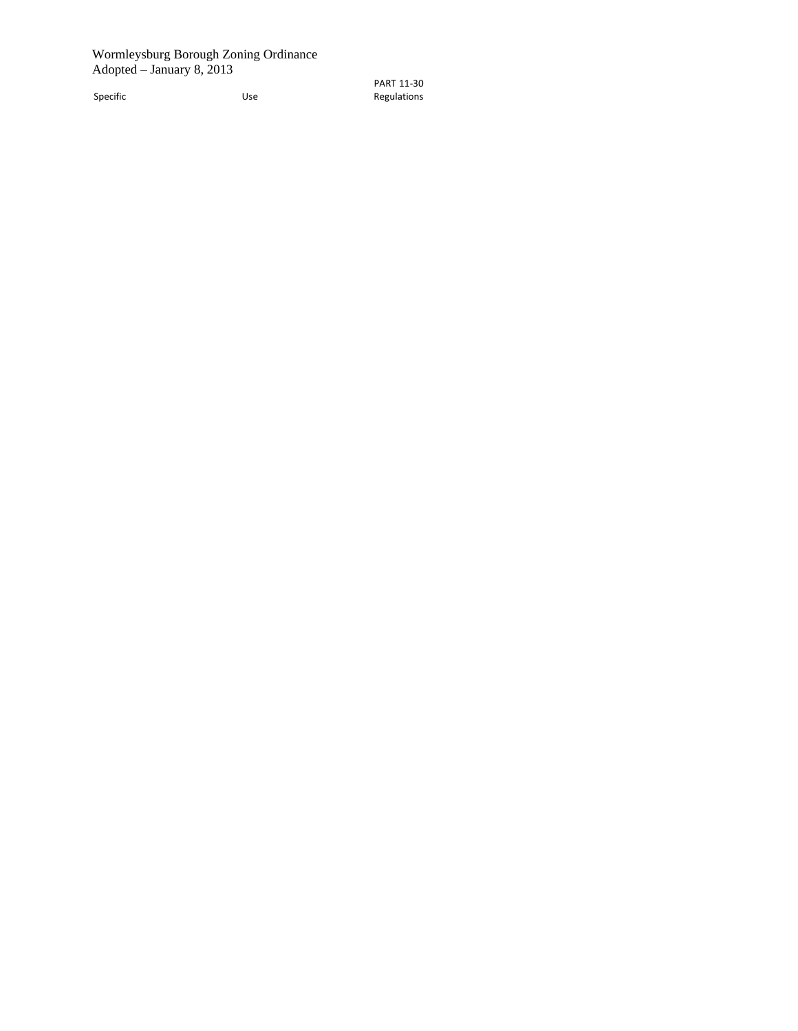Specific VSE Use Contract Use Regulations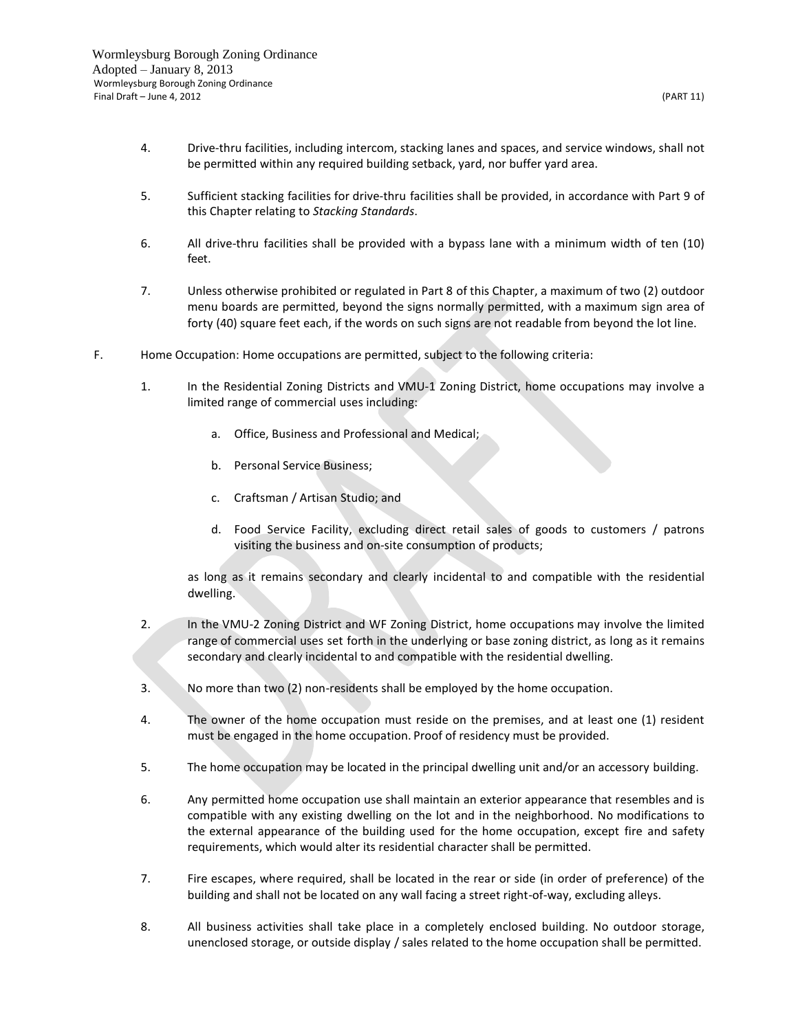- 4. Drive-thru facilities, including intercom, stacking lanes and spaces, and service windows, shall not be permitted within any required building setback, yard, nor buffer yard area.
- 5. Sufficient stacking facilities for drive-thru facilities shall be provided, in accordance with Part 9 of this Chapter relating to *Stacking Standards*.
- 6. All drive-thru facilities shall be provided with a bypass lane with a minimum width of ten (10) feet.
- 7. Unless otherwise prohibited or regulated in Part 8 of this Chapter, a maximum of two (2) outdoor menu boards are permitted, beyond the signs normally permitted, with a maximum sign area of forty (40) square feet each, if the words on such signs are not readable from beyond the lot line.
- F. Home Occupation: Home occupations are permitted, subject to the following criteria:
	- 1. In the Residential Zoning Districts and VMU-1 Zoning District, home occupations may involve a limited range of commercial uses including:
		- a. Office, Business and Professional and Medical;
		- b. Personal Service Business;
		- c. Craftsman / Artisan Studio; and
		- d. Food Service Facility, excluding direct retail sales of goods to customers / patrons visiting the business and on-site consumption of products;

as long as it remains secondary and clearly incidental to and compatible with the residential dwelling.

- 2. In the VMU-2 Zoning District and WF Zoning District, home occupations may involve the limited range of commercial uses set forth in the underlying or base zoning district, as long as it remains secondary and clearly incidental to and compatible with the residential dwelling.
- 3. No more than two (2) non-residents shall be employed by the home occupation.
- 4. The owner of the home occupation must reside on the premises, and at least one (1) resident must be engaged in the home occupation. Proof of residency must be provided.
- 5. The home occupation may be located in the principal dwelling unit and/or an accessory building.
- 6. Any permitted home occupation use shall maintain an exterior appearance that resembles and is compatible with any existing dwelling on the lot and in the neighborhood. No modifications to the external appearance of the building used for the home occupation, except fire and safety requirements, which would alter its residential character shall be permitted.
- 7. Fire escapes, where required, shall be located in the rear or side (in order of preference) of the building and shall not be located on any wall facing a street right-of-way, excluding alleys.
- 8. All business activities shall take place in a completely enclosed building. No outdoor storage, unenclosed storage, or outside display / sales related to the home occupation shall be permitted.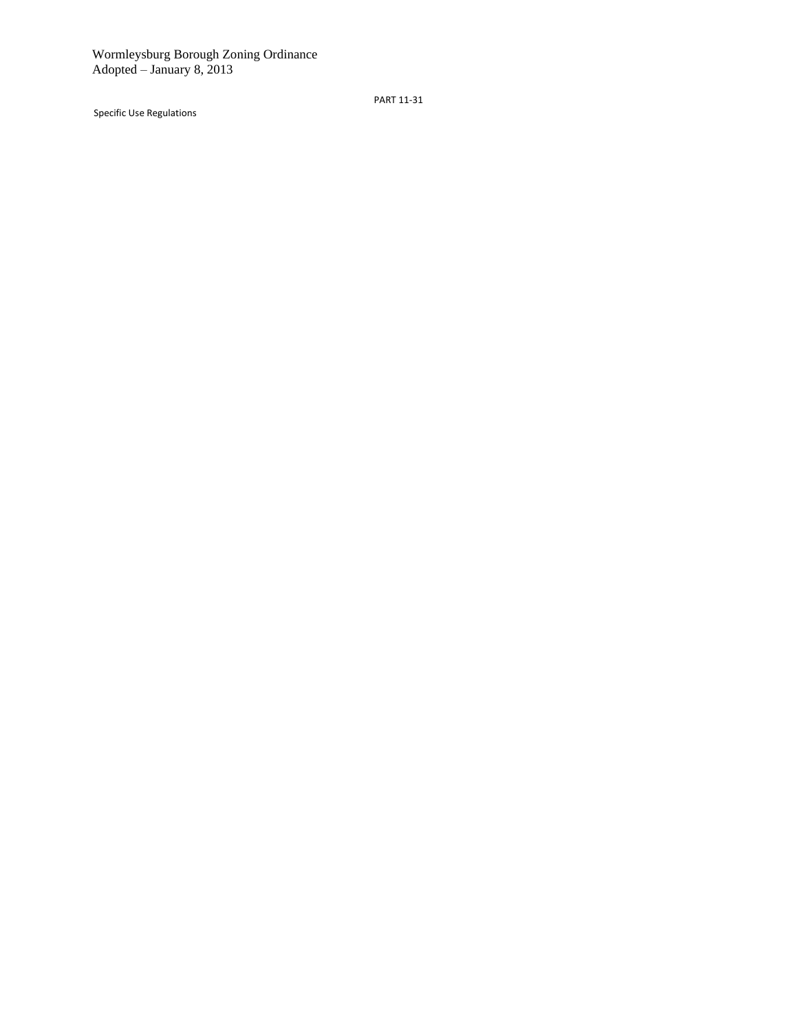Specific Use Regulations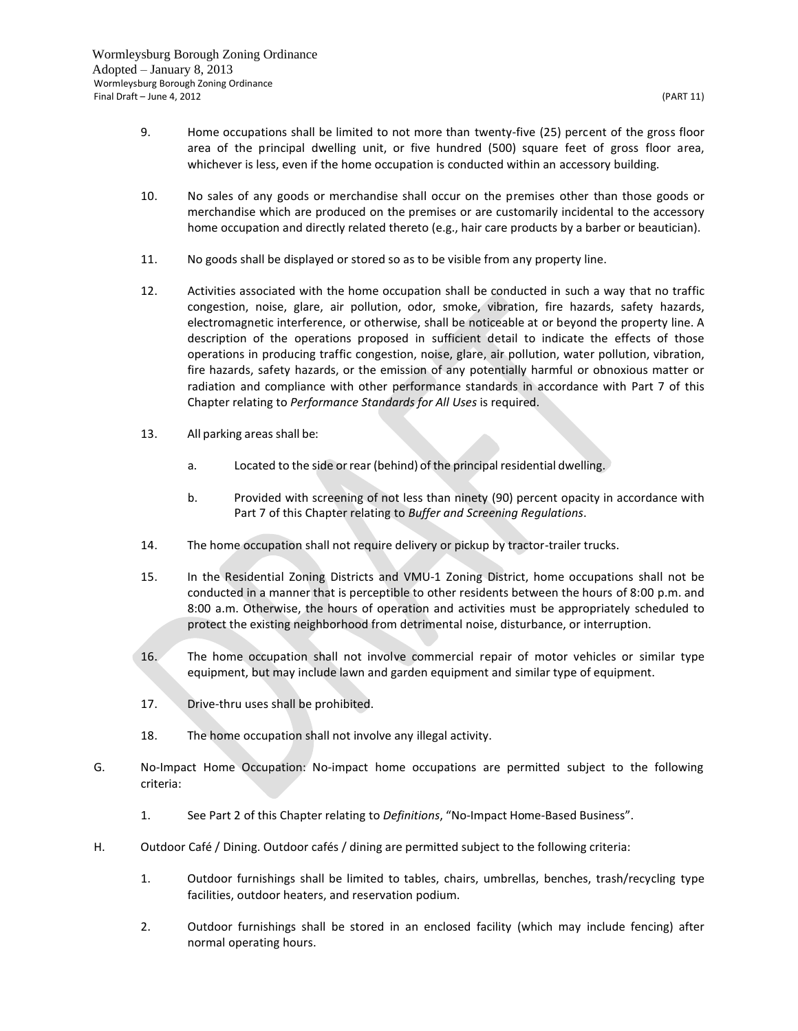- 9. Home occupations shall be limited to not more than twenty-five (25) percent of the gross floor area of the principal dwelling unit, or five hundred (500) square feet of gross floor area, whichever is less, even if the home occupation is conducted within an accessory building.
- 10. No sales of any goods or merchandise shall occur on the premises other than those goods or merchandise which are produced on the premises or are customarily incidental to the accessory home occupation and directly related thereto (e.g., hair care products by a barber or beautician).
- 11. No goods shall be displayed or stored so as to be visible from any property line.
- 12. Activities associated with the home occupation shall be conducted in such a way that no traffic congestion, noise, glare, air pollution, odor, smoke, vibration, fire hazards, safety hazards, electromagnetic interference, or otherwise, shall be noticeable at or beyond the property line. A description of the operations proposed in sufficient detail to indicate the effects of those operations in producing traffic congestion, noise, glare, air pollution, water pollution, vibration, fire hazards, safety hazards, or the emission of any potentially harmful or obnoxious matter or radiation and compliance with other performance standards in accordance with Part 7 of this Chapter relating to *Performance Standards for All Uses* is required.
- 13. All parking areas shall be:
	- a. Located to the side or rear (behind) of the principal residential dwelling.
	- b. Provided with screening of not less than ninety (90) percent opacity in accordance with Part 7 of this Chapter relating to *Buffer and Screening Regulations*.
- 14. The home occupation shall not require delivery or pickup by tractor-trailer trucks.
- 15. In the Residential Zoning Districts and VMU-1 Zoning District, home occupations shall not be conducted in a manner that is perceptible to other residents between the hours of 8:00 p.m. and 8:00 a.m. Otherwise, the hours of operation and activities must be appropriately scheduled to protect the existing neighborhood from detrimental noise, disturbance, or interruption.
- 16. The home occupation shall not involve commercial repair of motor vehicles or similar type equipment, but may include lawn and garden equipment and similar type of equipment.
- 17. Drive-thru uses shall be prohibited.
- 18. The home occupation shall not involve any illegal activity.
- G. No-Impact Home Occupation: No-impact home occupations are permitted subject to the following criteria:
	- 1. See Part 2 of this Chapter relating to *Definitions*, "No-Impact Home-Based Business".
- H. Outdoor Café / Dining. Outdoor cafés / dining are permitted subject to the following criteria:
	- 1. Outdoor furnishings shall be limited to tables, chairs, umbrellas, benches, trash/recycling type facilities, outdoor heaters, and reservation podium.
	- 2. Outdoor furnishings shall be stored in an enclosed facility (which may include fencing) after normal operating hours.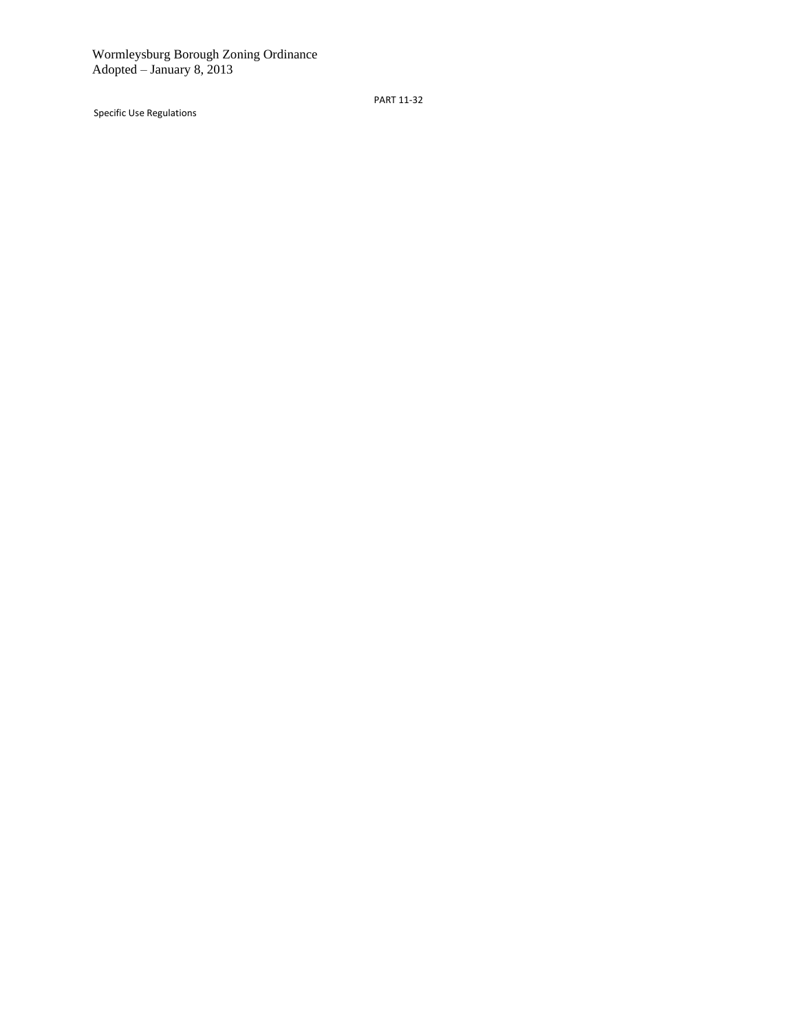Specific Use Regulations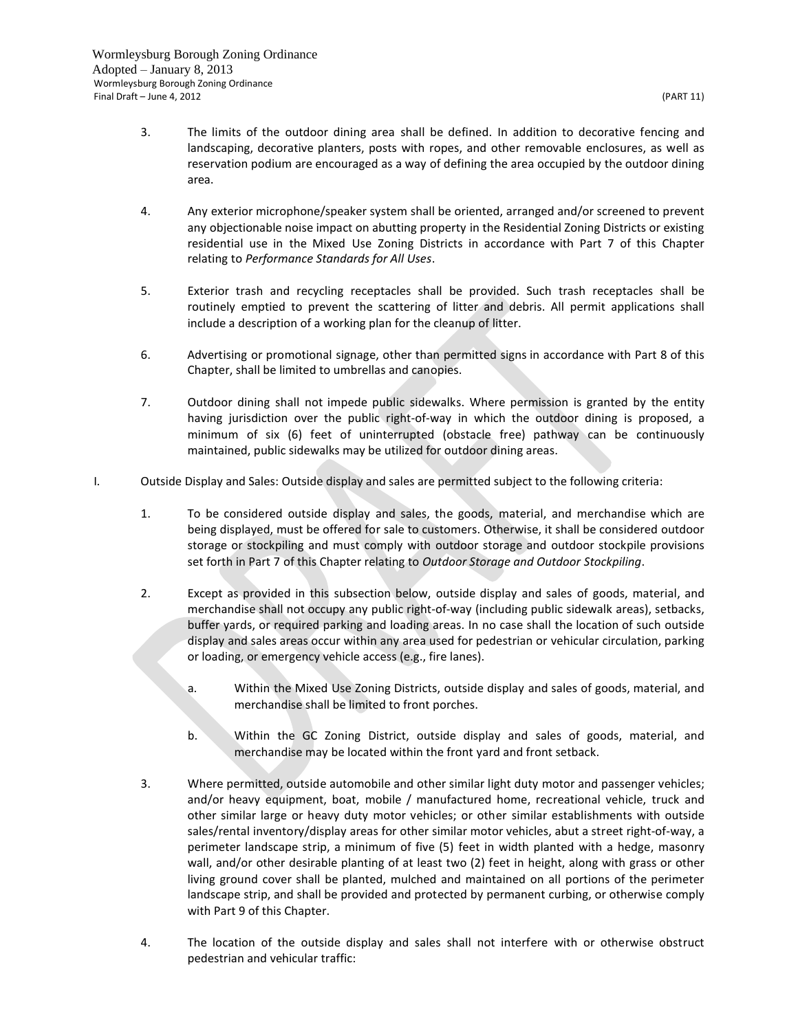- 3. The limits of the outdoor dining area shall be defined. In addition to decorative fencing and landscaping, decorative planters, posts with ropes, and other removable enclosures, as well as reservation podium are encouraged as a way of defining the area occupied by the outdoor dining area.
- 4. Any exterior microphone/speaker system shall be oriented, arranged and/or screened to prevent any objectionable noise impact on abutting property in the Residential Zoning Districts or existing residential use in the Mixed Use Zoning Districts in accordance with Part 7 of this Chapter relating to *Performance Standards for All Uses*.
- 5. Exterior trash and recycling receptacles shall be provided. Such trash receptacles shall be routinely emptied to prevent the scattering of litter and debris. All permit applications shall include a description of a working plan for the cleanup of litter.
- 6. Advertising or promotional signage, other than permitted signs in accordance with Part 8 of this Chapter, shall be limited to umbrellas and canopies.
- 7. Outdoor dining shall not impede public sidewalks. Where permission is granted by the entity having jurisdiction over the public right-of-way in which the outdoor dining is proposed, a minimum of six (6) feet of uninterrupted (obstacle free) pathway can be continuously maintained, public sidewalks may be utilized for outdoor dining areas.
- I. Outside Display and Sales: Outside display and sales are permitted subject to the following criteria:
	- 1. To be considered outside display and sales, the goods, material, and merchandise which are being displayed, must be offered for sale to customers. Otherwise, it shall be considered outdoor storage or stockpiling and must comply with outdoor storage and outdoor stockpile provisions set forth in Part 7 of this Chapter relating to *Outdoor Storage and Outdoor Stockpiling*.
	- 2. Except as provided in this subsection below, outside display and sales of goods, material, and merchandise shall not occupy any public right-of-way (including public sidewalk areas), setbacks, buffer yards, or required parking and loading areas. In no case shall the location of such outside display and sales areas occur within any area used for pedestrian or vehicular circulation, parking or loading, or emergency vehicle access (e.g., fire lanes).
		- a. Within the Mixed Use Zoning Districts, outside display and sales of goods, material, and merchandise shall be limited to front porches.
		- b. Within the GC Zoning District, outside display and sales of goods, material, and merchandise may be located within the front yard and front setback.
	- 3. Where permitted, outside automobile and other similar light duty motor and passenger vehicles; and/or heavy equipment, boat, mobile / manufactured home, recreational vehicle, truck and other similar large or heavy duty motor vehicles; or other similar establishments with outside sales/rental inventory/display areas for other similar motor vehicles, abut a street right-of-way, a perimeter landscape strip, a minimum of five (5) feet in width planted with a hedge, masonry wall, and/or other desirable planting of at least two (2) feet in height, along with grass or other living ground cover shall be planted, mulched and maintained on all portions of the perimeter landscape strip, and shall be provided and protected by permanent curbing, or otherwise comply with Part 9 of this Chapter.
	- 4. The location of the outside display and sales shall not interfere with or otherwise obstruct pedestrian and vehicular traffic: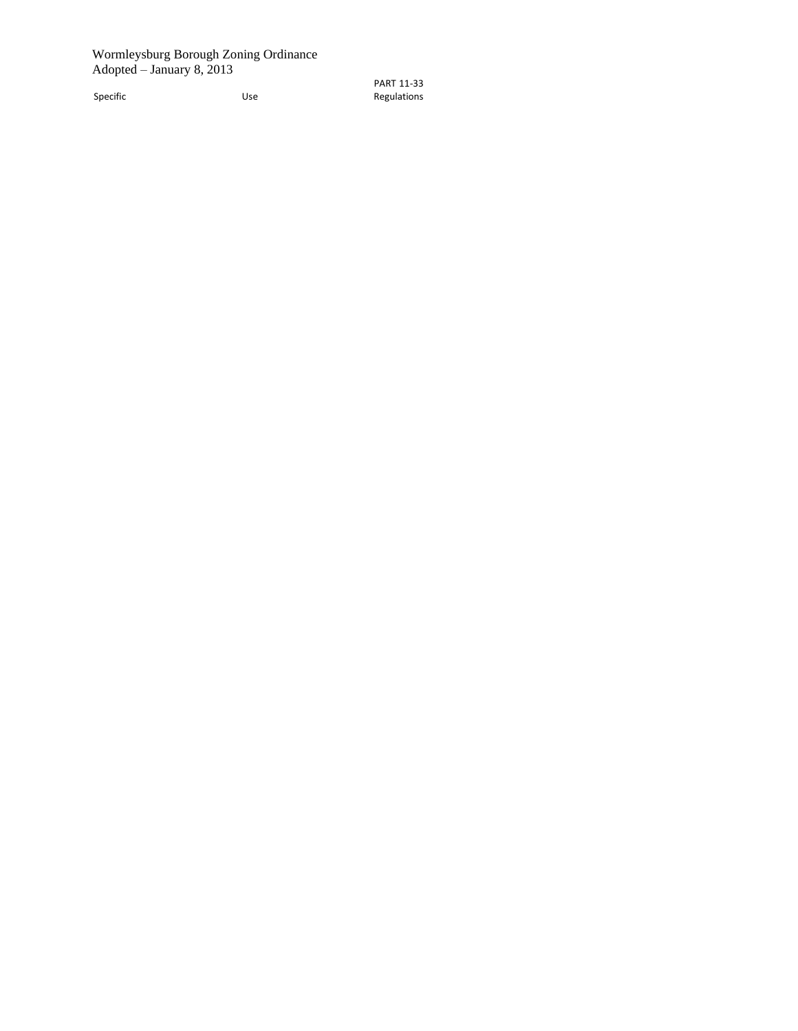Specific VSE Use Contract Use Regulations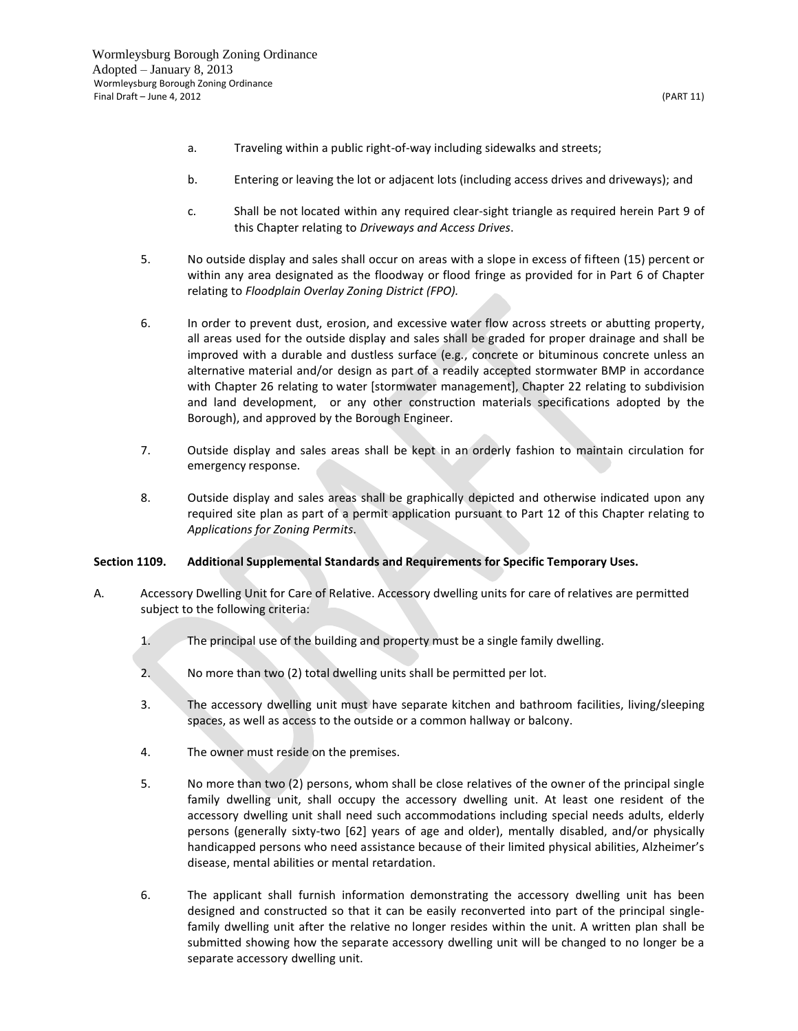- a. Traveling within a public right-of-way including sidewalks and streets;
- b. Entering or leaving the lot or adjacent lots (including access drives and driveways); and
- c. Shall be not located within any required clear-sight triangle as required herein Part 9 of this Chapter relating to *Driveways and Access Drives*.
- 5. No outside display and sales shall occur on areas with a slope in excess of fifteen (15) percent or within any area designated as the floodway or flood fringe as provided for in Part 6 of Chapter relating to *Floodplain Overlay Zoning District (FPO).*
- 6. In order to prevent dust, erosion, and excessive water flow across streets or abutting property, all areas used for the outside display and sales shall be graded for proper drainage and shall be improved with a durable and dustless surface (e.g., concrete or bituminous concrete unless an alternative material and/or design as part of a readily accepted stormwater BMP in accordance with Chapter 26 relating to water [stormwater management], Chapter 22 relating to subdivision and land development, or any other construction materials specifications adopted by the Borough), and approved by the Borough Engineer.
- 7. Outside display and sales areas shall be kept in an orderly fashion to maintain circulation for emergency response.
- 8. Outside display and sales areas shall be graphically depicted and otherwise indicated upon any required site plan as part of a permit application pursuant to Part 12 of this Chapter relating to *Applications for Zoning Permits*.

## **Section 1109. Additional Supplemental Standards and Requirements for Specific Temporary Uses.**

- A. Accessory Dwelling Unit for Care of Relative. Accessory dwelling units for care of relatives are permitted subject to the following criteria:
	- 1. The principal use of the building and property must be a single family dwelling.
	- 2. No more than two (2) total dwelling units shall be permitted per lot.
	- 3. The accessory dwelling unit must have separate kitchen and bathroom facilities, living/sleeping spaces, as well as access to the outside or a common hallway or balcony.
	- 4. The owner must reside on the premises.
	- 5. No more than two (2) persons, whom shall be close relatives of the owner of the principal single family dwelling unit, shall occupy the accessory dwelling unit. At least one resident of the accessory dwelling unit shall need such accommodations including special needs adults, elderly persons (generally sixty-two [62] years of age and older), mentally disabled, and/or physically handicapped persons who need assistance because of their limited physical abilities, Alzheimer's disease, mental abilities or mental retardation.
	- 6. The applicant shall furnish information demonstrating the accessory dwelling unit has been designed and constructed so that it can be easily reconverted into part of the principal singlefamily dwelling unit after the relative no longer resides within the unit. A written plan shall be submitted showing how the separate accessory dwelling unit will be changed to no longer be a separate accessory dwelling unit.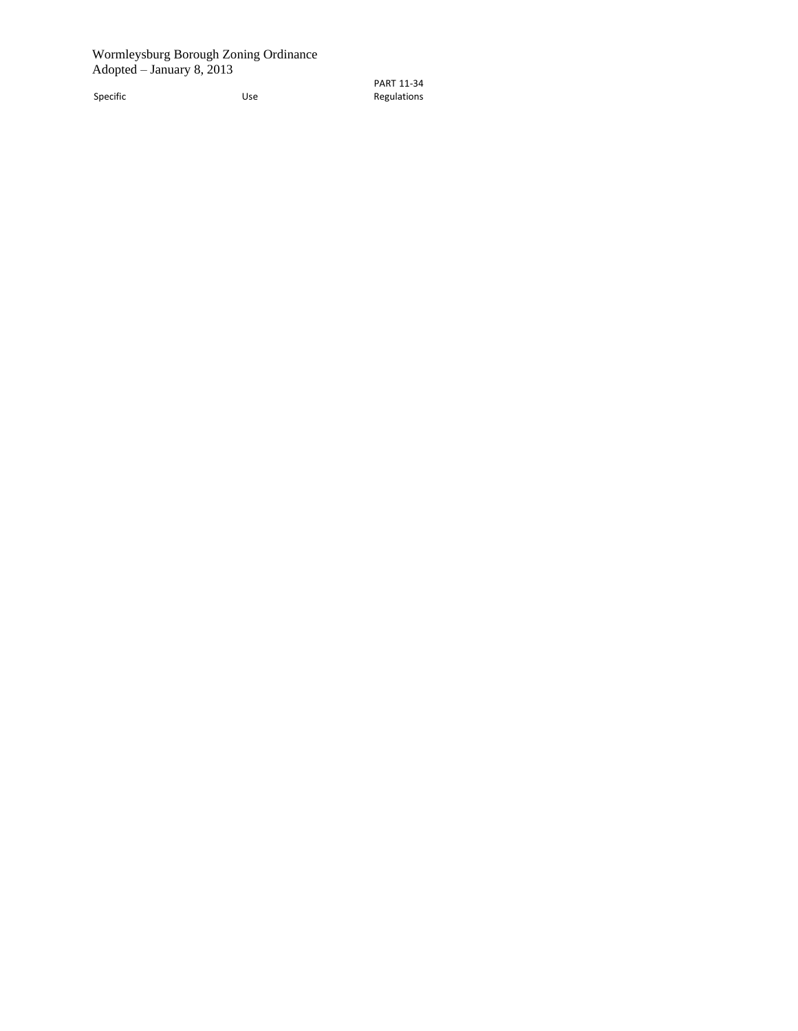Specific VSE Use Contract Use Regulations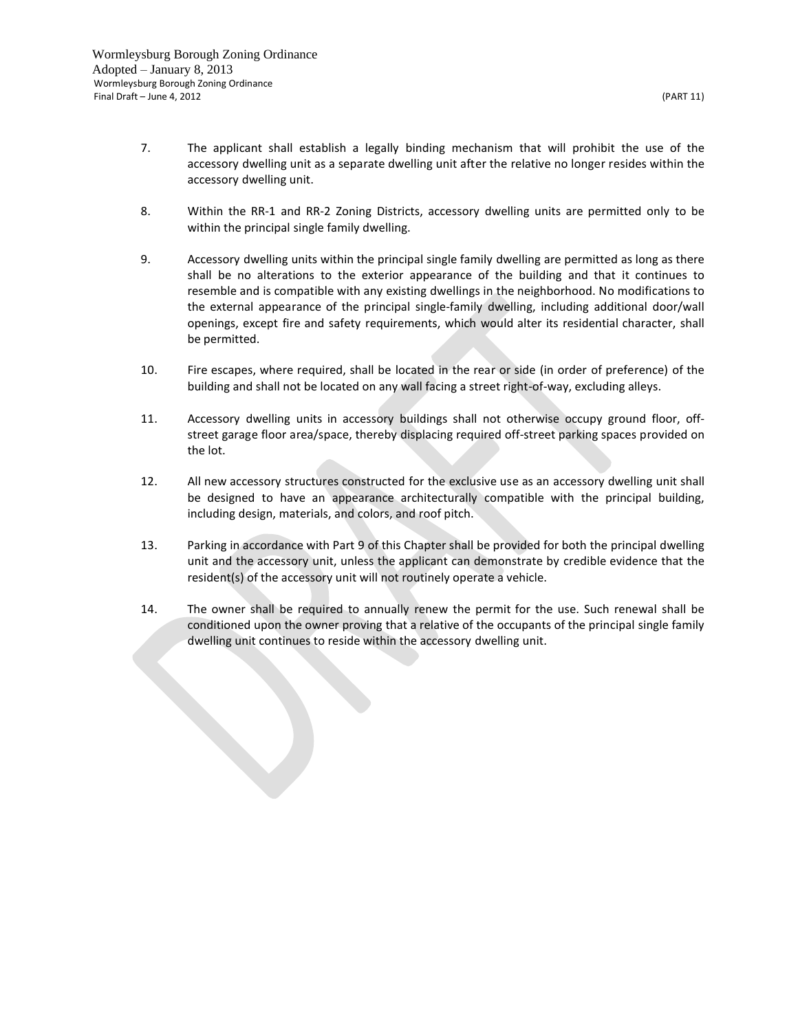- 7. The applicant shall establish a legally binding mechanism that will prohibit the use of the accessory dwelling unit as a separate dwelling unit after the relative no longer resides within the accessory dwelling unit.
- 8. Within the RR-1 and RR-2 Zoning Districts, accessory dwelling units are permitted only to be within the principal single family dwelling.
- 9. Accessory dwelling units within the principal single family dwelling are permitted as long as there shall be no alterations to the exterior appearance of the building and that it continues to resemble and is compatible with any existing dwellings in the neighborhood. No modifications to the external appearance of the principal single-family dwelling, including additional door/wall openings, except fire and safety requirements, which would alter its residential character, shall be permitted.
- 10. Fire escapes, where required, shall be located in the rear or side (in order of preference) of the building and shall not be located on any wall facing a street right-of-way, excluding alleys.
- 11. Accessory dwelling units in accessory buildings shall not otherwise occupy ground floor, offstreet garage floor area/space, thereby displacing required off-street parking spaces provided on the lot.
- 12. All new accessory structures constructed for the exclusive use as an accessory dwelling unit shall be designed to have an appearance architecturally compatible with the principal building, including design, materials, and colors, and roof pitch.
- 13. Parking in accordance with Part 9 of this Chapter shall be provided for both the principal dwelling unit and the accessory unit, unless the applicant can demonstrate by credible evidence that the resident(s) of the accessory unit will not routinely operate a vehicle.
- 14. The owner shall be required to annually renew the permit for the use. Such renewal shall be conditioned upon the owner proving that a relative of the occupants of the principal single family dwelling unit continues to reside within the accessory dwelling unit.